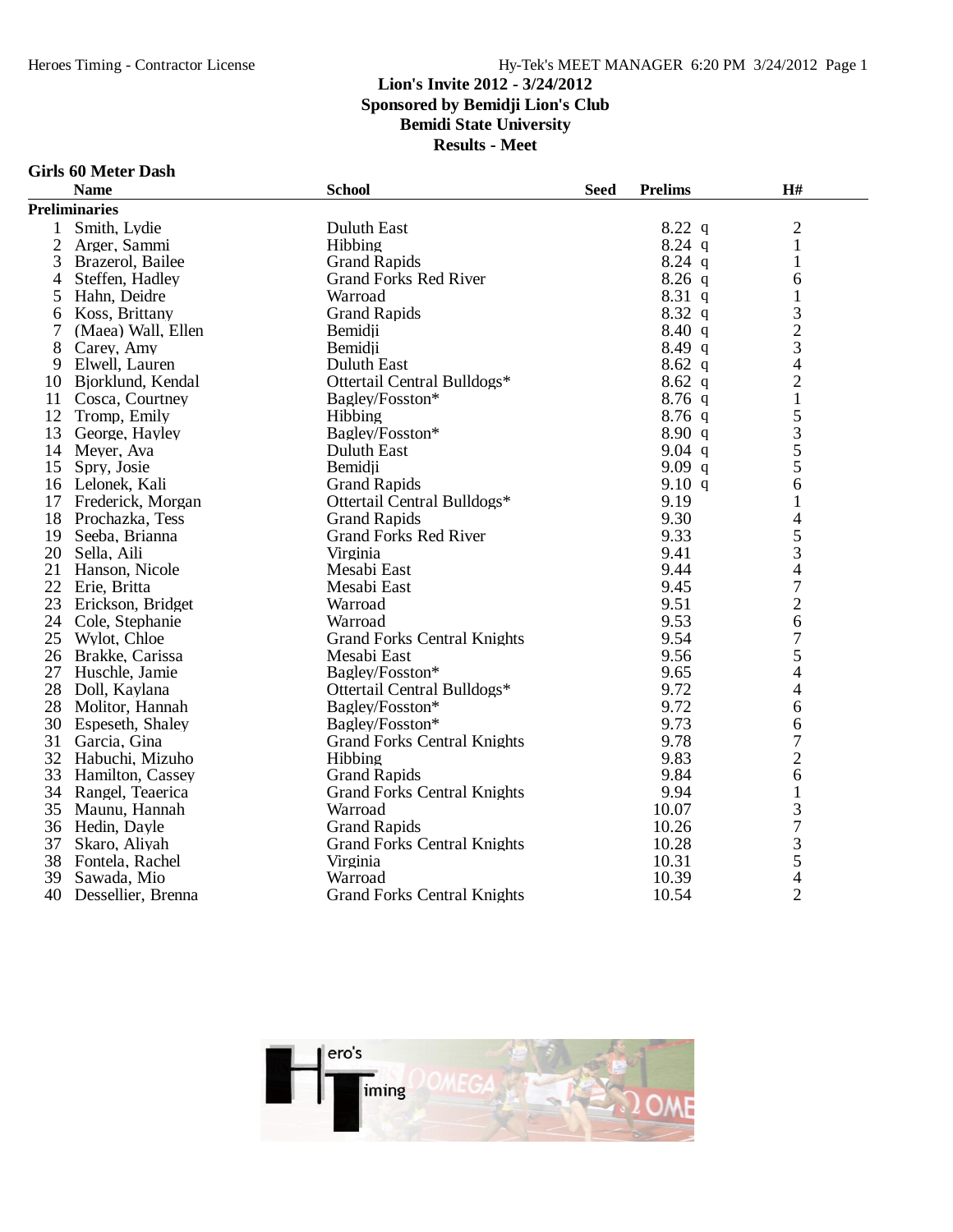**Results - Meet**

#### **Girls 60 Meter Dash**

|                | <b>Name</b>          | <b>School</b>                      | <b>Seed</b> | <b>Prelims</b> | H#                       |
|----------------|----------------------|------------------------------------|-------------|----------------|--------------------------|
|                | <b>Preliminaries</b> |                                    |             |                |                          |
| 1              | Smith, Lydie         | Duluth East                        |             | $8.22$ q       | $\overline{2}$           |
| $\overline{2}$ | Arger, Sammi         | Hibbing                            |             | $8.24$ q       | 1                        |
| 3              | Brazerol, Bailee     | <b>Grand Rapids</b>                |             | $8.24$ q       | 1                        |
| $\overline{4}$ | Steffen, Hadley      | <b>Grand Forks Red River</b>       |             | $8.26$ q       | 6                        |
| 5              | Hahn, Deidre         | Warroad                            |             | $8.31\ q$      | $\mathbf{1}$             |
| 6              | Koss, Brittany       | <b>Grand Rapids</b>                |             | $8.32\ q$      | 3                        |
| 7              | (Maea) Wall, Ellen   | Bemidii                            |             | 8.40 q         | $\overline{c}$           |
| 8              | Carey, Amy           | Bemidji                            |             | $8.49\ q$      | 3                        |
| 9              | Elwell, Lauren       | <b>Duluth East</b>                 |             | $8.62$ q       | $\overline{4}$           |
| 10             | Bjorklund, Kendal    | Ottertail Central Bulldogs*        |             | $8.62\ q$      | $\overline{c}$           |
|                | 11 Cosca, Courtney   | Bagley/Fosston*                    |             | $8.76$ q       | $\mathbf{1}$             |
| 12             | Tromp, Emily         | Hibbing                            |             | $8.76$ q       | 5                        |
| 13             | George, Hayley       | Bagley/Fosston*                    |             | 8.90 q         |                          |
|                | 14 Meyer, Ava        | Duluth East                        |             | $9.04$ q       | $rac{3}{5}$              |
| 15             | Spry, Josie          | Bemidii                            |             | 9.09q          | 5                        |
| 16             | Lelonek, Kali        | <b>Grand Rapids</b>                |             | 9.10 q         | 6                        |
| 17             | Frederick, Morgan    | Ottertail Central Bulldogs*        |             | 9.19           | 1                        |
| 18             | Prochazka, Tess      | <b>Grand Rapids</b>                |             | 9.30           | 4                        |
| 19             | Seeba, Brianna       | <b>Grand Forks Red River</b>       |             | 9.33           | 5                        |
| 20             | Sella, Aili          | Virginia                           |             | 9.41           | 3                        |
| 21             | Hanson, Nicole       | Mesabi East                        |             | 9.44           | $\overline{4}$           |
|                | 22 Erie, Britta      | Mesabi East                        |             | 9.45           | $\tau$                   |
|                | 23 Erickson, Bridget | Warroad                            |             | 9.51           | $\overline{2}$           |
|                | 24 Cole, Stephanie   | Warroad                            |             | 9.53           | 6                        |
| 25             | Wylot, Chloe         | <b>Grand Forks Central Knights</b> |             | 9.54           | $\overline{7}$           |
| 26             | Brakke, Carissa      | Mesabi East                        |             | 9.56           | 5                        |
| 27             | Huschle, Jamie       | Bagley/Fosston*                    |             | 9.65           | $\overline{\mathcal{A}}$ |
|                | 28 Doll, Kaylana     | Ottertail Central Bulldogs*        |             | 9.72           | $\overline{\mathcal{A}}$ |
| 28             | Molitor, Hannah      | Bagley/Fosston*                    |             | 9.72           | 6                        |
| 30             | Espeseth, Shaley     | Bagley/Fosston*                    |             | 9.73           | 6                        |
| 31             | Garcia, Gina         | <b>Grand Forks Central Knights</b> |             | 9.78           | $\overline{7}$           |
|                | 32 Habuchi, Mizuho   | Hibbing                            |             | 9.83           | $\overline{c}$           |
| 33             | Hamilton, Cassey     | <b>Grand Rapids</b>                |             | 9.84           | 6                        |
| 34             | Rangel, Teaerica     | <b>Grand Forks Central Knights</b> |             | 9.94           | $\mathbf{1}$             |
| 35             | Maunu, Hannah        | Warroad                            |             | 10.07          | 3                        |
|                | 36 Hedin, Dayle      | <b>Grand Rapids</b>                |             | 10.26          | $\overline{7}$           |
| 37             | Skaro, Aliyah        | <b>Grand Forks Central Knights</b> |             | 10.28          |                          |
| 38             | Fontela, Rachel      | Virginia                           |             | 10.31          | $rac{3}{5}$              |
| 39             | Sawada, Mio          | Warroad                            |             | 10.39          | $\overline{\mathcal{L}}$ |
| 40             | Dessellier, Brenna   | <b>Grand Forks Central Knights</b> |             | 10.54          | $\overline{2}$           |

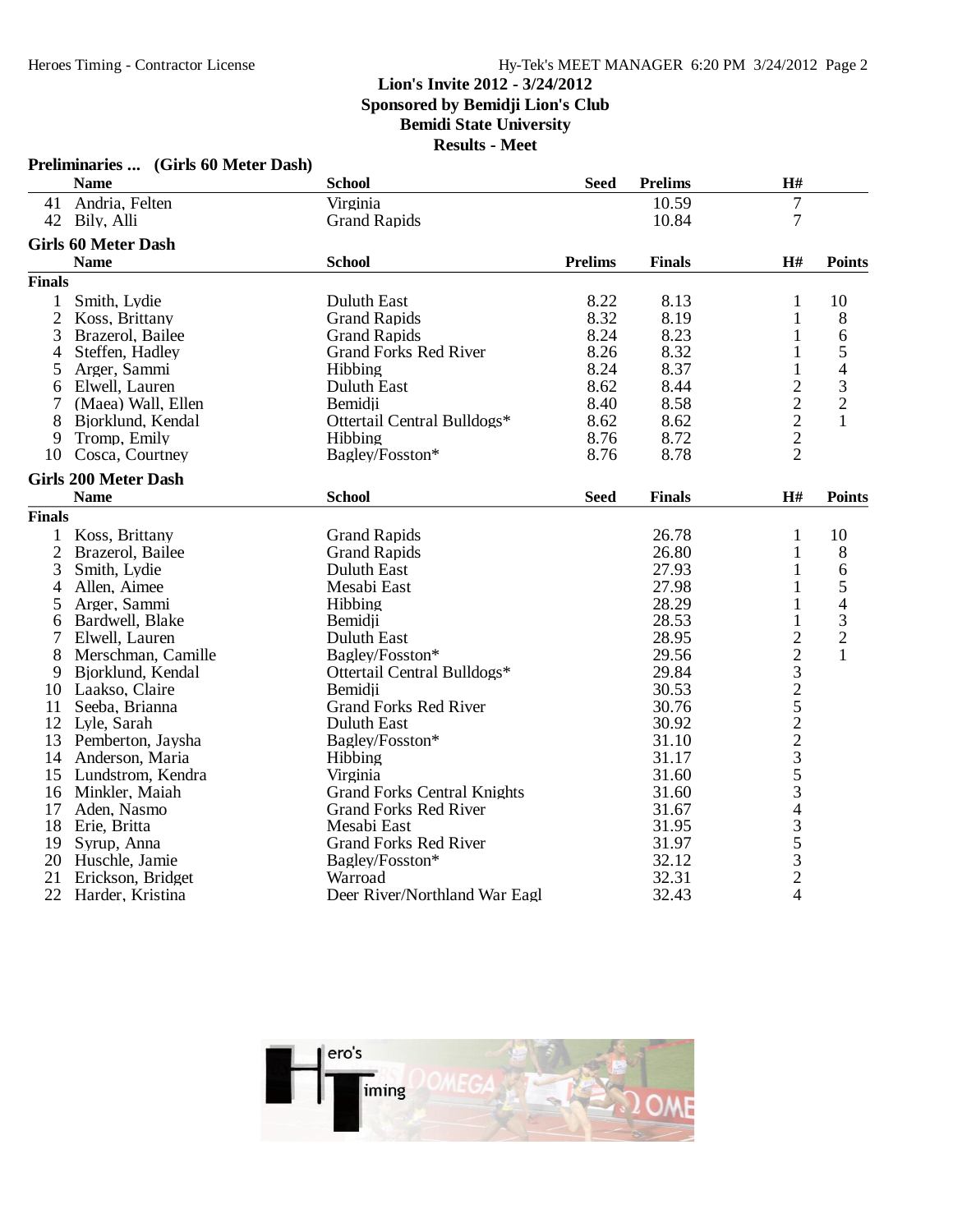|                | Preliminaries  (Girls 60 Meter Dash) |                                    |                |                |                                                   |                |
|----------------|--------------------------------------|------------------------------------|----------------|----------------|---------------------------------------------------|----------------|
|                | <b>Name</b>                          | <b>School</b>                      | <b>Seed</b>    | <b>Prelims</b> | H#                                                |                |
|                | 41 Andria, Felten                    | Virginia                           |                | 10.59          | $\overline{7}$                                    |                |
| 42             | Bily, Alli                           | <b>Grand Rapids</b>                |                | 10.84          | 7                                                 |                |
|                | <b>Girls 60 Meter Dash</b>           |                                    |                |                |                                                   |                |
|                | <b>Name</b>                          | <b>School</b>                      | <b>Prelims</b> | <b>Finals</b>  | H#                                                | <b>Points</b>  |
| <b>Finals</b>  |                                      |                                    |                |                |                                                   |                |
| 1              | Smith, Lydie                         | <b>Duluth East</b>                 | 8.22           | 8.13           | 1                                                 | 10             |
| $\overline{2}$ | Koss, Brittany                       | <b>Grand Rapids</b>                | 8.32           | 8.19           | 1                                                 | 8              |
| 3              | Brazerol, Bailee                     | <b>Grand Rapids</b>                | 8.24           | 8.23           | 1                                                 | 6              |
| 4              | Steffen, Hadley                      | <b>Grand Forks Red River</b>       | 8.26           | 8.32           | 1                                                 | 5              |
| 5              | Arger, Sammi                         | Hibbing                            | 8.24           | 8.37           | 1                                                 | $\overline{4}$ |
| 6              | Elwell, Lauren                       | Duluth East                        | 8.62           | 8.44           |                                                   | 3              |
|                | (Maea) Wall, Ellen                   | Bemidii                            | 8.40           | 8.58           | $\begin{array}{c}\n2 \\ 2 \\ 2 \\ 2\n\end{array}$ | $\overline{2}$ |
| 8              | Bjorklund, Kendal                    | Ottertail Central Bulldogs*        | 8.62           | 8.62           |                                                   | 1              |
| 9              | Tromp, Emily                         | Hibbing                            | 8.76           | 8.72           |                                                   |                |
| 10             | Cosca, Courtney                      | Bagley/Fosston*                    | 8.76           | 8.78           |                                                   |                |
|                | <b>Girls 200 Meter Dash</b>          |                                    |                |                |                                                   |                |
|                | <b>Name</b>                          | <b>School</b>                      | <b>Seed</b>    | <b>Finals</b>  | H#                                                | <b>Points</b>  |
| <b>Finals</b>  |                                      |                                    |                |                |                                                   |                |
| 1              | Koss, Brittany                       | <b>Grand Rapids</b>                |                | 26.78          | $\mathbf{1}$                                      | 10             |
| $\overline{2}$ | Brazerol, Bailee                     | <b>Grand Rapids</b>                |                | 26.80          | 1                                                 | 8              |
| 3              | Smith, Lydie                         | Duluth East                        |                | 27.93          | 1                                                 | 6              |
| 4              | Allen, Aimee                         | Mesabi East                        |                | 27.98          | 1                                                 | 5              |
| 5              | Arger, Sammi                         | Hibbing                            |                | 28.29          | 1                                                 | $\overline{4}$ |
| 6              | Bardwell, Blake                      | Bemidji                            |                | 28.53          | 1                                                 | $\frac{3}{2}$  |
| 7              | Elwell, Lauren                       | <b>Duluth East</b>                 |                | 28.95          |                                                   |                |
| 8              | Merschman, Camille                   | Bagley/Fosston*                    |                | 29.56          |                                                   | $\mathbf{1}$   |
| 9              | Bjorklund, Kendal                    | Ottertail Central Bulldogs*        |                | 29.84          |                                                   |                |
| 10             | Laakso, Claire                       | Bemidii                            |                | 30.53          |                                                   |                |
| 11             | Seeba, Brianna                       | <b>Grand Forks Red River</b>       |                | 30.76          |                                                   |                |
| 12             | Lyle, Sarah                          | <b>Duluth East</b>                 |                | 30.92          |                                                   |                |
| 13             | Pemberton, Jaysha                    | Bagley/Fosston*                    |                | 31.10          |                                                   |                |
| 14             | Anderson, Maria                      | Hibbing                            |                | 31.17          |                                                   |                |
| 15             | Lundstrom, Kendra                    | Virginia                           |                | 31.60          | 22325223534                                       |                |
| 16             | Minkler, Maiah                       | <b>Grand Forks Central Knights</b> |                | 31.60          |                                                   |                |
| 17             | Aden, Nasmo                          | <b>Grand Forks Red River</b>       |                | 31.67          |                                                   |                |
| 18             | Erie, Britta                         | Mesabi East                        |                | 31.95          |                                                   |                |
| 19             | Syrup, Anna                          | <b>Grand Forks Red River</b>       |                | 31.97          | $\begin{array}{c} 3 \\ 5 \\ 2 \end{array}$        |                |
| 20             | Huschle, Jamie                       | Bagley/Fosston*                    |                | 32.12          |                                                   |                |
| 21             | Erickson, Bridget                    | Warroad                            |                | 32.31          |                                                   |                |
| 22             | Harder, Kristina                     | Deer River/Northland War Eagl      |                | 32.43          | $\overline{4}$                                    |                |

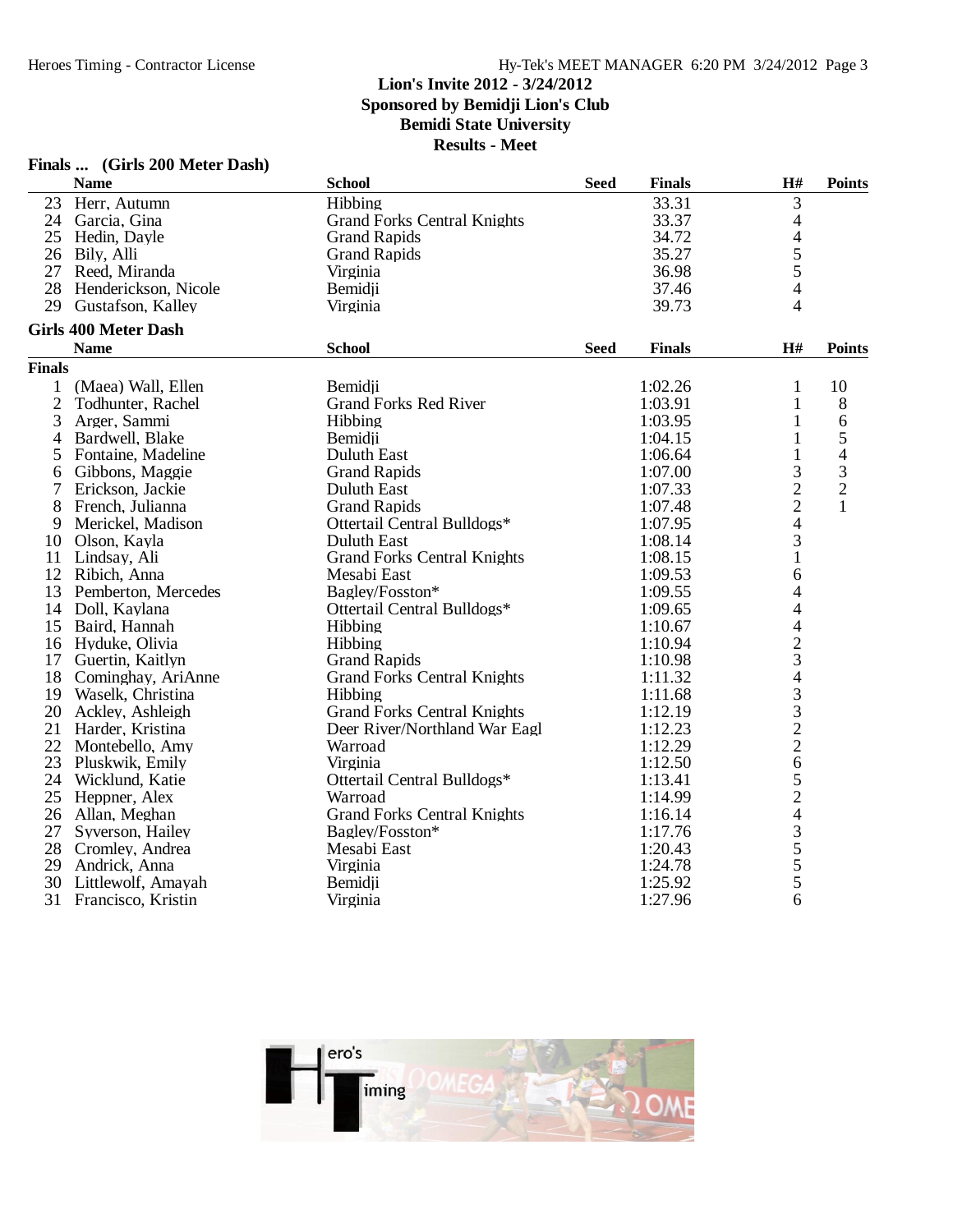# **Finals ... (Girls 200 Meter Dash)**

|                | <b>Name</b>                 | <b>School</b>                      | <b>Seed</b> | <b>Finals</b> | $\mathbf{H}$ #                                  | <b>Points</b>  |
|----------------|-----------------------------|------------------------------------|-------------|---------------|-------------------------------------------------|----------------|
| 23             | Herr, Autumn                | Hibbing                            |             | 33.31         | 3                                               |                |
|                | 24 Garcia, Gina             | <b>Grand Forks Central Knights</b> |             | 33.37         | 4                                               |                |
| 25             | Hedin, Dayle                | <b>Grand Rapids</b>                |             | 34.72         | 4                                               |                |
|                | 26 Bily, Alli               | <b>Grand Rapids</b>                |             | 35.27         | 5                                               |                |
|                | 27 Reed, Miranda            | Virginia                           |             | 36.98         | 5                                               |                |
| 28             | Henderickson, Nicole        | Bemidji                            |             | 37.46         | 4                                               |                |
| 29             | Gustafson, Kalley           | Virginia                           |             | 39.73         | 4                                               |                |
|                | <b>Girls 400 Meter Dash</b> |                                    |             |               |                                                 |                |
|                | <b>Name</b>                 | <b>School</b>                      | <b>Seed</b> | <b>Finals</b> | H#                                              | <b>Points</b>  |
| <b>Finals</b>  |                             |                                    |             |               |                                                 |                |
| $\mathbf{1}$   | (Maea) Wall, Ellen          | Bemidii                            |             | 1:02.26       | $\mathbf{1}$                                    | 10             |
| $\overline{c}$ | Todhunter, Rachel           | <b>Grand Forks Red River</b>       |             | 1:03.91       | $\mathbf{1}$                                    | $8\,$          |
| 3              | Arger, Sammi                | Hibbing                            |             | 1:03.95       | $\mathbf{1}$                                    | $\sqrt{6}$     |
| 4              | Bardwell, Blake             | Bemidji                            |             | 1:04.15       | 1                                               | 5              |
| 5              | Fontaine, Madeline          | Duluth East                        |             | 1:06.64       | 1                                               | 4              |
| 6              | Gibbons, Maggie             | <b>Grand Rapids</b>                |             | 1:07.00       | 3                                               | 3              |
| 7              | Erickson, Jackie            | Duluth East                        |             | 1:07.33       | $\overline{c}$                                  | $\overline{c}$ |
| 8              | French, Julianna            | <b>Grand Rapids</b>                |             | 1:07.48       | $\overline{c}$                                  |                |
| 9              | Merickel, Madison           | Ottertail Central Bulldogs*        |             | 1:07.95       | $\overline{4}$                                  |                |
| 10             | Olson, Kayla                | <b>Duluth East</b>                 |             | 1:08.14       | 3                                               |                |
| 11             | Lindsay, Ali                | <b>Grand Forks Central Knights</b> |             | 1:08.15       | $\mathbf 1$                                     |                |
|                | 12 Ribich, Anna             | Mesabi East                        |             | 1:09.53       | 6                                               |                |
| 13             | Pemberton, Mercedes         | Bagley/Fosston*                    |             | 1:09.55       | 4                                               |                |
| 14             | Doll, Kaylana               | Ottertail Central Bulldogs*        |             | 1:09.65       | 4                                               |                |
| 15             | Baird, Hannah               | Hibbing                            |             | 1:10.67       | $\overline{\mathcal{L}}$                        |                |
|                | 16 Hyduke, Olivia           | Hibbing                            |             | 1:10.94       | $\frac{2}{3}$                                   |                |
| 17             | Guertin, Kaitlyn            | <b>Grand Rapids</b>                |             | 1:10.98       |                                                 |                |
| 18             | Cominghay, AriAnne          | <b>Grand Forks Central Knights</b> |             | 1:11.32       |                                                 |                |
|                | 19 Waselk, Christina        | Hibbing                            |             | 1:11.68       |                                                 |                |
|                | 20 Ackley, Ashleigh         | <b>Grand Forks Central Knights</b> |             | 1:12.19       |                                                 |                |
| 21             | Harder, Kristina            | Deer River/Northland War Eagl      |             | 1:12.23       |                                                 |                |
| 22             | Montebello, Amy             | Warroad                            |             | 1:12.29       | $\frac{4}{3}$<br>$\frac{3}{2}$<br>$\frac{2}{2}$ |                |
| 23             | Pluskwik, Emily             | Virginia                           |             | 1:12.50       | $\overline{6}$                                  |                |
|                | 24 Wicklund, Katie          | Ottertail Central Bulldogs*        |             | 1:13.41       |                                                 |                |
| 25             | Heppner, Alex               | Warroad                            |             | 1:14.99       |                                                 |                |
|                | 26 Allan, Meghan            | <b>Grand Forks Central Knights</b> |             | 1:16.14       |                                                 |                |
| 27             | Syverson, Hailey            | Bagley/Fosston*                    |             | 1:17.76       |                                                 |                |
|                | 28 Cromley, Andrea          | Mesabi East                        |             | 1:20.43       | 524355                                          |                |
| 29             | Andrick, Anna               | Virginia                           |             | 1:24.78       |                                                 |                |
| 30             | Littlewolf, Amayah          | Bemidji                            |             | 1:25.92       |                                                 |                |
| 31             | Francisco, Kristin          | Virginia                           |             | 1:27.96       | 6                                               |                |

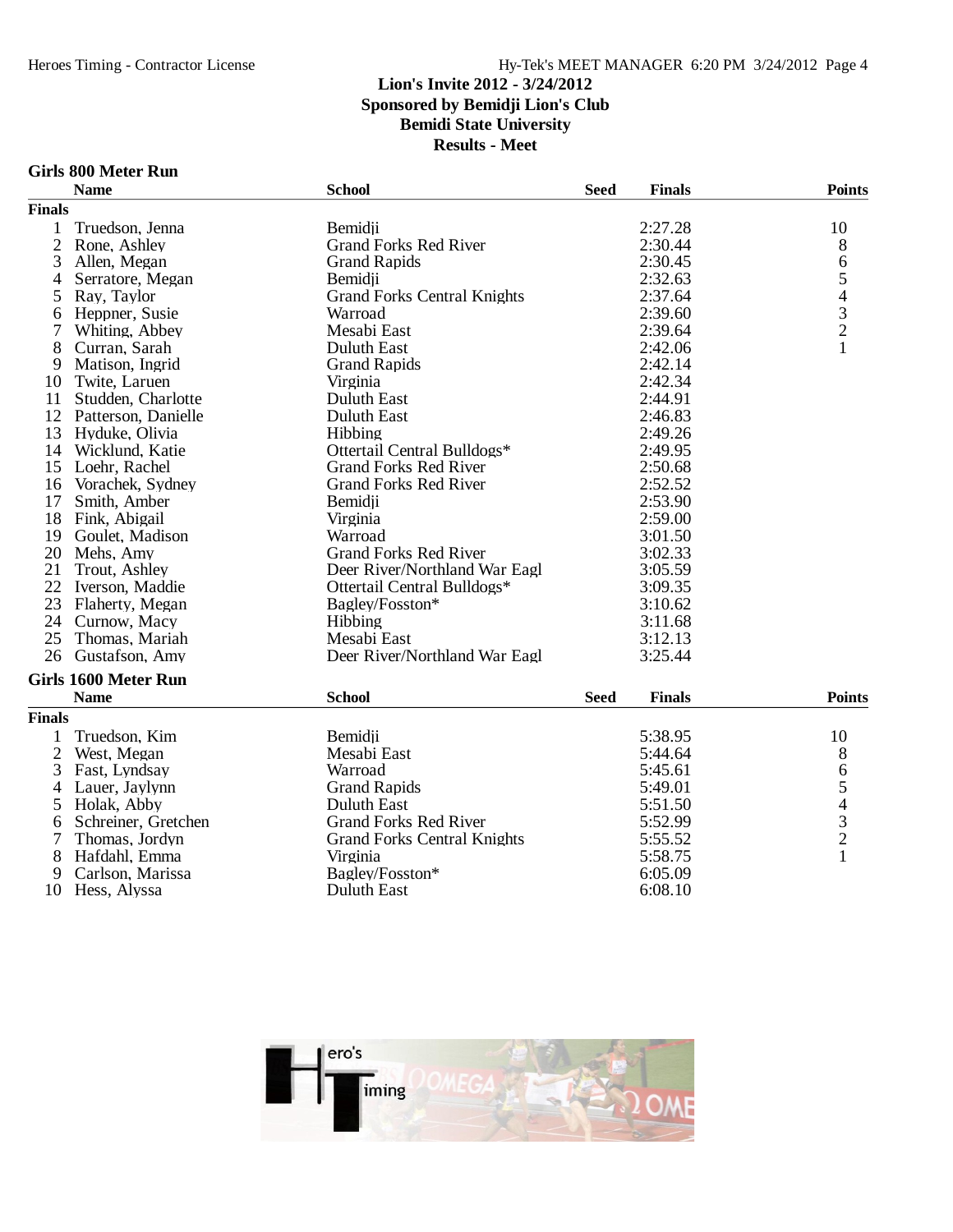#### **Lion's Invite 2012 - 3/24/2012 Sponsored by Bemidji Lion's Club Bemidi State University**

**Results - Meet**

#### **Girls 800 Meter Run**

|                | <b>Name</b>                 | <b>School</b>                      | <b>Seed</b> | <b>Finals</b> | <b>Points</b> |
|----------------|-----------------------------|------------------------------------|-------------|---------------|---------------|
| <b>Finals</b>  |                             |                                    |             |               |               |
|                | Truedson, Jenna             | Bemidii                            |             | 2:27.28       | 10            |
| $\overline{2}$ | Rone, Ashley                | <b>Grand Forks Red River</b>       |             | 2:30.44       | 8             |
| 3              | Allen, Megan                | <b>Grand Rapids</b>                |             | 2:30.45       | 6             |
| 4              | Serratore, Megan            | Bemidii                            |             | 2:32.63       | 54321         |
| 5              | Ray, Taylor                 | <b>Grand Forks Central Knights</b> |             | 2:37.64       |               |
| 6              | Heppner, Susie              | Warroad                            |             | 2:39.60       |               |
|                | Whiting, Abbey              | Mesabi East                        |             | 2:39.64       |               |
| 8              | Curran, Sarah               | Duluth East                        |             | 2:42.06       |               |
| 9              | Matison, Ingrid             | <b>Grand Rapids</b>                |             | 2:42.14       |               |
| 10             | Twite, Laruen               | Virginia                           |             | 2:42.34       |               |
| 11             | Studden, Charlotte          | Duluth East                        |             | 2:44.91       |               |
| 12             | Patterson, Danielle         | Duluth East                        |             | 2:46.83       |               |
| 13             | Hyduke, Olivia              | Hibbing                            |             | 2:49.26       |               |
| 14             | Wicklund, Katie             | Ottertail Central Bulldogs*        |             | 2:49.95       |               |
| 15             | Loehr, Rachel               | <b>Grand Forks Red River</b>       |             | 2:50.68       |               |
| 16             | Vorachek, Sydney            | <b>Grand Forks Red River</b>       |             | 2:52.52       |               |
| 17             | Smith, Amber                | Bemidii                            |             | 2:53.90       |               |
| 18             | Fink, Abigail               | Virginia                           |             | 2:59.00       |               |
| 19             | Goulet, Madison             | Warroad                            |             | 3:01.50       |               |
| 20             | Mehs, Amy                   | <b>Grand Forks Red River</b>       |             | 3:02.33       |               |
| 21             | Trout, Ashley               | Deer River/Northland War Eagl      |             | 3:05.59       |               |
| 22             | Iverson, Maddie             | Ottertail Central Bulldogs*        |             | 3:09.35       |               |
| 23             | Flaherty, Megan             | Bagley/Fosston*                    |             | 3:10.62       |               |
| 24             | Curnow, Macy                | <b>Hibbing</b>                     |             | 3:11.68       |               |
| 25             | Thomas, Mariah              | Mesabi East                        |             | 3:12.13       |               |
| 26             | Gustafson, Amy              | Deer River/Northland War Eagl      |             | 3:25.44       |               |
|                | <b>Girls 1600 Meter Run</b> |                                    |             |               |               |
|                | <b>Name</b>                 | <b>School</b>                      | <b>Seed</b> | <b>Finals</b> | <b>Points</b> |
| <b>Finals</b>  |                             |                                    |             |               |               |
|                | Truedson, Kim               | Bemidji                            |             | 5:38.95       | 10            |
| 2              | West, Megan                 | Mesabi East                        |             | 5:44.64       | 8             |



10 Hess, Alyssa

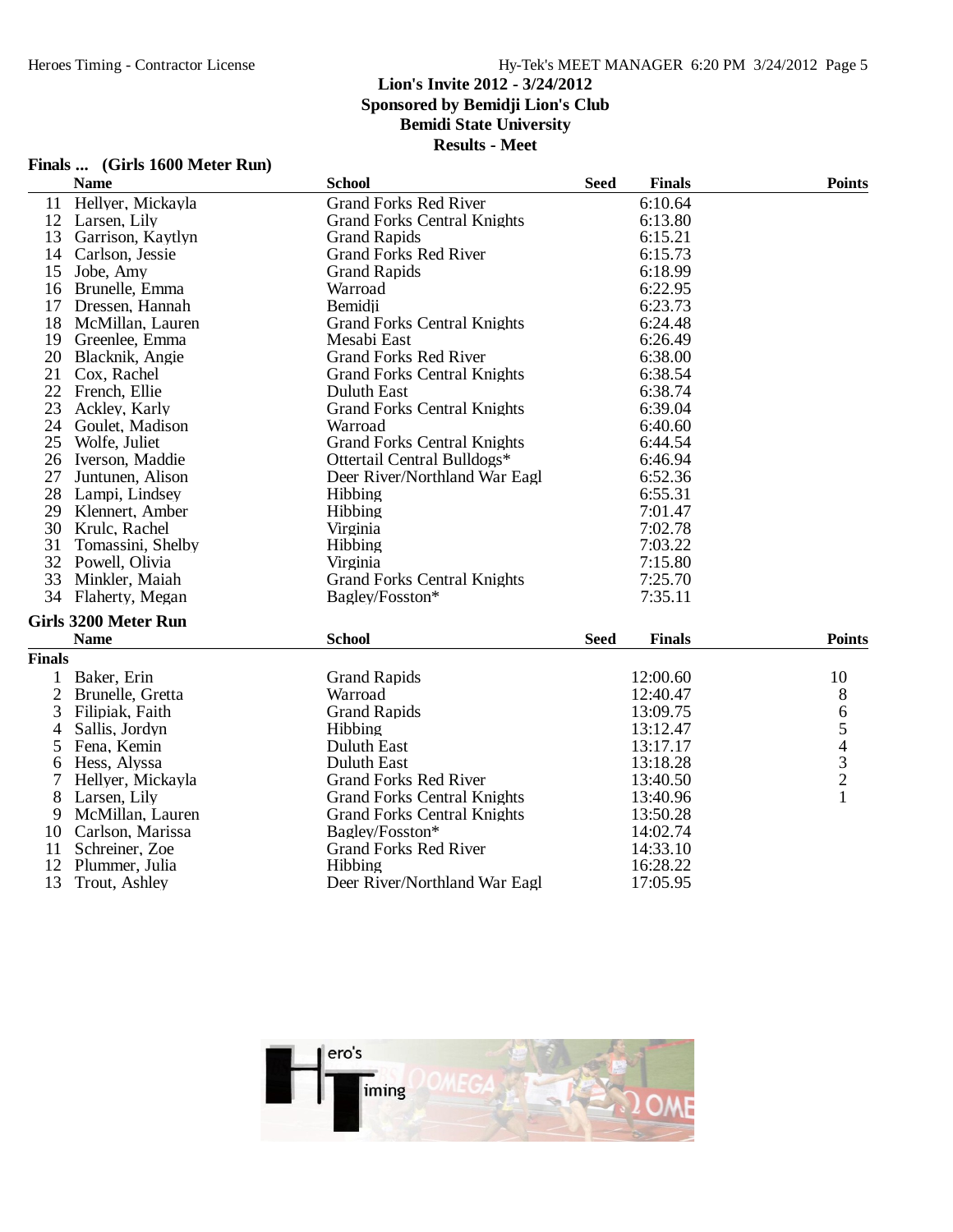|                | Finals  (Girls 1600 Meter Run) |                                    |             |               |                |
|----------------|--------------------------------|------------------------------------|-------------|---------------|----------------|
|                | <b>Name</b>                    | <b>School</b>                      | <b>Seed</b> | <b>Finals</b> | <b>Points</b>  |
| 11             | Hellyer, Mickayla              | <b>Grand Forks Red River</b>       |             | 6:10.64       |                |
|                | 12 Larsen, Lily                | <b>Grand Forks Central Knights</b> |             | 6:13.80       |                |
|                | 13 Garrison, Kaytlyn           | <b>Grand Rapids</b>                |             | 6:15.21       |                |
|                | 14 Carlson, Jessie             | <b>Grand Forks Red River</b>       |             | 6:15.73       |                |
| 15             | Jobe, Amy                      | <b>Grand Rapids</b>                |             | 6:18.99       |                |
|                | 16 Brunelle, Emma              | Warroad                            |             | 6:22.95       |                |
|                | 17 Dressen, Hannah             | Bemidji                            |             | 6:23.73       |                |
|                | 18 McMillan, Lauren            | <b>Grand Forks Central Knights</b> |             | 6:24.48       |                |
|                | 19 Greenlee, Emma              | Mesabi East                        |             | 6:26.49       |                |
| 20             | Blacknik, Angie                | <b>Grand Forks Red River</b>       |             | 6:38.00       |                |
|                | 21 Cox, Rachel                 | <b>Grand Forks Central Knights</b> |             | 6:38.54       |                |
| 22             | French, Ellie                  | <b>Duluth East</b>                 |             | 6:38.74       |                |
| 23             | Ackley, Karly                  | <b>Grand Forks Central Knights</b> |             | 6:39.04       |                |
| 24             | Goulet, Madison                | Warroad                            |             | 6:40.60       |                |
|                | 25 Wolfe, Juliet               | <b>Grand Forks Central Knights</b> |             | 6:44.54       |                |
|                | 26 Iverson, Maddie             | Ottertail Central Bulldogs*        |             | 6:46.94       |                |
| 27             | Juntunen, Alison               | Deer River/Northland War Eagl      |             | 6:52.36       |                |
|                | 28 Lampi, Lindsey              | Hibbing                            |             | 6:55.31       |                |
|                | 29 Klennert, Amber             | Hibbing                            |             | 7:01.47       |                |
|                | 30 Krulc, Rachel               | Virginia                           |             | 7:02.78       |                |
| 31             | Tomassini, Shelby              | <b>Hibbing</b>                     |             | 7:03.22       |                |
|                | 32 Powell, Olivia              | Virginia                           |             | 7:15.80       |                |
| 33             | Minkler, Maiah                 | <b>Grand Forks Central Knights</b> |             | 7:25.70       |                |
| 34             | Flaherty, Megan                | Bagley/Fosston*                    |             | 7:35.11       |                |
|                | <b>Girls 3200 Meter Run</b>    |                                    |             |               |                |
|                | <b>Name</b>                    | <b>School</b>                      | <b>Seed</b> | <b>Finals</b> | <b>Points</b>  |
| <b>Finals</b>  |                                |                                    |             |               |                |
|                |                                | <b>Grand Rapids</b>                |             | 12:00.60      |                |
| $\mathbf{1}$   | Baker, Erin                    | Warroad                            |             |               | 10             |
| $\overline{c}$ | Brunelle, Gretta               |                                    |             | 12:40.47      | 8              |
| 3              | Filipiak, Faith                | <b>Grand Rapids</b>                |             | 13:09.75      | 6              |
| 4              | Sallis, Jordyn                 | Hibbing                            |             | 13:12.47      | 5              |
| 5              | Fena, Kemin                    | Duluth East                        |             | 13:17.17      | $\overline{4}$ |
| 6              | Hess, Alyssa                   | Duluth East                        |             | 13:18.28      | $\frac{3}{2}$  |
|                | Hellyer, Mickayla              | <b>Grand Forks Red River</b>       |             | 13:40.50      |                |
| 8              | Larsen, Lily                   | <b>Grand Forks Central Knights</b> |             | 13:40.96      | $\mathbf{1}$   |
| 9              | McMillan, Lauren               | <b>Grand Forks Central Knights</b> |             | 13:50.28      |                |
| 10             | Carlson, Marissa               | Bagley/Fosston*                    |             | 14:02.74      |                |
| 11             | Schreiner, Zoe                 | <b>Grand Forks Red River</b>       |             | 14:33.10      |                |
| 12             | Plummer, Julia                 | Hibbing                            |             | 16:28.22      |                |

12 Plummer, Julia 16:28.22<br>
13 Trout, Ashley Deer River/Northland War Eagl 17:05.95

Deer River/Northland War Eagl

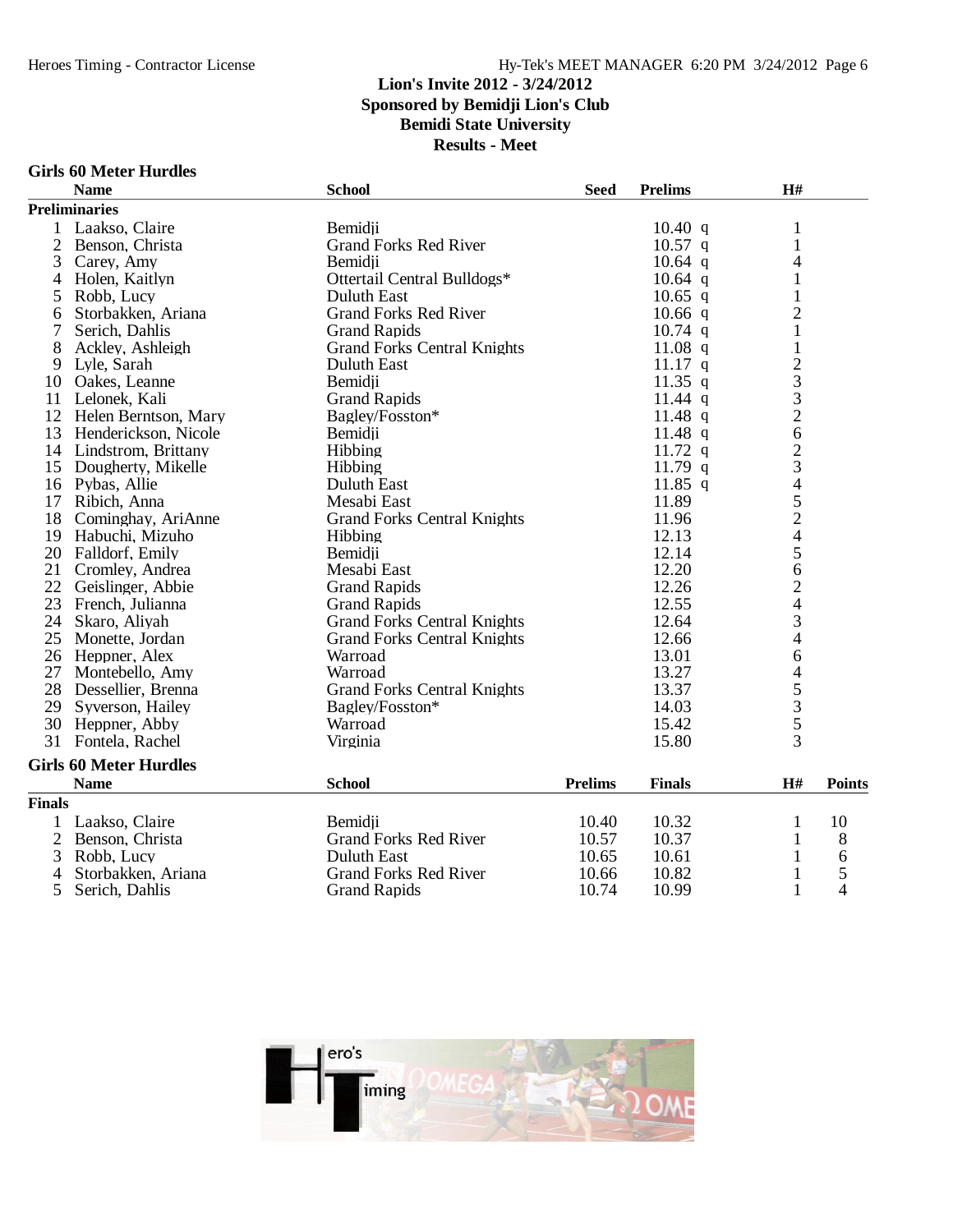**Results - Meet**

#### **Girls 60 Meter Hurdles**

|                | <b>Name</b>                   | <b>School</b>                      | <b>Seed</b>    | <b>Prelims</b> | H#                       |               |
|----------------|-------------------------------|------------------------------------|----------------|----------------|--------------------------|---------------|
|                | <b>Preliminaries</b>          |                                    |                |                |                          |               |
| $\mathbf{1}$   | Laakso, Claire                | Bemidii                            |                | 10.40 q        | $\mathbf{1}$             |               |
| $\overline{2}$ | Benson, Christa               | <b>Grand Forks Red River</b>       |                | $10.57$ q      | $\mathbf{1}$             |               |
| 3              | Carey, Amy                    | Bemidji                            |                | $10.64$ q      | 4                        |               |
| $\overline{4}$ | Holen, Kaitlyn                | Ottertail Central Bulldogs*        |                | $10.64$ q      | 1                        |               |
| 5              | Robb, Lucy                    | <b>Duluth East</b>                 |                | $10.65$ q      | $\mathbf{1}$             |               |
| 6              | Storbakken, Ariana            | <b>Grand Forks Red River</b>       |                | $10.66$ q      | $\overline{2}$           |               |
| 7              | Serich, Dahlis                | <b>Grand Rapids</b>                |                | $10.74$ q      | $\mathbf{1}$             |               |
| 8              | Ackley, Ashleigh              | <b>Grand Forks Central Knights</b> |                | 11.08 $q$      | $\mathbf{1}$             |               |
|                | 9 Lyle, Sarah                 | <b>Duluth East</b>                 |                | $11.17$ q      | $\frac{2}{3}$            |               |
| 10             | Oakes, Leanne                 | Bemidji                            |                | $11.35$ q      |                          |               |
| 11             | Lelonek, Kali                 | <b>Grand Rapids</b>                |                | $11.44$ q      | $\frac{3}{2}$            |               |
| 12             | Helen Berntson, Mary          | Bagley/Fosston*                    |                | 11.48 $q$      |                          |               |
| 13             | Henderickson, Nicole          | Bemidji                            |                | 11.48 $q$      | 6                        |               |
|                | 14 Lindstrom, Brittany        | Hibbing                            |                | $11.72$ q      | $\overline{c}$           |               |
|                | 15 Dougherty, Mikelle         | Hibbing                            |                | 11.79 $q$      | 3                        |               |
|                | 16 Pybas, Allie               | <b>Duluth East</b>                 |                | $11.85$ q      |                          |               |
| 17             | Ribich, Anna                  | Mesabi East                        |                | 11.89          | 45245                    |               |
| 18             | Cominghay, AriAnne            | <b>Grand Forks Central Knights</b> |                | 11.96          |                          |               |
|                | 19 Habuchi, Mizuho            | Hibbing                            |                | 12.13          |                          |               |
|                | 20 Falldorf, Emily            | Bemidii                            |                | 12.14          |                          |               |
| 21             | Cromley, Andrea               | Mesabi East                        |                | 12.20          | 6                        |               |
| 22             | Geislinger, Abbie             | <b>Grand Rapids</b>                |                | 12.26          | $\overline{c}$           |               |
|                | 23 French, Julianna           | <b>Grand Rapids</b>                |                | 12.55          | $\overline{\mathcal{A}}$ |               |
| 24             | Skaro, Aliyah                 | <b>Grand Forks Central Knights</b> |                | 12.64          | 3                        |               |
|                | 25 Monette, Jordan            | <b>Grand Forks Central Knights</b> |                | 12.66          | 4                        |               |
|                | 26 Heppner, Alex              | Warroad                            |                | 13.01          | 6                        |               |
| 27             | Montebello, Amy               | Warroad                            |                | 13.27          | 4                        |               |
|                | 28 Dessellier, Brenna         | <b>Grand Forks Central Knights</b> |                | 13.37          | 5                        |               |
|                | 29 Syverson, Hailey           | Bagley/Fosston*                    |                | 14.03          | $rac{3}{5}$              |               |
|                | 30 Heppner, Abby              | Warroad                            |                | 15.42          |                          |               |
| 31             | Fontela, Rachel               | Virginia                           |                | 15.80          | $\overline{3}$           |               |
|                | <b>Girls 60 Meter Hurdles</b> |                                    |                |                |                          |               |
|                | <b>Name</b>                   | <b>School</b>                      | <b>Prelims</b> | <b>Finals</b>  | H#                       | <b>Points</b> |
| <b>Finals</b>  |                               |                                    |                |                |                          |               |
|                | 1 Laakso, Claire              | Bemidii                            | 10.40          | 10.32          | 1                        | 10            |
| $\overline{2}$ | Benson, Christa               | <b>Grand Forks Red River</b>       | 10.57          | 10.37          | 1                        | 8             |
| 3              | Robb, Lucy                    | <b>Duluth East</b>                 | 10.65          | 10.61          | 1                        | 6             |
| 4              | Storbakken, Ariana            | <b>Grand Forks Red River</b>       | 10.66          | 10.82          | 1                        | 5             |
| 5              | Serich, Dahlis                | <b>Grand Rapids</b>                | 10.74          | 10.99          | $\mathbf{1}$             | 4             |

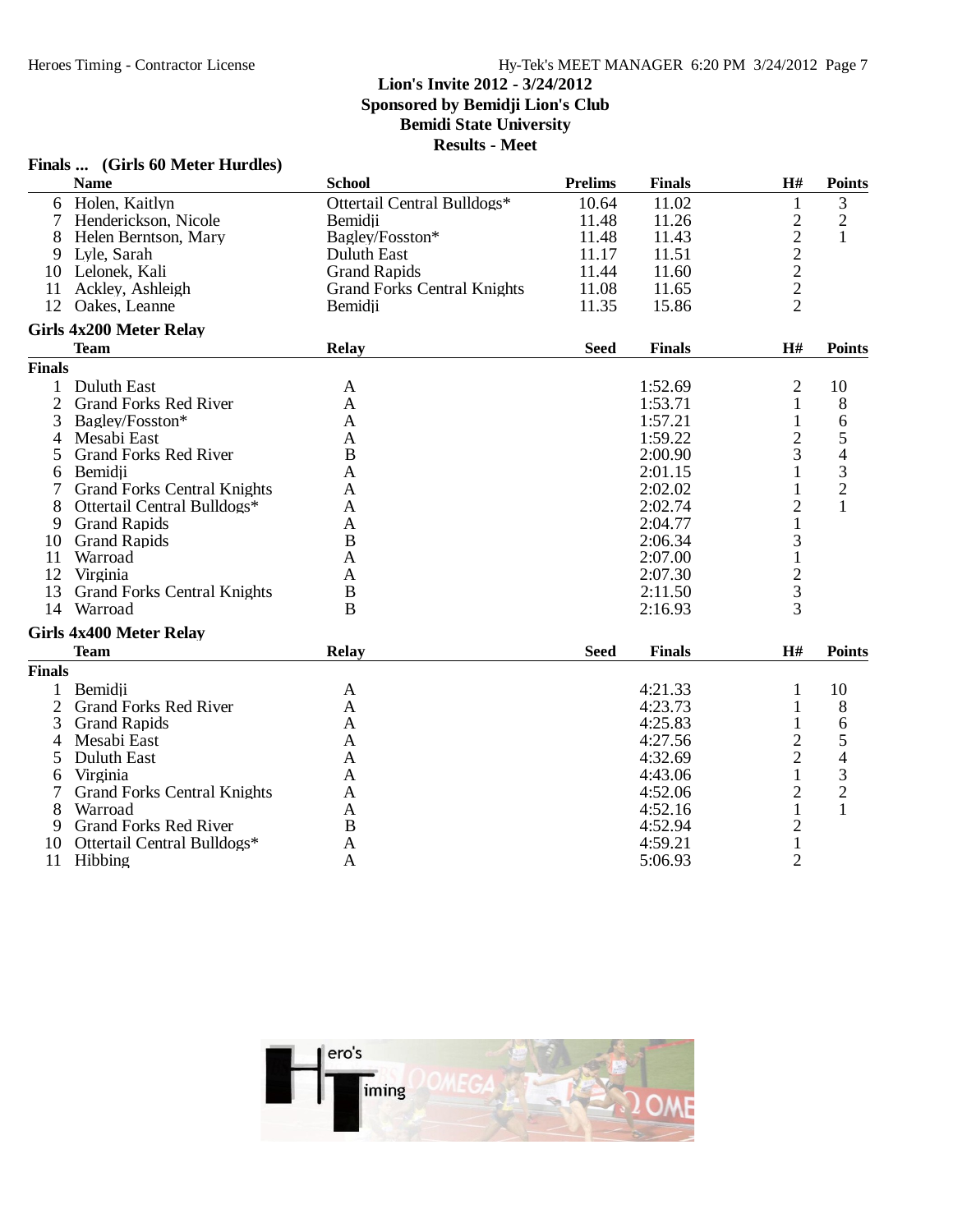### **Finals ... (Girls 60 Meter Hurdles)**

|                | <b>Name</b>                        | <b>School</b>                      | <b>Prelims</b> | <b>Finals</b> | H#                      | <b>Points</b>  |
|----------------|------------------------------------|------------------------------------|----------------|---------------|-------------------------|----------------|
| 6              | Holen, Kaitlyn                     | Ottertail Central Bulldogs*        | 10.64          | 11.02         | 1                       | 3              |
| 7              | Henderickson, Nicole               | Bemidji                            | 11.48          | 11.26         | $\mathfrak{2}$          | $\overline{2}$ |
| 8              | Helen Berntson, Mary               | Bagley/Fosston*                    | 11.48          | 11.43         | $\sqrt{2}$              | $\mathbf{1}$   |
| 9              | Lyle, Sarah                        | Duluth East                        | 11.17          | 11.51         | $\overline{\mathbf{c}}$ |                |
|                | 10 Lelonek, Kali                   | <b>Grand Rapids</b>                | 11.44          | 11.60         | $\overline{c}$          |                |
| 11             | Ackley, Ashleigh                   | <b>Grand Forks Central Knights</b> | 11.08          | 11.65         | $\overline{c}$          |                |
| 12             | Oakes, Leanne                      | Bemidji                            | 11.35          | 15.86         | $\overline{2}$          |                |
|                | <b>Girls 4x200 Meter Relay</b>     |                                    |                |               |                         |                |
|                | <b>Team</b>                        | <b>Relay</b>                       | <b>Seed</b>    | <b>Finals</b> | H#                      | <b>Points</b>  |
| <b>Finals</b>  |                                    |                                    |                |               |                         |                |
| 1              | Duluth East                        | A                                  |                | 1:52.69       | $\overline{2}$          | 10             |
| $\overline{2}$ | <b>Grand Forks Red River</b>       | A                                  |                | 1:53.71       | 1                       | 8              |
| 3              | Bagley/Fosston*                    | A                                  |                | 1:57.21       | 1                       | 6              |
| 4              | Mesabi East                        | A                                  |                | 1:59.22       | $\overline{2}$          | 5              |
| 5              | <b>Grand Forks Red River</b>       | B                                  |                | 2:00.90       | 3                       | $\overline{4}$ |
| 6              | Bemidji                            | A                                  |                | 2:01.15       | 1                       | 3              |
| 7              | <b>Grand Forks Central Knights</b> | A                                  |                | 2:02.02       |                         | $\overline{2}$ |
| 8              | Ottertail Central Bulldogs*        | A                                  |                | 2:02.74       | $\overline{2}$          |                |
| 9              | <b>Grand Rapids</b>                | A                                  |                | 2:04.77       |                         |                |
| 10             | <b>Grand Rapids</b>                | B                                  |                | 2:06.34       | 3                       |                |
| 11             | Warroad                            | A                                  |                | 2:07.00       | $\mathbf{1}$            |                |
| 12             | Virginia                           | A                                  |                | 2:07.30       | $\frac{2}{3}$           |                |
| 13             | <b>Grand Forks Central Knights</b> | B                                  |                | 2:11.50       |                         |                |
|                | 14 Warroad                         | B                                  |                | 2:16.93       | 3                       |                |
|                | <b>Girls 4x400 Meter Relay</b>     |                                    |                |               |                         |                |
|                | <b>Team</b>                        | <b>Relay</b>                       | <b>Seed</b>    | <b>Finals</b> | H#                      | <b>Points</b>  |
| <b>Finals</b>  |                                    |                                    |                |               |                         |                |
|                | Bemidii                            | A                                  |                | 4:21.33       | 1                       | 10             |
| $\overline{2}$ | <b>Grand Forks Red River</b>       | A                                  |                | 4:23.73       | 1                       | 8              |
| 3              | <b>Grand Rapids</b>                | A                                  |                | 4:25.83       | 1                       | 6              |
| 4              | Mesabi East                        | A                                  |                | 4:27.56       | $\overline{c}$          | 5              |
| 5              | Duluth East                        | A                                  |                | 4:32.69       | $\overline{2}$          | 4              |
| 6              | Virginia                           | A                                  |                | 4:43.06       | 1                       | 3              |
|                | <b>Grand Forks Central Knights</b> | A                                  |                | 4:52.06       | 2                       | $\overline{c}$ |
| 8              | Warroad                            | A                                  |                | 4:52.16       | $\mathbf{1}$            | $\mathbf{1}$   |
| 9              | <b>Grand Forks Red River</b>       | B                                  |                | 4:52.94       | $\mathbf{2}$            |                |
| 10             | Ottertail Central Bulldogs*        | A                                  |                | 4:59.21       | $\mathbf 1$             |                |
|                | 11 Hibbing                         | A                                  |                | 5:06.93       | $\overline{2}$          |                |

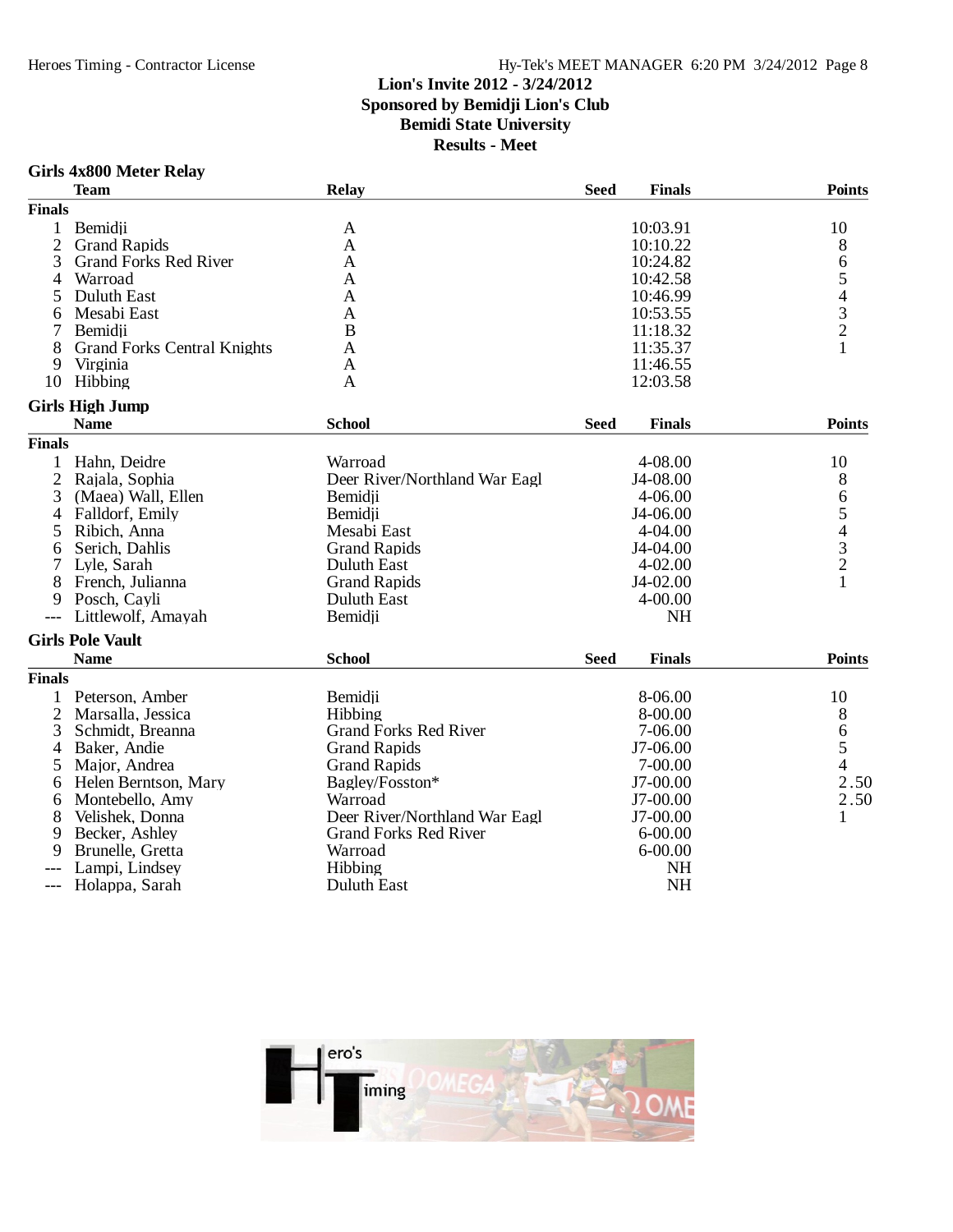### Hy-Tek's MEET MANAGER 6:20 PM 3/24/2012 Page 8

### **Lion's Invite 2012 - 3/24/2012 Sponsored by Bemidji Lion's Club Bemidi State University**

|                | <b>Girls 4x800 Meter Relay</b>     |                               |             |               |                                            |
|----------------|------------------------------------|-------------------------------|-------------|---------------|--------------------------------------------|
|                | <b>Team</b>                        | Relay                         | <b>Seed</b> | <b>Finals</b> | <b>Points</b>                              |
| <b>Finals</b>  |                                    |                               |             |               |                                            |
| $\mathbf{1}$   | Bemidii                            | A                             |             | 10:03.91      | 10                                         |
| $\overline{c}$ | <b>Grand Rapids</b>                | A                             |             | 10:10.22      | 8                                          |
| 3              | <b>Grand Forks Red River</b>       | A                             |             | 10:24.82      | 6                                          |
| 4              | Warroad                            | A                             |             | 10:42.58      | 5                                          |
| 5              | Duluth East                        | A                             |             | 10:46.99      |                                            |
| 6              | Mesabi East                        | A                             |             | 10:53.55      |                                            |
|                | Bemidii                            | B                             |             | 11:18.32      | $\begin{array}{c} 4 \\ 3 \\ 2 \end{array}$ |
| 8              | <b>Grand Forks Central Knights</b> | A                             |             | 11:35.37      | $\mathbf{1}$                               |
| 9              | Virginia                           | A                             |             | 11:46.55      |                                            |
| 10             | Hibbing                            | A                             |             | 12:03.58      |                                            |
|                | <b>Girls High Jump</b>             |                               |             |               |                                            |
|                | <b>Name</b>                        | <b>School</b>                 | <b>Seed</b> | <b>Finals</b> | <b>Points</b>                              |
| <b>Finals</b>  |                                    |                               |             |               |                                            |
| $\mathbf{1}$   | Hahn, Deidre                       | Warroad                       |             | 4-08.00       | 10                                         |
| 2              | Rajala, Sophia                     | Deer River/Northland War Eagl |             | J4-08.00      | 8                                          |
| 3              | (Maea) Wall, Ellen                 | Bemidji                       |             | $4 - 06.00$   | 6                                          |
| 4              | Falldorf, Emily                    | Bemidji                       |             | J4-06.00      | 5                                          |
| 5              | Ribich, Anna                       | Mesabi East                   |             | $4 - 04.00$   |                                            |
| 6              | Serich, Dahlis                     | <b>Grand Rapids</b>           |             | J4-04.00      | $\begin{array}{c} 4 \\ 3 \\ 2 \end{array}$ |
|                | Lyle, Sarah                        | Duluth East                   |             | $4 - 02.00$   |                                            |
| 8              | French, Julianna                   | <b>Grand Rapids</b>           |             | J4-02.00      | $\mathbf{1}$                               |
| 9              | Posch, Cayli                       | Duluth East                   |             | $4 - 00.00$   |                                            |
|                | Littlewolf, Amayah                 | Bemidji                       |             | <b>NH</b>     |                                            |
|                | <b>Girls Pole Vault</b>            |                               |             |               |                                            |
|                | <b>Name</b>                        | <b>School</b>                 | <b>Seed</b> | <b>Finals</b> | <b>Points</b>                              |
| <b>Finals</b>  |                                    |                               |             |               |                                            |
| $\mathbf{1}$   | Peterson, Amber                    | Bemidji                       |             | 8-06.00       | 10                                         |
| 2              | Marsalla, Jessica                  | Hibbing                       |             | 8-00.00       | 8                                          |
| 3              | Schmidt, Breanna                   | <b>Grand Forks Red River</b>  |             | 7-06.00       | 6                                          |
| 4              | Baker, Andie                       | <b>Grand Rapids</b>           |             | J7-06.00      | 5                                          |
| 5              | Major, Andrea                      | <b>Grand Rapids</b>           |             | 7-00.00       | $\overline{4}$                             |
| 6              | Helen Berntson, Mary               | Bagley/Fosston*               |             | J7-00.00      | 2.50                                       |
| 6              | Montebello, Amy                    | Warroad                       |             | J7-00.00      | 2.50                                       |
| 8              | Velishek, Donna                    | Deer River/Northland War Eagl |             | J7-00.00      | 1                                          |
| 9              | Becker, Ashley                     | <b>Grand Forks Red River</b>  |             | $6 - 00.00$   |                                            |
| 9              | Brunelle, Gretta                   | Warroad                       |             | $6 - 00.00$   |                                            |
|                | Lampi, Lindsey                     | Hibbing                       |             | <b>NH</b>     |                                            |
| $---$          | Holappa, Sarah                     | <b>Duluth East</b>            |             | <b>NH</b>     |                                            |

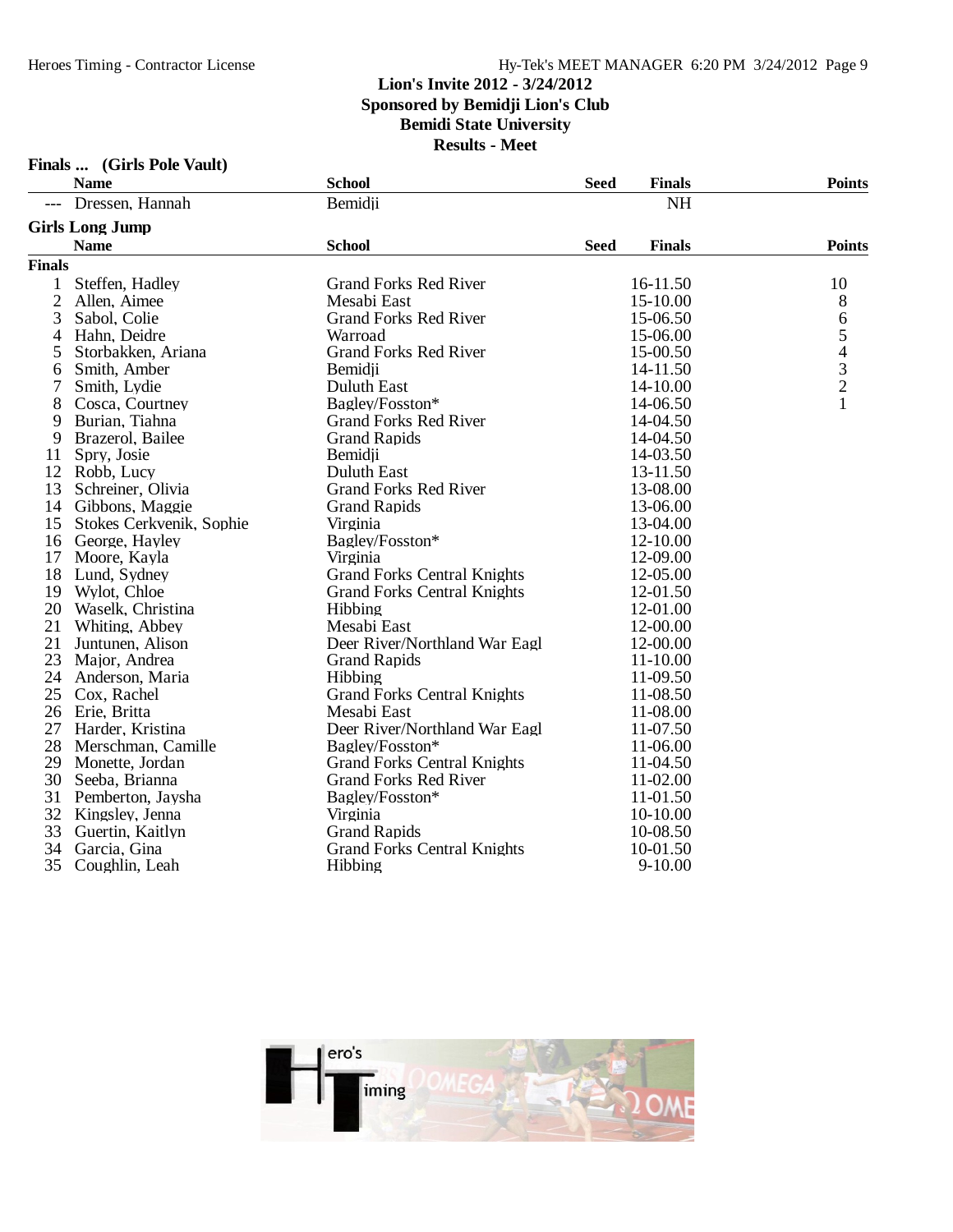### Hy-Tek's MEET MANAGER 6:20 PM 3/24/2012 Page 9

### **Lion's Invite 2012 - 3/24/2012 Sponsored by Bemidji Lion's Club**

**Bemidi State University**

| (Girls Pole Vault) |  |  | Finals |
|--------------------|--|--|--------|
|--------------------|--|--|--------|

| <b>NH</b><br>Dressen, Hannah<br>Bemidji                                 |                                            |
|-------------------------------------------------------------------------|--------------------------------------------|
|                                                                         |                                            |
| <b>Girls Long Jump</b>                                                  |                                            |
| <b>School</b><br><b>Seed</b><br><b>Name</b><br><b>Finals</b>            | <b>Points</b>                              |
| <b>Finals</b>                                                           |                                            |
| <b>Grand Forks Red River</b><br>Steffen, Hadley<br>16-11.50<br>1        | 10                                         |
| $\overline{2}$<br>Allen, Aimee<br>Mesabi East<br>15-10.00               | 8                                          |
| 3<br><b>Grand Forks Red River</b><br>Sabol, Colie<br>15-06.50           | 6                                          |
| Hahn, Deidre<br>Warroad<br>15-06.00<br>4                                | 5                                          |
| Storbakken, Ariana<br><b>Grand Forks Red River</b><br>15-00.50<br>5     |                                            |
| Smith, Amber<br>Bemidii<br>14-11.50<br>6                                | $\begin{array}{c} 4 \\ 3 \\ 2 \end{array}$ |
| 7<br>Duluth East<br>Smith, Lydie<br>14-10.00                            |                                            |
| 8<br>Cosca, Courtney<br>Bagley/Fosston*<br>14-06.50                     | $\mathbf{1}$                               |
| 9<br>Burian, Tiahna<br><b>Grand Forks Red River</b><br>14-04.50         |                                            |
| 9<br>Brazerol, Bailee<br><b>Grand Rapids</b><br>14-04.50                |                                            |
| 14-03.50<br>11<br>Spry, Josie<br>Bemidii                                |                                            |
| 12<br><b>Duluth East</b><br>13-11.50<br>Robb, Lucy                      |                                            |
| 13<br>Schreiner, Olivia<br><b>Grand Forks Red River</b><br>13-08.00     |                                            |
| 14<br>Gibbons, Maggie<br><b>Grand Rapids</b><br>13-06.00                |                                            |
| Virginia<br>15<br>Stokes Cerkvenik, Sophie<br>13-04.00                  |                                            |
| Bagley/Fosston*<br>12-10.00<br>16<br>George, Hayley                     |                                            |
| 17<br>Moore, Kayla<br>12-09.00<br>Virginia                              |                                            |
| 18<br><b>Grand Forks Central Knights</b><br>12-05.00<br>Lund, Sydney    |                                            |
| 19<br><b>Grand Forks Central Knights</b><br>12-01.50<br>Wylot, Chloe    |                                            |
| 20<br>Waselk, Christina<br>Hibbing<br>12-01.00                          |                                            |
| 21<br>Mesabi East<br>12-00.00<br>Whiting, Abbey                         |                                            |
| 21<br>Deer River/Northland War Eagl<br>12-00.00<br>Juntunen, Alison     |                                            |
| 23<br><b>Grand Rapids</b><br>11-10.00<br>Major, Andrea                  |                                            |
| 24<br>11-09.50<br>Anderson, Maria<br>Hibbing                            |                                            |
| 25<br><b>Grand Forks Central Knights</b><br>11-08.50<br>Cox, Rachel     |                                            |
| 26<br>11-08.00<br>Erie, Britta<br>Mesabi East                           |                                            |
| 27<br>Harder, Kristina<br>Deer River/Northland War Eagl<br>11-07.50     |                                            |
| 28<br>Merschman, Camille<br>Bagley/Fosston*<br>11-06.00                 |                                            |
| 29<br>Monette, Jordan<br><b>Grand Forks Central Knights</b><br>11-04.50 |                                            |
| 30<br>Seeba, Brianna<br><b>Grand Forks Red River</b><br>11-02.00        |                                            |
| 31<br>Pemberton, Jaysha<br>Bagley/Fosston*<br>11-01.50                  |                                            |
| 32<br>10-10.00<br>Kingsley, Jenna<br>Virginia                           |                                            |
| 33<br>Guertin, Kaitlyn<br><b>Grand Rapids</b><br>10-08.50               |                                            |
| 34<br><b>Grand Forks Central Knights</b><br>10-01.50<br>Garcia, Gina    |                                            |
| 35<br>Coughlin, Leah<br>Hibbing<br>$9 - 10.00$                          |                                            |

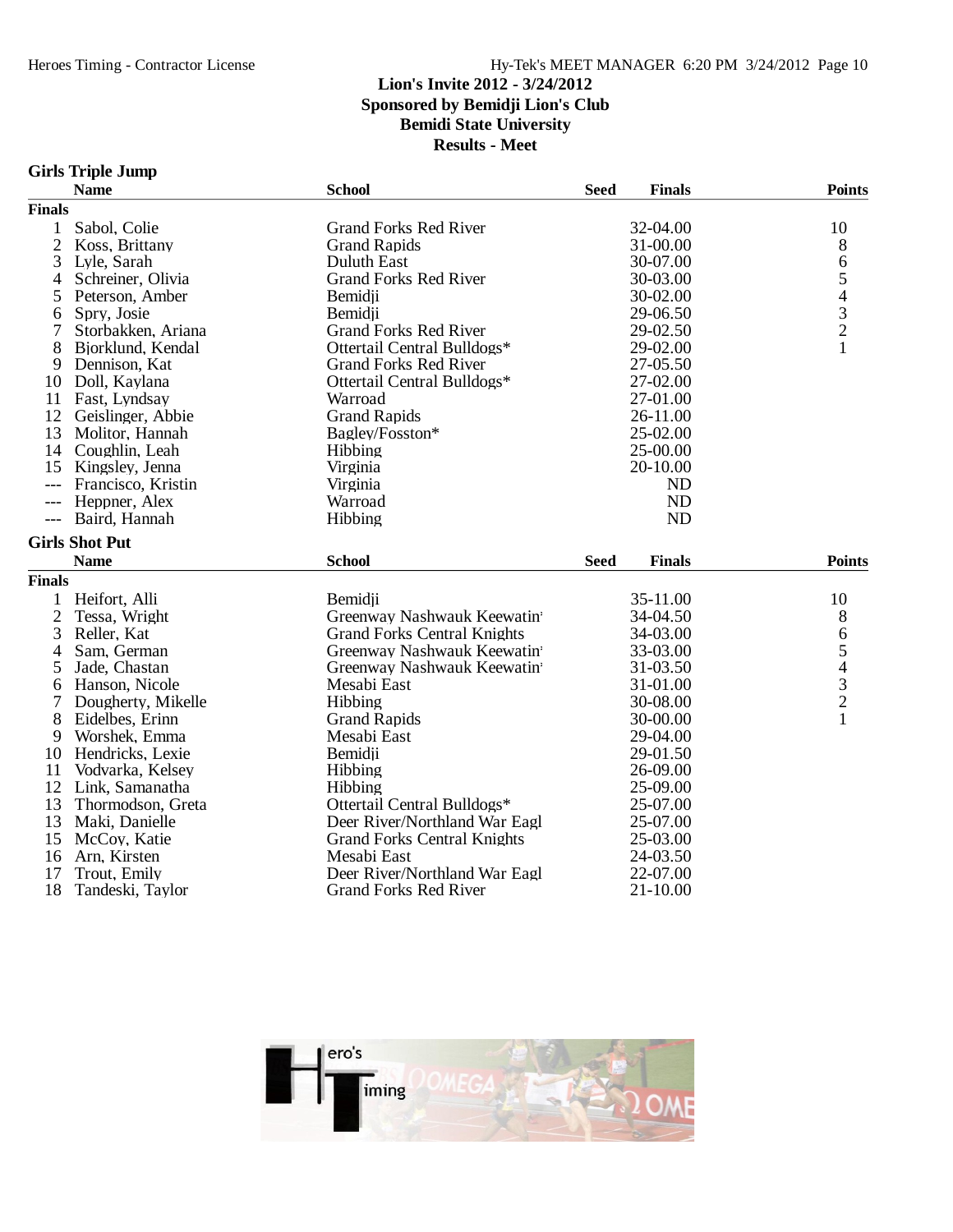### **Girls Triple Jump**

|                | <b>Name</b>                  | <b>School</b>                                | <b>Seed</b><br><b>Finals</b> | <b>Points</b>                                   |
|----------------|------------------------------|----------------------------------------------|------------------------------|-------------------------------------------------|
| <b>Finals</b>  |                              |                                              |                              |                                                 |
| $\mathbf{1}$   | Sabol, Colie                 | <b>Grand Forks Red River</b>                 | 32-04.00                     | 10                                              |
| $\overline{2}$ | Koss, Brittany               | <b>Grand Rapids</b>                          | 31-00.00                     | 8                                               |
| 3              | Lyle, Sarah                  | <b>Duluth East</b>                           | 30-07.00                     | 6                                               |
| 4              | Schreiner, Olivia            | <b>Grand Forks Red River</b>                 | 30-03.00                     | 5                                               |
| 5              | Peterson, Amber              | Bemidji                                      | 30-02.00                     |                                                 |
| 6              | Spry, Josie                  | Bemidji                                      | 29-06.50                     |                                                 |
| 7              | Storbakken, Ariana           | <b>Grand Forks Red River</b>                 | 29-02.50                     | $\begin{array}{c} 4 \\ 3 \\ 2 \\ 1 \end{array}$ |
| 8              | Bjorklund, Kendal            | Ottertail Central Bulldogs*                  | 29-02.00                     |                                                 |
| 9              | Dennison, Kat                | <b>Grand Forks Red River</b>                 | 27-05.50                     |                                                 |
| 10             | Doll, Kaylana                | Ottertail Central Bulldogs*                  | 27-02.00                     |                                                 |
|                | 11 Fast, Lyndsay             | Warroad                                      | 27-01.00                     |                                                 |
| 12             | Geislinger, Abbie            | <b>Grand Rapids</b>                          | 26-11.00                     |                                                 |
| 13             | Molitor, Hannah              | Bagley/Fosston*                              | 25-02.00                     |                                                 |
| 14             | Coughlin, Leah               | Hibbing                                      | 25-00.00                     |                                                 |
| 15             | Kingsley, Jenna              | Virginia                                     | 20-10.00                     |                                                 |
| $---$          | Francisco, Kristin           | Virginia                                     | <b>ND</b>                    |                                                 |
| $---$          | Heppner, Alex                | Warroad                                      | <b>ND</b>                    |                                                 |
| $---$          | Baird, Hannah                | Hibbing                                      | <b>ND</b>                    |                                                 |
|                | <b>Girls Shot Put</b>        |                                              |                              |                                                 |
|                | <b>Name</b>                  | <b>School</b>                                | <b>Seed</b><br><b>Finals</b> | <b>Points</b>                                   |
| <b>Finals</b>  |                              |                                              |                              |                                                 |
| 1              | Heifort, Alli                | Bemidii                                      | 35-11.00                     | 10                                              |
| $\overline{c}$ | Tessa, Wright                | Greenway Nashwauk Keewatin                   | 34-04.50                     | 8                                               |
| 3              | Reller, Kat                  | <b>Grand Forks Central Knights</b>           | 34-03.00                     | 6                                               |
| 4              | Sam, German                  | Greenway Nashwauk Keewatin                   | 33-03.00                     | 5                                               |
| 5              | Jade, Chastan                | Greenway Nashwauk Keewatin                   | 31-03.50                     |                                                 |
| 6              | Hanson, Nicole               | Mesabi East                                  | 31-01.00                     |                                                 |
| 7              | Dougherty, Mikelle           | Hibbing                                      | 30-08.00                     |                                                 |
| 8              | Eidelbes, Erinn              | <b>Grand Rapids</b>                          | 30-00.00                     | $\begin{array}{c} 4 \\ 3 \\ 2 \\ 1 \end{array}$ |
| 9              | Worshek, Emma                | Mesabi East                                  | 29-04.00                     |                                                 |
| 10             | Hendricks, Lexie             | Bemidji                                      | 29-01.50                     |                                                 |
| 11             | Vodvarka, Kelsey             | Hibbing                                      | 26-09.00                     |                                                 |
| 12             | Link, Samanatha              | Hibbing                                      | 25-09.00                     |                                                 |
| 13             |                              |                                              |                              |                                                 |
|                |                              |                                              |                              |                                                 |
|                | Thormodson, Greta            | Ottertail Central Bulldogs*                  | 25-07.00                     |                                                 |
| 13             | Maki, Danielle               | Deer River/Northland War Eagl                | 25-07.00                     |                                                 |
| 15             | McCoy, Katie                 | <b>Grand Forks Central Knights</b>           | 25-03.00                     |                                                 |
| 16<br>17       | Arn, Kirsten<br>Trout, Emily | Mesabi East<br>Deer River/Northland War Eagl | 24-03.50<br>22-07.00         |                                                 |

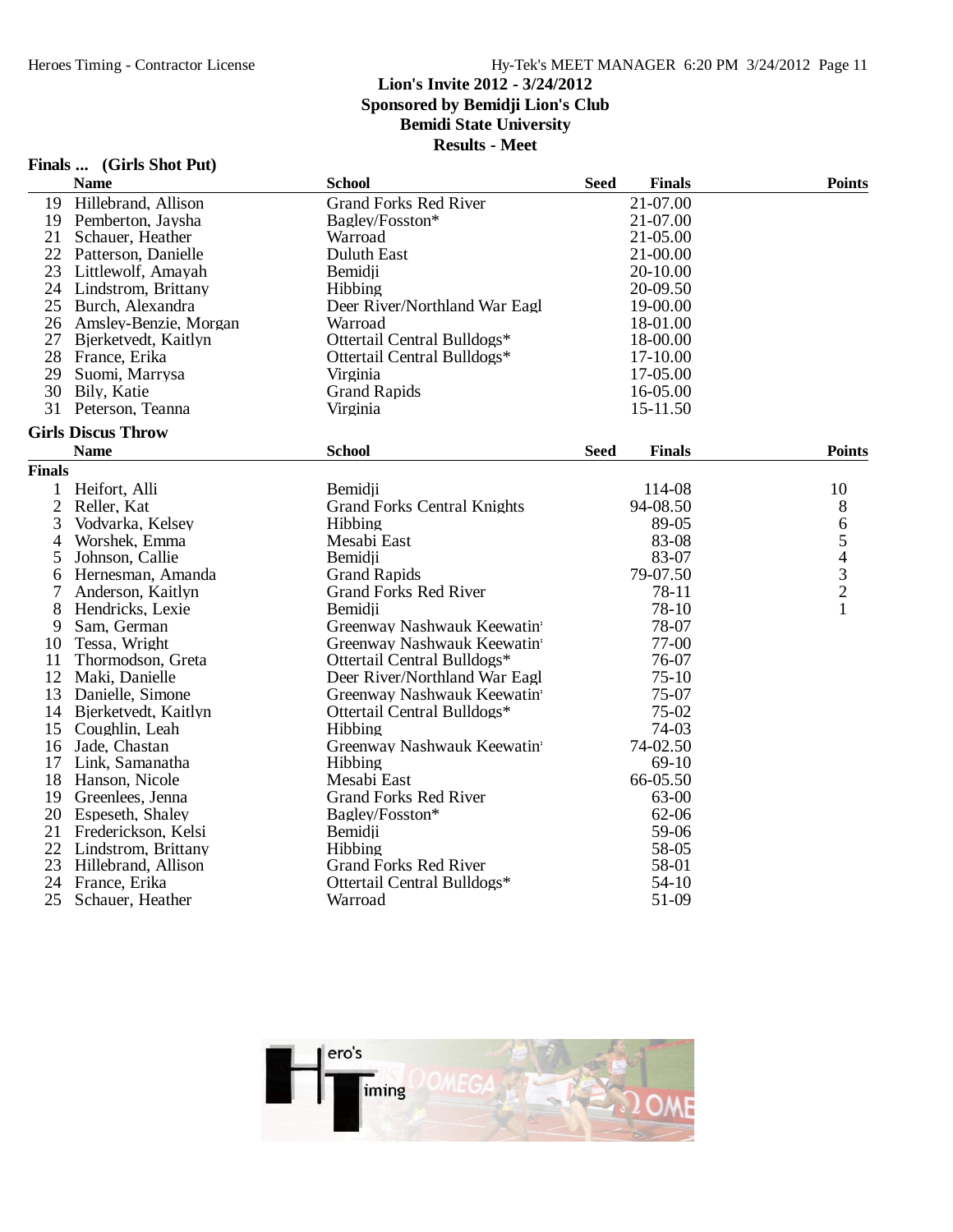### **Lion's Invite 2012 - 3/24/2012 Sponsored by Bemidji Lion's Club**

**Bemidi State University**

| Finals | (Girls Shot Put) |  |  |
|--------|------------------|--|--|
|--------|------------------|--|--|

|               | <b>Name</b>               | <b>School</b>                      | <b>Seed</b> | <b>Finals</b> | <b>Points</b> |  |
|---------------|---------------------------|------------------------------------|-------------|---------------|---------------|--|
| 19            | Hillebrand, Allison       | <b>Grand Forks Red River</b>       |             | 21-07.00      |               |  |
| 19            | Pemberton, Jaysha         | Bagley/Fosston*                    |             | 21-07.00      |               |  |
| 21            | Schauer, Heather          | Warroad                            |             | 21-05.00      |               |  |
|               | 22 Patterson, Danielle    | Duluth East                        |             | 21-00.00      |               |  |
| 23            | Littlewolf, Amayah        | Bemidji                            |             | 20-10.00      |               |  |
| 24            | Lindstrom, Brittany       | Hibbing                            |             | 20-09.50      |               |  |
| 25            | Burch, Alexandra          | Deer River/Northland War Eagl      |             | 19-00.00      |               |  |
|               | 26 Amsley-Benzie, Morgan  | Warroad                            |             | 18-01.00      |               |  |
| 27            | Bjerketvedt, Kaitlyn      | Ottertail Central Bulldogs*        |             | 18-00.00      |               |  |
| 28            | France, Erika             | Ottertail Central Bulldogs*        |             | 17-10.00      |               |  |
| 29            | Suomi, Marrysa            | Virginia                           |             | 17-05.00      |               |  |
|               | 30 Bily, Katie            | <b>Grand Rapids</b>                |             | 16-05.00      |               |  |
|               | 31 Peterson, Teanna       | Virginia                           |             | 15-11.50      |               |  |
|               | <b>Girls Discus Throw</b> |                                    |             |               |               |  |
|               | <b>Name</b>               | <b>School</b>                      | <b>Seed</b> | <b>Finals</b> | <b>Points</b> |  |
| <b>Finals</b> |                           |                                    |             |               |               |  |
| 1             | Heifort, Alli             | Bemidii                            |             | 114-08        | 10            |  |
| $\mathbf{2}$  | Reller, Kat               | <b>Grand Forks Central Knights</b> |             | 94-08.50      | $8\,$         |  |
| 3             | Vodvarka, Kelsey          | Hibbing                            |             | 89-05         |               |  |
| 4             | Worshek, Emma             | Mesabi East                        |             | 83-08         | 65432         |  |
| 5             | Johnson, Callie           | Bemidii                            |             | 83-07         |               |  |
| 6             | Hernesman, Amanda         | <b>Grand Rapids</b>                |             | 79-07.50      |               |  |
| 7             | Anderson, Kaitlyn         | <b>Grand Forks Red River</b>       |             | 78-11         |               |  |
| 8             | Hendricks, Lexie          | Bemidii                            |             | 78-10         | $\mathbf{1}$  |  |
| 9             | Sam, German               | Greenway Nashwauk Keewatin         |             | 78-07         |               |  |
| 10            | Tessa, Wright             | Greenway Nashwauk Keewatin         |             | 77-00         |               |  |
| 11            | Thormodson, Greta         | Ottertail Central Bulldogs*        |             | 76-07         |               |  |
| 12            | Maki, Danielle            | Deer River/Northland War Eagl      |             | $75-10$       |               |  |
| 13            | Danielle, Simone          | Greenway Nashwauk Keewatin         |             | 75-07         |               |  |
| 14            | Bjerketvedt, Kaitlyn      | Ottertail Central Bulldogs*        |             | 75-02         |               |  |
| 15            | Coughlin, Leah            | Hibbing                            |             | 74-03         |               |  |
| 16            | Jade, Chastan             | Greenway Nashwauk Keewatin         |             | 74-02.50      |               |  |
| 17            | Link, Samanatha           | Hibbing                            |             | 69-10         |               |  |
| 18            | Hanson, Nicole            | Mesabi East                        |             | 66-05.50      |               |  |
| 19            | Greenlees, Jenna          | <b>Grand Forks Red River</b>       |             | 63-00         |               |  |
| 20            | Espeseth, Shaley          | Bagley/Fosston*                    |             | $62 - 06$     |               |  |
| 21            | Frederickson, Kelsi       | Bemidji                            |             | 59-06         |               |  |
| 22            | Lindstrom, Brittany       | Hibbing                            |             | 58-05         |               |  |
| 23            | Hillebrand, Allison       | <b>Grand Forks Red River</b>       |             | 58-01         |               |  |
| 24            | France, Erika             | Ottertail Central Bulldogs*        |             | $54-10$       |               |  |
| 25            | Schauer, Heather          | Warroad                            |             | 51-09         |               |  |
|               |                           |                                    |             |               |               |  |

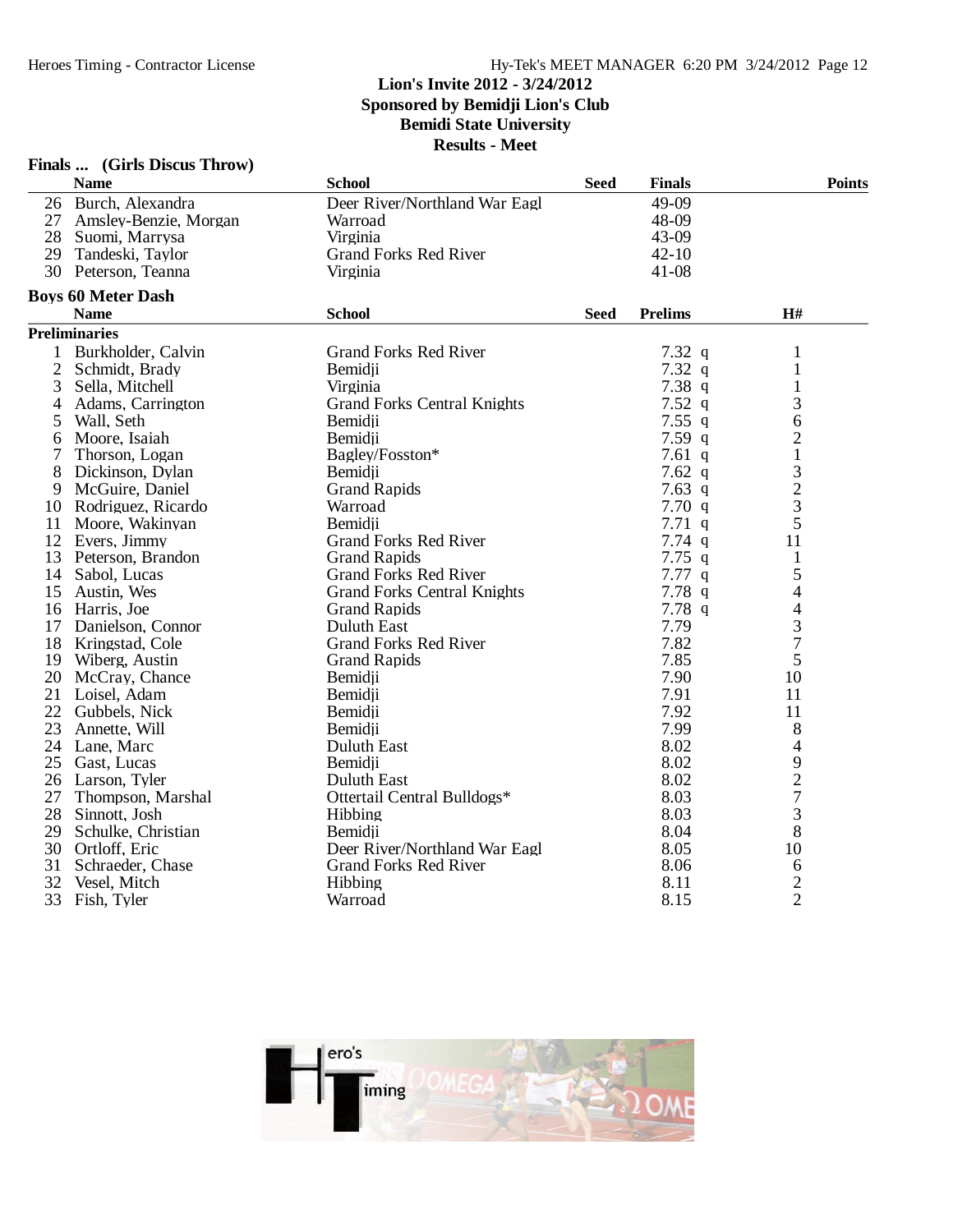|                | Finals  (Girls Discus Throw) |                                    |             |                |                          |
|----------------|------------------------------|------------------------------------|-------------|----------------|--------------------------|
|                | <b>Name</b>                  | <b>School</b>                      | <b>Seed</b> | <b>Finals</b>  | <b>Points</b>            |
|                | 26 Burch, Alexandra          | Deer River/Northland War Eagl      |             | 49-09          |                          |
|                | 27 Amsley-Benzie, Morgan     | Warroad                            |             | 48-09          |                          |
| 28             | Suomi, Marrysa               | Virginia                           |             | 43-09          |                          |
|                | 29 Tandeski, Taylor          | <b>Grand Forks Red River</b>       |             | $42 - 10$      |                          |
|                | 30 Peterson, Teanna          | Virginia                           |             | $41-08$        |                          |
|                | <b>Boys 60 Meter Dash</b>    |                                    |             |                |                          |
|                | <b>Name</b>                  | <b>School</b>                      | <b>Seed</b> | <b>Prelims</b> | H#                       |
|                | <b>Preliminaries</b>         |                                    |             |                |                          |
| 1              | Burkholder, Calvin           | <b>Grand Forks Red River</b>       |             | $7.32$ q       | 1                        |
| $\mathfrak{2}$ | Schmidt, Brady               | Bemidji                            |             | 7.32q          | 1                        |
| 3              | Sella, Mitchell              | Virginia                           |             | 7.38q          | $\mathbf{1}$             |
| 4              | Adams, Carrington            | <b>Grand Forks Central Knights</b> |             | 7.52q          | 3                        |
| 5              | Wall, Seth                   | Bemidii                            |             | 7.55q          | 6                        |
| 6              | Moore, Isaiah                | Bemidii                            |             | 7.59 $q$       | $\mathbf{2}$             |
| 7              | Thorson, Logan               | Bagley/Fosston*                    |             | 7.61 $q$       | $\mathbf 1$              |
| 8              | Dickinson, Dylan             | Bemidji                            |             | 7.62 $q$       |                          |
| 9              | McGuire, Daniel              | <b>Grand Rapids</b>                |             | $7.63$ q       | $\frac{3}{2}$            |
|                | 10 Rodriguez, Ricardo        | Warroad                            |             | 7.70q          | 3                        |
|                | 11 Moore, Wakinyan           | Bemidii                            |             | 7.71q          | 5                        |
|                | 12 Evers, Jimmy              | <b>Grand Forks Red River</b>       |             | $7.74$ q       | 11                       |
|                | 13 Peterson, Brandon         | <b>Grand Rapids</b>                |             | $7.75$ q       | $\mathbf{1}$             |
|                | 14 Sabol, Lucas              | <b>Grand Forks Red River</b>       |             | 7.77q          | 5                        |
| 15             | Austin, Wes                  | <b>Grand Forks Central Knights</b> |             | 7.78q          | $\overline{4}$           |
| 16             | Harris, Joe                  | <b>Grand Rapids</b>                |             | 7.78q          | $\overline{\mathcal{L}}$ |
|                | 17 Danielson, Connor         | <b>Duluth East</b>                 |             | 7.79           | 3                        |
|                | 18 Kringstad, Cole           | <b>Grand Forks Red River</b>       |             | 7.82           | $\overline{7}$           |
|                | 19 Wiberg, Austin            | <b>Grand Rapids</b>                |             | 7.85           | 5                        |
|                | 20 McCray, Chance            | Bemidji                            |             | 7.90           | 10                       |
|                | 21 Loisel, Adam              | Bemidii                            |             | 7.91           | 11                       |
|                | 22 Gubbels, Nick             | Bemidji                            |             | 7.92           | 11                       |
| 23             | Annette, Will                | Bemidii                            |             | 7.99           | $8\,$                    |
|                | 24 Lane, Marc                | Duluth East                        |             | 8.02           | $\overline{4}$           |
| 25             | Gast, Lucas                  | Bemidii                            |             | 8.02           |                          |
|                | 26 Larson, Tyler             | <b>Duluth East</b>                 |             | 8.02           | $\frac{9}{2}$            |
| 27             | Thompson, Marshal            | Ottertail Central Bulldogs*        |             | 8.03           | $\overline{7}$           |
| 28             | Sinnott, Josh                | Hibbing                            |             | 8.03           | 3                        |
| 29             | Schulke, Christian           | Bemidii                            |             | 8.04           | 8                        |
| 30             | Ortloff, Eric                | Deer River/Northland War Eagl      |             | 8.05           | 10                       |
| 31             | Schraeder, Chase             | <b>Grand Forks Red River</b>       |             | 8.06           | 6                        |
| 32             | Vesel, Mitch                 | Hibbing                            |             | 8.11           | $\overline{c}$           |
| 33             | Fish, Tyler                  | Warroad                            |             | 8.15           | $\overline{2}$           |

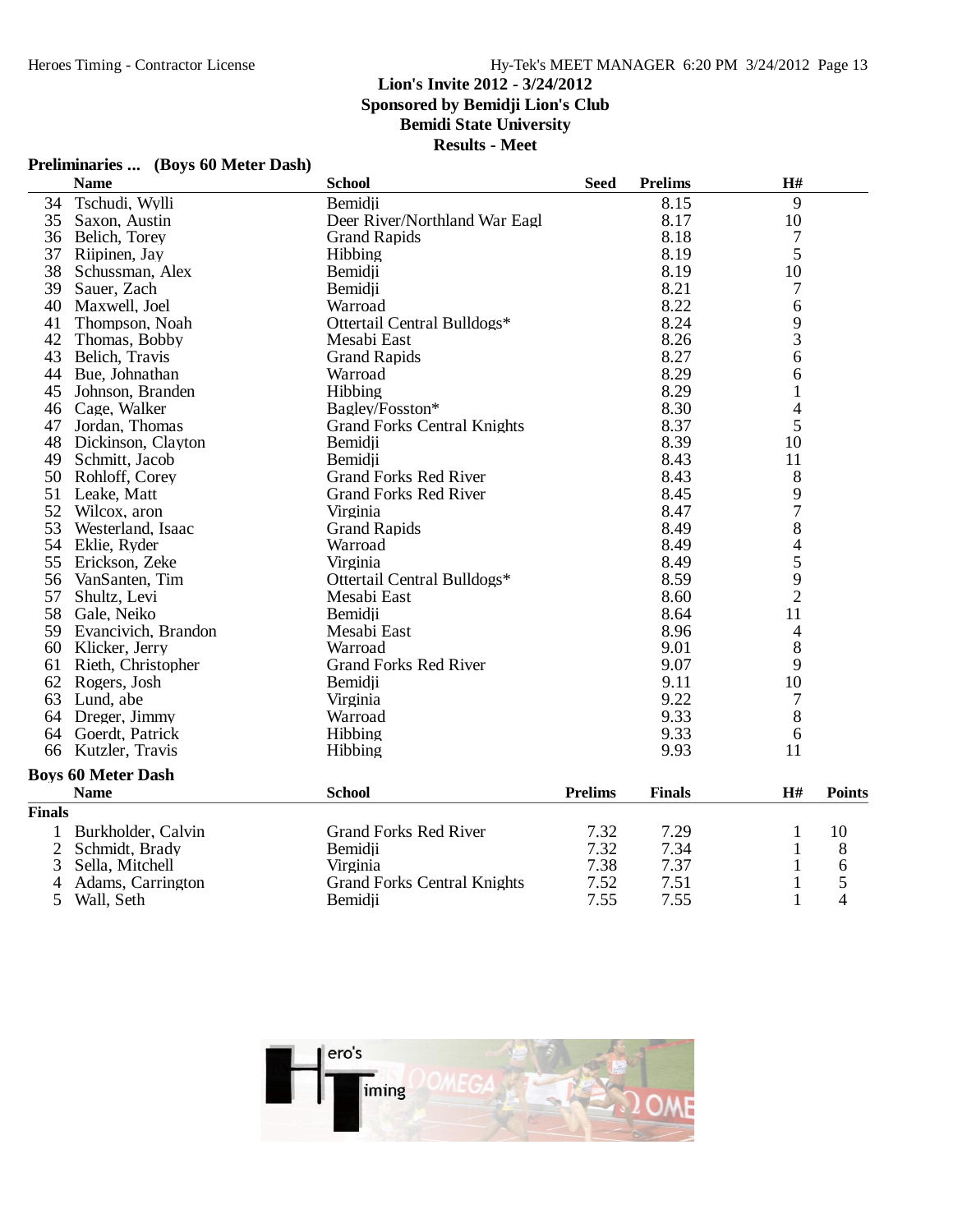#### **Lion's Invite 2012 - 3/24/2012**

**Sponsored by Bemidji Lion's Club**

**Bemidi State University**

**Results - Meet**

### **Preliminaries ... (Boys 60 Meter Dash)**

|                | <b>Name</b>               | <b>School</b>                      | <b>Seed</b>    | <b>Prelims</b> | H#             |               |
|----------------|---------------------------|------------------------------------|----------------|----------------|----------------|---------------|
| 34             | Tschudi, Wylli            | Bemidji                            |                | 8.15           | 9              |               |
| 35             | Saxon, Austin             | Deer River/Northland War Eagl      |                | 8.17           | 10             |               |
| 36             | Belich, Torey             | <b>Grand Rapids</b>                |                | 8.18           | 7              |               |
| 37             | Riipinen, Jay             | Hibbing                            |                | 8.19           | 5              |               |
| 38             | Schussman, Alex           | Bemidji                            |                | 8.19           | 10             |               |
| 39             | Sauer, Zach               | Bemidji                            |                | 8.21           | 7              |               |
| 40             | Maxwell, Joel             | Warroad                            |                | 8.22           | 6              |               |
| 41             | Thompson, Noah            | Ottertail Central Bulldogs*        |                | 8.24           | 9              |               |
| 42             | Thomas, Bobby             | Mesabi East                        |                | 8.26           | 3              |               |
| 43             | Belich, Travis            | <b>Grand Rapids</b>                |                | 8.27           | 6              |               |
| 44             | Bue, Johnathan            | Warroad                            |                | 8.29           | 6              |               |
| 45             | Johnson, Branden          | Hibbing                            |                | 8.29           | $\mathbf{1}$   |               |
|                | 46 Cage, Walker           | Bagley/Fosston*                    |                | 8.30           | 4              |               |
| 47             | Jordan, Thomas            | <b>Grand Forks Central Knights</b> |                | 8.37           | 5              |               |
| 48             | Dickinson, Clayton        | Bemidji                            |                | 8.39           | 10             |               |
| 49             | Schmitt, Jacob            | Bemidii                            |                | 8.43           | 11             |               |
| 50             | Rohloff, Corey            | <b>Grand Forks Red River</b>       |                | 8.43           | 8              |               |
| 51             | Leake, Matt               | <b>Grand Forks Red River</b>       |                | 8.45           | 9              |               |
| 52             | Wilcox, aron              | Virginia                           |                | 8.47           | $\overline{7}$ |               |
| 53             | Westerland, Isaac         | <b>Grand Rapids</b>                |                | 8.49           | 8              |               |
| 54             | Eklie, Ryder              | Warroad                            |                | 8.49           | $\overline{4}$ |               |
| 55             | Erickson, Zeke            | Virginia                           |                | 8.49           | 5              |               |
| 56             | VanSanten, Tim            | Ottertail Central Bulldogs*        |                | 8.59           | 9              |               |
| 57             | Shultz, Levi              | Mesabi East                        |                | 8.60           | $\overline{2}$ |               |
| 58             | Gale, Neiko               | Bemidji                            |                | 8.64           | 11             |               |
| 59             | Evancivich, Brandon       | Mesabi East                        |                | 8.96           | $\overline{4}$ |               |
| 60             | Klicker, Jerry            | Warroad                            |                | 9.01           | 8              |               |
| 61             | Rieth, Christopher        | <b>Grand Forks Red River</b>       |                | 9.07           | 9              |               |
|                | 62 Rogers, Josh           | Bemidii                            |                | 9.11           | 10             |               |
| 63             | Lund, abe                 | Virginia                           |                | 9.22           | 7              |               |
|                | 64 Dreger, Jimmy          | Warroad                            |                | 9.33           | 8              |               |
| 64             | Goerdt, Patrick           | Hibbing                            |                | 9.33           | 6              |               |
| 66             | Kutzler, Travis           | Hibbing                            |                | 9.93           | 11             |               |
|                | <b>Boys 60 Meter Dash</b> |                                    |                |                |                |               |
|                | <b>Name</b>               | <b>School</b>                      | <b>Prelims</b> | <b>Finals</b>  | H#             | <b>Points</b> |
| <b>Finals</b>  |                           |                                    |                |                |                |               |
| 1              | Burkholder, Calvin        | <b>Grand Forks Red River</b>       | 7.32           | 7.29           | 1              | 10            |
| $\overline{2}$ | Schmidt, Brady            | Bemidji                            | 7.32           | 7.34           | 1              | 8             |
| 3              | Sella, Mitchell           | Virginia                           | 7.38           | 7.37           | 1              | 6             |
| 4              | Adams, Carrington         | <b>Grand Forks Central Knights</b> | 7.52           | 7.51           | $\mathbf{1}$   | 5             |
| 5              | Wall, Seth                | Bemidji                            | 7.55           | 7.55           | $\mathbf{1}$   | 4             |

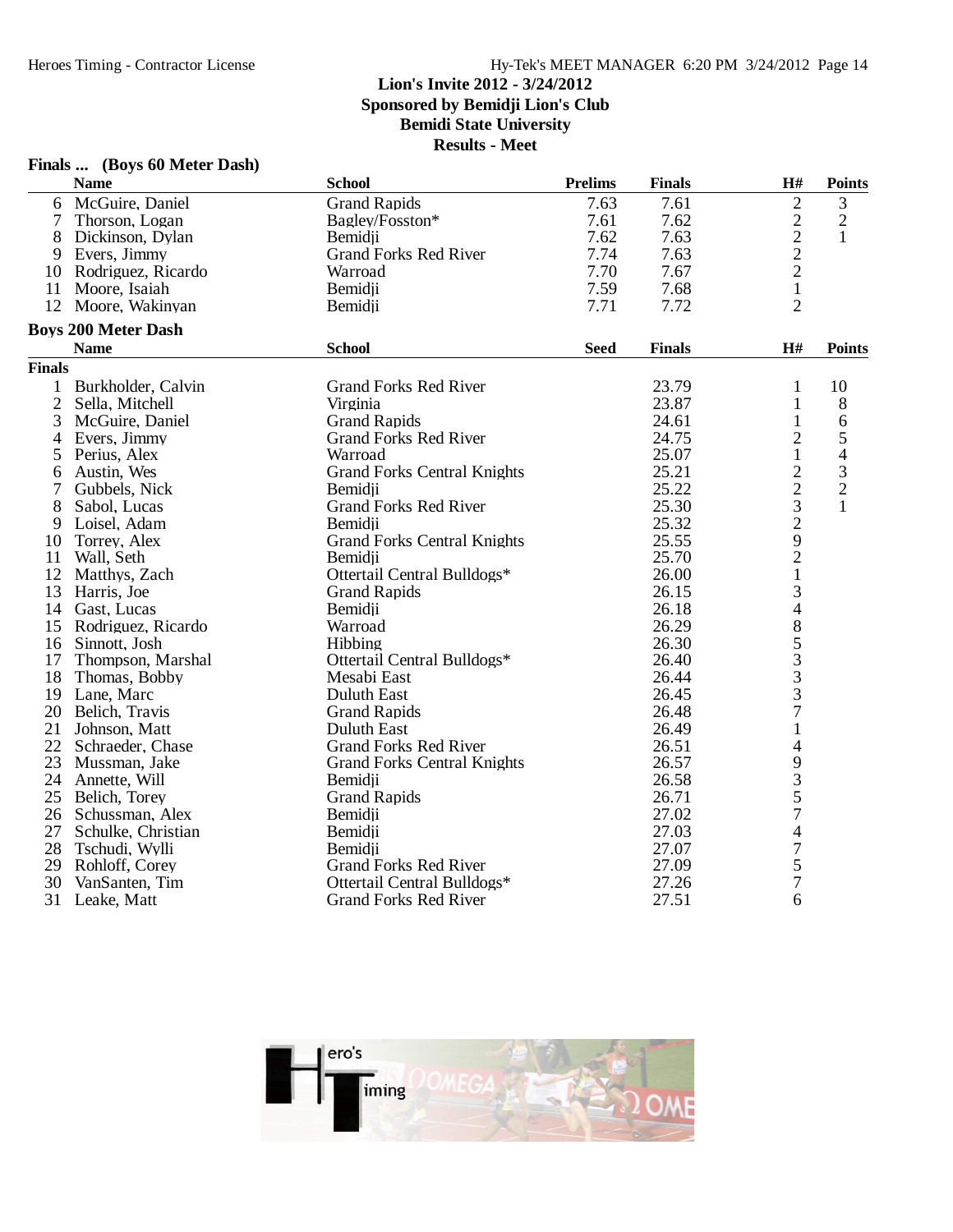# **Finals ... (Boys 60 Meter Dash)**

|                | <b>Name</b>                | <b>School</b>                      | <b>Prelims</b> | <b>Finals</b> | H#                       | <b>Points</b>            |
|----------------|----------------------------|------------------------------------|----------------|---------------|--------------------------|--------------------------|
| 6              | McGuire, Daniel            | <b>Grand Rapids</b>                | 7.63           | 7.61          | $\mathbf{2}$             | 3                        |
| $\overline{7}$ | Thorson, Logan             | Bagley/Fosston*                    | 7.61           | 7.62          |                          | $\sqrt{2}$               |
| 8              | Dickinson, Dylan           | Bemidii                            | 7.62           | 7.63          | $\frac{2}{2}$            | 1                        |
| 9              | Evers, Jimmy               | <b>Grand Forks Red River</b>       | 7.74           | 7.63          | $\overline{c}$           |                          |
| 10             | Rodriguez, Ricardo         | Warroad                            | 7.70           | 7.67          | $\overline{2}$           |                          |
| 11             | Moore, Isaiah              | Bemidji                            | 7.59           | 7.68          | $\mathbf{1}$             |                          |
|                | 12 Moore, Wakinyan         | Bemidii                            | 7.71           | 7.72          | $\overline{2}$           |                          |
|                | <b>Boys 200 Meter Dash</b> |                                    |                |               |                          |                          |
|                | <b>Name</b>                | <b>School</b>                      | <b>Seed</b>    | <b>Finals</b> | H#                       | <b>Points</b>            |
| <b>Finals</b>  |                            |                                    |                |               |                          |                          |
| $\mathbf{1}$   | Burkholder, Calvin         | <b>Grand Forks Red River</b>       |                | 23.79         | $\mathbf{1}$             | 10                       |
| $\mathfrak{2}$ | Sella, Mitchell            | Virginia                           |                | 23.87         | $\mathbf{1}$             | $8\,$                    |
| 3              | McGuire, Daniel            | <b>Grand Rapids</b>                |                | 24.61         | $\mathbf{1}$             | 6                        |
| 4              | Evers, Jimmy               | <b>Grand Forks Red River</b>       |                | 24.75         | $\overline{c}$           | 5                        |
| 5              | Perius, Alex               | Warroad                            |                | 25.07         | $\mathbf{1}$             | $\overline{\mathcal{L}}$ |
| 6              | Austin, Wes                | <b>Grand Forks Central Knights</b> |                | 25.21         | $\overline{c}$           | 3                        |
| 7              | Gubbels, Nick              | Bemidji                            |                | 25.22         | $\overline{c}$           | $\overline{2}$           |
| 8              | Sabol, Lucas               | <b>Grand Forks Red River</b>       |                | 25.30         | 3                        | 1                        |
| 9              | Loisel, Adam               | Bemidii                            |                | 25.32         | $\overline{2}$           |                          |
| 10             | Torrey, Alex               | <b>Grand Forks Central Knights</b> |                | 25.55         | 9                        |                          |
| 11             | Wall, Seth                 | Bemidii                            |                | 25.70         | $\overline{c}$           |                          |
| 12             | Matthys, Zach              | Ottertail Central Bulldogs*        |                | 26.00         | $\,1$                    |                          |
| 13             | Harris, Joe                | <b>Grand Rapids</b>                |                | 26.15         | 3                        |                          |
|                | 14 Gast, Lucas             | Bemidji                            |                | 26.18         | $\overline{\mathcal{L}}$ |                          |
|                | 15 Rodriguez, Ricardo      | Warroad                            |                | 26.29         | 8                        |                          |
|                | 16 Sinnott, Josh           | Hibbing                            |                | 26.30         |                          |                          |
| 17             | Thompson, Marshal          | Ottertail Central Bulldogs*        |                | 26.40         | $\frac{5}{3}$            |                          |
| 18             | Thomas, Bobby              | Mesabi East                        |                | 26.44         |                          |                          |
|                | 19 Lane, Marc              | Duluth East                        |                | 26.45         | $\frac{3}{7}$            |                          |
|                | 20 Belich, Travis          | <b>Grand Rapids</b>                |                | 26.48         |                          |                          |
| 21             | Johnson, Matt              | Duluth East                        |                | 26.49         | $\mathbf{1}$             |                          |
|                | 22 Schraeder, Chase        | <b>Grand Forks Red River</b>       |                | 26.51         | 4                        |                          |
|                | 23 Mussman, Jake           | <b>Grand Forks Central Knights</b> |                | 26.57         | 9                        |                          |
| 24             | Annette, Will              | Bemidji                            |                | 26.58         | 3                        |                          |
| 25             | Belich, Torey              | <b>Grand Rapids</b>                |                | 26.71         | 5                        |                          |
|                | 26 Schussman, Alex         | Bemidji                            |                | 27.02         | $\overline{7}$           |                          |
|                | 27 Schulke, Christian      | Bemidii                            |                | 27.03         | $\overline{\mathcal{A}}$ |                          |
| 28             | Tschudi, Wylli             | Bemidii                            |                | 27.07         | 7                        |                          |
| 29             | Rohloff, Corey             | <b>Grand Forks Red River</b>       |                | 27.09         | 5                        |                          |
| 30             | VanSanten, Tim             | Ottertail Central Bulldogs*        |                | 27.26         | 7                        |                          |
|                | 31 Leake, Matt             | <b>Grand Forks Red River</b>       |                | 27.51         | 6                        |                          |

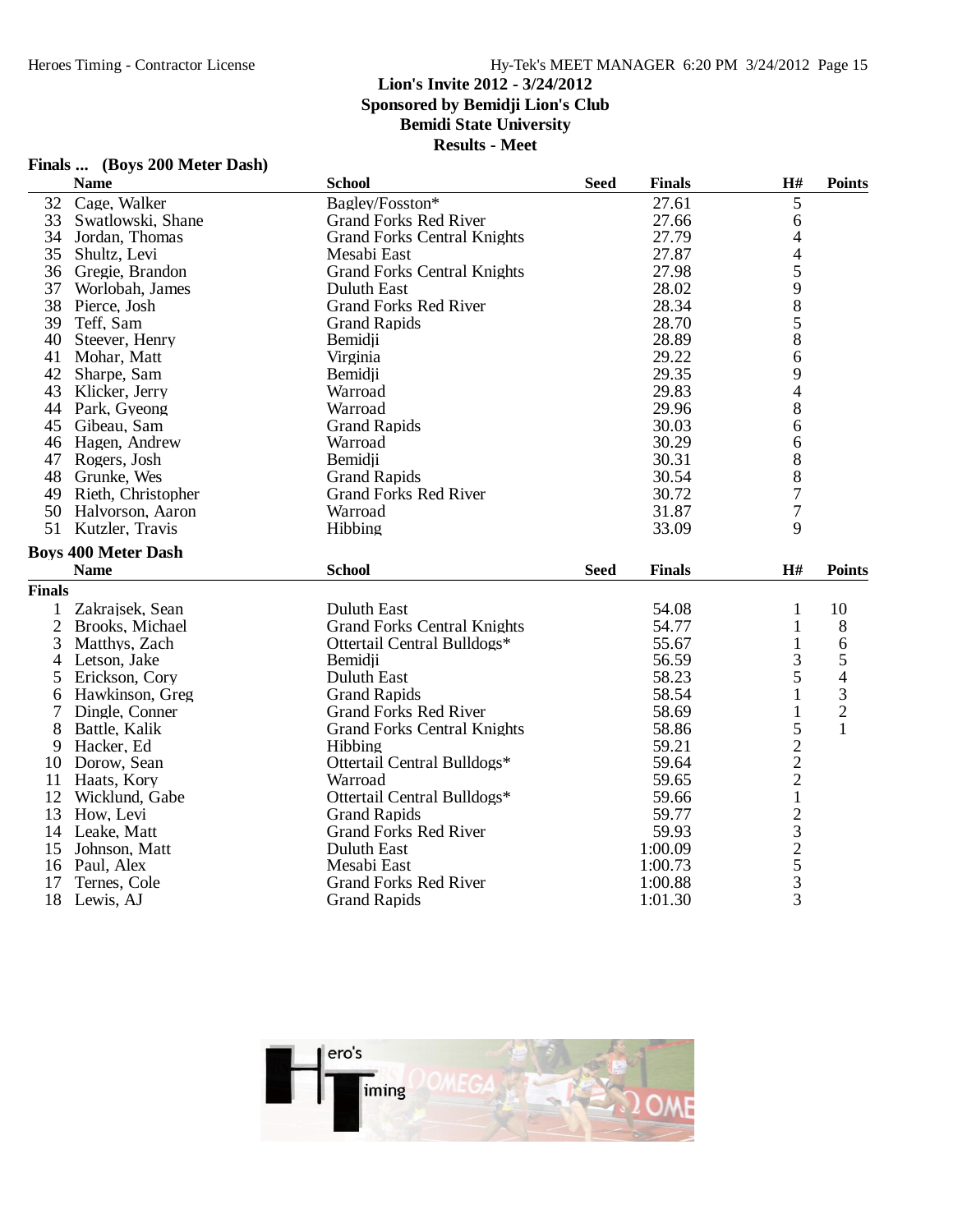### Hy-Tek's MEET MANAGER 6:20 PM 3/24/2012 Page 15

#### **Lion's Invite 2012 - 3/24/2012**

**Sponsored by Bemidji Lion's Club**

### **Bemidi State University**

**Results - Meet**

|                | <b>Name</b>                | <b>School</b>                      | <b>Seed</b> | <b>Finals</b> | H#                                              | <b>Points</b>  |
|----------------|----------------------------|------------------------------------|-------------|---------------|-------------------------------------------------|----------------|
| 32             | Cage, Walker               | Bagley/Fosston*                    |             | 27.61         | 5                                               |                |
| 33             | Swatlowski, Shane          | <b>Grand Forks Red River</b>       |             | 27.66         | 6                                               |                |
| 34             | Jordan, Thomas             | <b>Grand Forks Central Knights</b> |             | 27.79         | 4                                               |                |
| 35             | Shultz, Levi               | Mesabi East                        |             | 27.87         | $\overline{4}$                                  |                |
|                | 36 Gregie, Brandon         | <b>Grand Forks Central Knights</b> |             | 27.98         |                                                 |                |
| 37             | Worlobah, James            | <b>Duluth East</b>                 |             | 28.02         | $\frac{5}{9}$                                   |                |
| 38             | Pierce, Josh               | <b>Grand Forks Red River</b>       |             | 28.34         |                                                 |                |
| 39             | Teff, Sam                  | <b>Grand Rapids</b>                |             | 28.70         | 5                                               |                |
| 40             | Steever, Henry             | Bemidji                            |             | 28.89         | 8                                               |                |
| 41             | Mohar, Matt                | Virginia                           |             | 29.22         | 6                                               |                |
| 42             | Sharpe, Sam                | Bemidii                            |             | 29.35         | 9                                               |                |
| 43             | Klicker, Jerry             | Warroad                            |             | 29.83         | $\overline{4}$                                  |                |
|                | 44 Park, Gyeong            | Warroad                            |             | 29.96         | 8                                               |                |
|                | 45 Gibeau, Sam             | <b>Grand Rapids</b>                |             | 30.03         | 6                                               |                |
| 46             | Hagen, Andrew              | Warroad                            |             | 30.29         | 6                                               |                |
|                | 47 Rogers, Josh            | Bemidji                            |             | 30.31         | 8                                               |                |
|                | 48 Grunke, Wes             | <b>Grand Rapids</b>                |             | 30.54         | 8                                               |                |
|                | 49 Rieth, Christopher      | <b>Grand Forks Red River</b>       |             | 30.72         | $\overline{7}$                                  |                |
| 50             | Halvorson, Aaron           | Warroad                            |             | 31.87         | $\overline{7}$                                  |                |
| 51             | Kutzler, Travis            | Hibbing                            |             | 33.09         | 9                                               |                |
|                | <b>Boys 400 Meter Dash</b> |                                    |             |               |                                                 |                |
|                | <b>Name</b>                | <b>School</b>                      | <b>Seed</b> | <b>Finals</b> | H#                                              | <b>Points</b>  |
| <b>Finals</b>  |                            |                                    |             |               |                                                 |                |
| 1              | Zakrajsek, Sean            | <b>Duluth East</b>                 |             | 54.08         | $\mathbf{1}$                                    | 10             |
| $\overline{2}$ | Brooks, Michael            | <b>Grand Forks Central Knights</b> |             | 54.77         | $\mathbf{1}$                                    | 8              |
| 3              | Matthys, Zach              | Ottertail Central Bulldogs*        |             | 55.67         | $\mathbf{1}$                                    | 6              |
| 4              | Letson, Jake               | Bemidii                            |             | 56.59         | 3                                               | 5              |
| 5              | Erickson, Cory             | <b>Duluth East</b>                 |             | 58.23         | 5                                               | $\overline{4}$ |
| 6              | Hawkinson, Greg            | <b>Grand Rapids</b>                |             | 58.54         | $\mathbf{1}$                                    | $\mathfrak{Z}$ |
| 7              | Dingle, Conner             | <b>Grand Forks Red River</b>       |             | 58.69         | $\mathbf{1}$                                    | $\sqrt{2}$     |
| 8              | Battle, Kalik              | <b>Grand Forks Central Knights</b> |             | 58.86         | 5                                               | $\mathbf{1}$   |
| 9              | Hacker, Ed                 | Hibbing                            |             | 59.21         |                                                 |                |
| 10             | Dorow, Sean                | Ottertail Central Bulldogs*        |             | 59.64         |                                                 |                |
| 11             | Haats, Kory                | Warroad                            |             | 59.65         | $\begin{array}{c} 2 \\ 2 \\ 2 \\ 1 \end{array}$ |                |
|                | 12 Wicklund, Gabe          | Ottertail Central Bulldogs*        |             | 59.66         |                                                 |                |
| 13             | How, Levi                  | <b>Grand Rapids</b>                |             | 59.77         |                                                 |                |
| 14             | Leake, Matt                | <b>Grand Forks Red River</b>       |             | 59.93         |                                                 |                |
| 15             | Johnson, Matt              | <b>Duluth East</b>                 |             | 1:00.09       | $\frac{2}{3}$ $\frac{3}{2}$ $\frac{5}{3}$       |                |
| 16             | Paul, Alex                 | Mesabi East                        |             | 1:00.73       |                                                 |                |
| 17             | Ternes, Cole               | <b>Grand Forks Red River</b>       |             | 1:00.88       |                                                 |                |
| 18             | Lewis, AJ                  | <b>Grand Rapids</b>                |             | 1:01.30       | $\overline{3}$                                  |                |



## **Finals ... (Boys 200 Meter Dash)**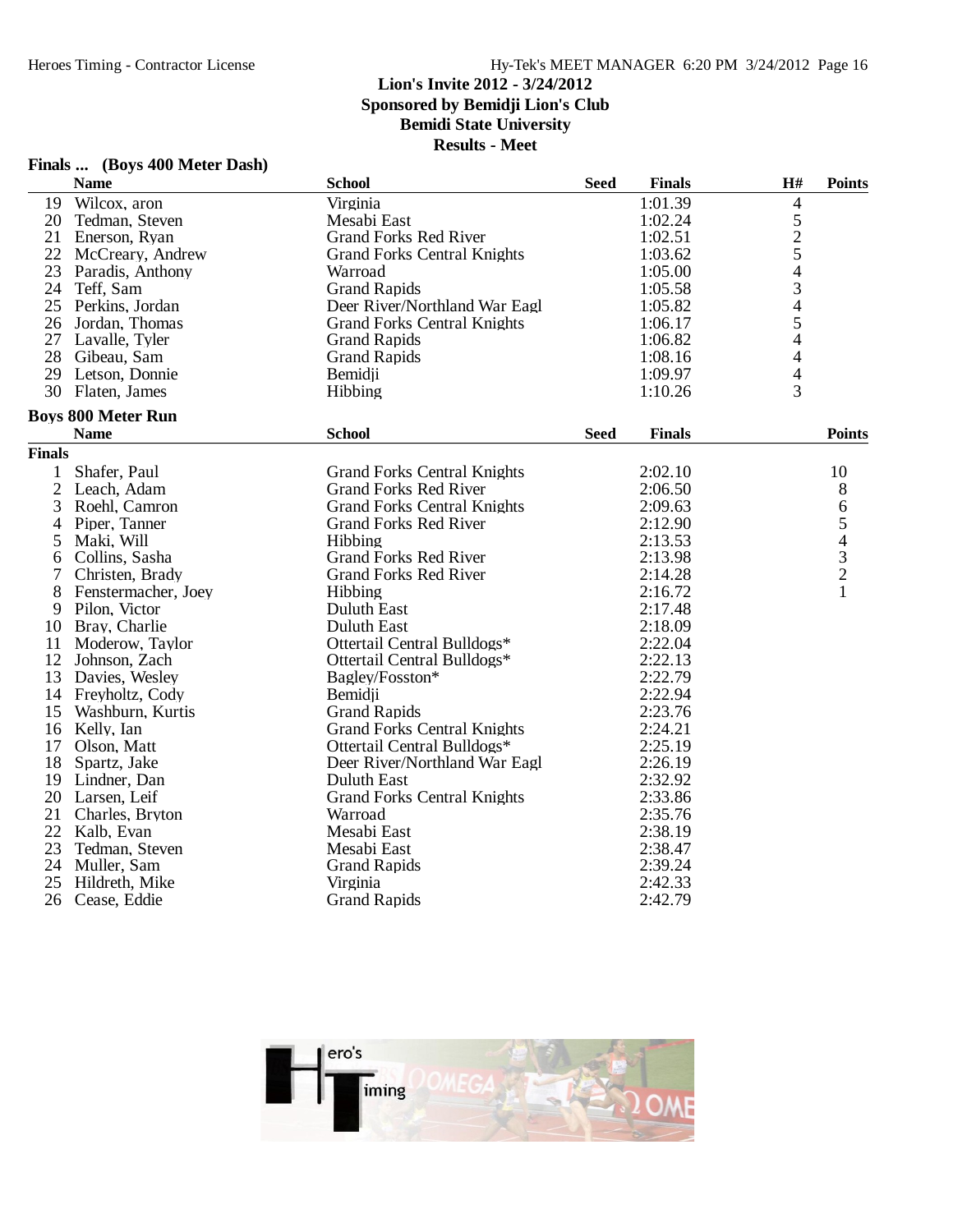**Finals ... (Boys 400 Meter Dash)**

#### Hy-Tek's MEET MANAGER 6:20 PM 3/24/2012 Page 16

#### **Lion's Invite 2012 - 3/24/2012 Sponsored by Bemidji Lion's Club**

**Bemidi State University**

|                | <b>Name</b>               | <b>School</b>                      | <b>Seed</b> | <b>Finals</b> | H#                       | <b>Points</b>                              |
|----------------|---------------------------|------------------------------------|-------------|---------------|--------------------------|--------------------------------------------|
|                | 19 Wilcox, aron           | Virginia                           |             | 1:01.39       | 4                        |                                            |
|                | 20 Tedman, Steven         | Mesabi East                        |             | 1:02.24       |                          |                                            |
| 21             | Enerson, Ryan             | <b>Grand Forks Red River</b>       |             | 1:02.51       | $\frac{5}{2}$            |                                            |
|                | 22 McCreary, Andrew       | <b>Grand Forks Central Knights</b> |             | 1:03.62       |                          |                                            |
|                | 23 Paradis, Anthony       | Warroad                            |             | 1:05.00       | $\overline{\mathcal{L}}$ |                                            |
|                | 24 Teff, Sam              | <b>Grand Rapids</b>                |             | 1:05.58       | 3                        |                                            |
| 25             | Perkins, Jordan           | Deer River/Northland War Eagl      |             | 1:05.82       | $\overline{4}$           |                                            |
| 26             | Jordan, Thomas            | <b>Grand Forks Central Knights</b> |             | 1:06.17       | 5                        |                                            |
|                | 27 Lavalle, Tyler         | <b>Grand Rapids</b>                |             | 1:06.82       | 4                        |                                            |
|                | 28 Gibeau, Sam            | <b>Grand Rapids</b>                |             | 1:08.16       | 4                        |                                            |
|                | 29 Letson, Donnie         | Bemidji                            |             | 1:09.97       | $\overline{4}$           |                                            |
|                | 30 Flaten, James          | Hibbing                            |             | 1:10.26       | $\overline{3}$           |                                            |
|                | <b>Boys 800 Meter Run</b> |                                    |             |               |                          |                                            |
|                | <b>Name</b>               | <b>School</b>                      | <b>Seed</b> | <b>Finals</b> |                          | <b>Points</b>                              |
| <b>Finals</b>  |                           |                                    |             |               |                          |                                            |
| 1              | Shafer, Paul              | <b>Grand Forks Central Knights</b> |             | 2:02.10       |                          | 10                                         |
| $\overline{2}$ | Leach, Adam               | <b>Grand Forks Red River</b>       |             | 2:06.50       |                          | $8\,$                                      |
| 3              | Roehl, Camron             | <b>Grand Forks Central Knights</b> |             | 2:09.63       |                          | 6                                          |
| 4              | Piper, Tanner             | <b>Grand Forks Red River</b>       |             | 2:12.90       |                          | 5                                          |
| 5              | Maki, Will                | Hibbing                            |             | 2:13.53       |                          | $\overline{4}$                             |
| 6              | Collins, Sasha            | <b>Grand Forks Red River</b>       |             | 2:13.98       |                          | $\begin{array}{c} 3 \\ 2 \\ 1 \end{array}$ |
| 7              | Christen, Brady           | <b>Grand Forks Red River</b>       |             | 2:14.28       |                          |                                            |
| 8              | Fenstermacher, Joey       | Hibbing                            |             | 2:16.72       |                          |                                            |
| 9              | Pilon, Victor             | Duluth East                        |             | 2:17.48       |                          |                                            |
|                | 10 Bray, Charlie          | <b>Duluth East</b>                 |             | 2:18.09       |                          |                                            |
| 11             | Moderow, Taylor           | Ottertail Central Bulldogs*        |             | 2:22.04       |                          |                                            |
|                | 12 Johnson, Zach          | Ottertail Central Bulldogs*        |             | 2:22.13       |                          |                                            |
| 13             | Davies, Wesley            | Bagley/Fosston*                    |             | 2:22.79       |                          |                                            |
|                | 14 Freyholtz, Cody        | Bemidji                            |             | 2:22.94       |                          |                                            |
| 15             | Washburn, Kurtis          | <b>Grand Rapids</b>                |             | 2:23.76       |                          |                                            |
|                | 16 Kelly, Ian             | <b>Grand Forks Central Knights</b> |             | 2:24.21       |                          |                                            |
| 17             | Olson, Matt               | Ottertail Central Bulldogs*        |             | 2:25.19       |                          |                                            |
| 18             | Spartz, Jake              | Deer River/Northland War Eagl      |             | 2:26.19       |                          |                                            |
|                | 19 Lindner, Dan           | Duluth East                        |             | 2:32.92       |                          |                                            |
|                | 20 Larsen, Leif           | <b>Grand Forks Central Knights</b> |             | 2:33.86       |                          |                                            |
| 21             | Charles, Bryton           | Warroad                            |             | 2:35.76       |                          |                                            |
|                | 22 Kalb, Evan             | Mesabi East                        |             | 2:38.19       |                          |                                            |
| 23             | Tedman, Steven            | Mesabi East                        |             | 2:38.47       |                          |                                            |
|                | 24 Muller, Sam            | <b>Grand Rapids</b>                |             | 2:39.24       |                          |                                            |
| 25             | Hildreth, Mike            | Virginia                           |             | 2:42.33       |                          |                                            |
| 26             | Cease, Eddie              | <b>Grand Rapids</b>                |             | 2:42.79       |                          |                                            |

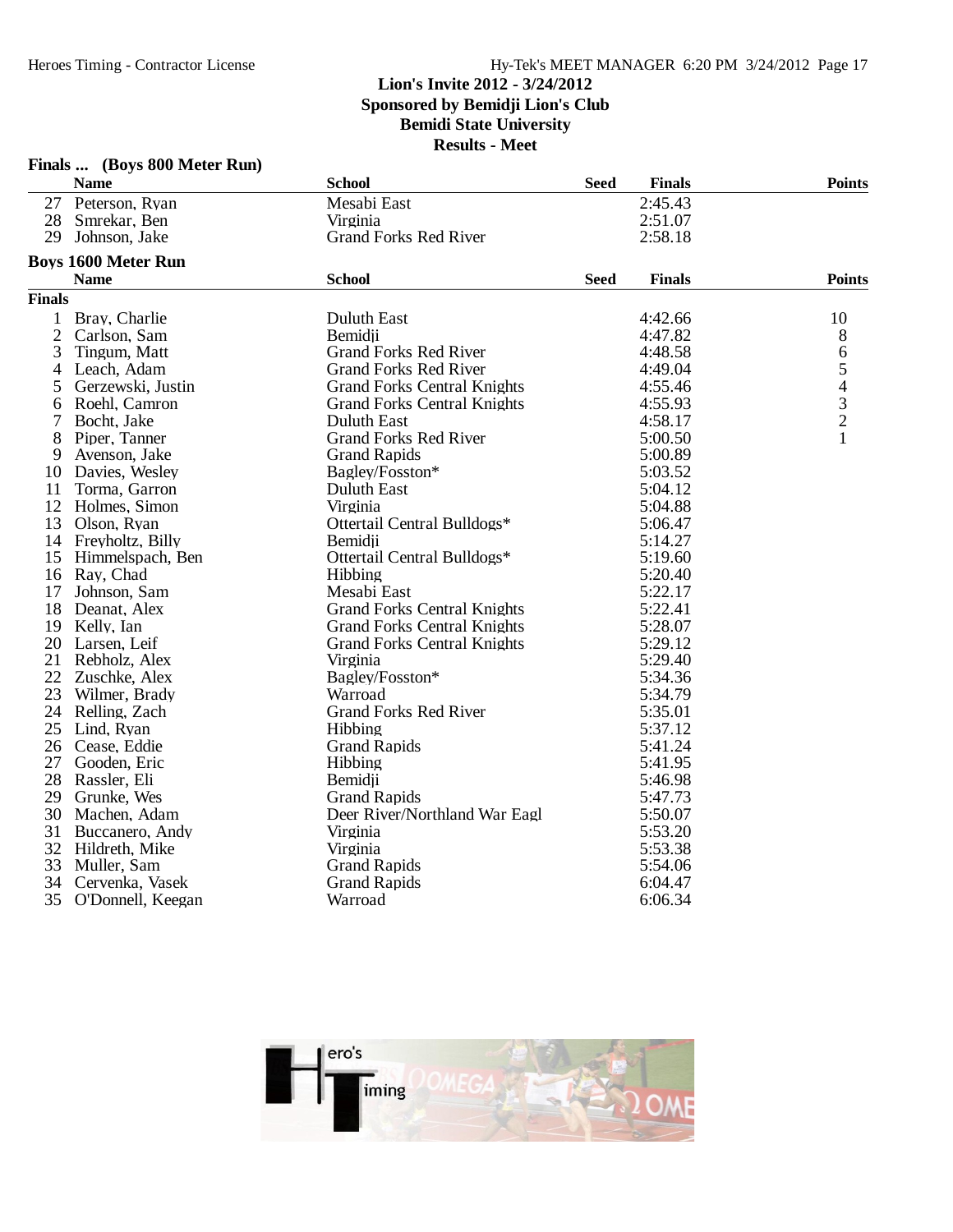|                | Finals  (Boys 800 Meter Run) |                                    |             |               |                                            |
|----------------|------------------------------|------------------------------------|-------------|---------------|--------------------------------------------|
|                | <b>Name</b>                  | <b>School</b>                      | <b>Seed</b> | <b>Finals</b> | <b>Points</b>                              |
|                | 27 Peterson, Ryan            | Mesabi East                        |             | 2:45.43       |                                            |
|                | 28 Smrekar, Ben              | Virginia                           |             | 2:51.07       |                                            |
| 29             | Johnson, Jake                | <b>Grand Forks Red River</b>       |             | 2:58.18       |                                            |
|                | <b>Boys 1600 Meter Run</b>   |                                    |             |               |                                            |
|                | <b>Name</b>                  | <b>School</b>                      | <b>Seed</b> | <b>Finals</b> | <b>Points</b>                              |
| <b>Finals</b>  |                              |                                    |             |               |                                            |
| 1              | Bray, Charlie                | Duluth East                        |             | 4:42.66       | 10                                         |
| $\overline{c}$ | Carlson, Sam                 | Bemidji                            |             | 4:47.82       | 8                                          |
| 3              | Tingum, Matt                 | <b>Grand Forks Red River</b>       |             | 4:48.58       | 6                                          |
| 4              | Leach, Adam                  | <b>Grand Forks Red River</b>       |             | 4:49.04       | 5                                          |
| 5              | Gerzewski, Justin            | <b>Grand Forks Central Knights</b> |             | 4:55.46       |                                            |
| 6              | Roehl, Camron                | <b>Grand Forks Central Knights</b> |             | 4:55.93       | $\begin{array}{c} 4 \\ 3 \\ 2 \end{array}$ |
| 7              | Bocht, Jake                  | Duluth East                        |             | 4:58.17       |                                            |
| 8              | Piper, Tanner                | <b>Grand Forks Red River</b>       |             | 5:00.50       |                                            |
| 9              | Avenson, Jake                | <b>Grand Rapids</b>                |             | 5:00.89       |                                            |
| 10             | Davies, Wesley               | Bagley/Fosston*                    |             | 5:03.52       |                                            |
| 11             | Torma, Garron                | Duluth East                        |             | 5:04.12       |                                            |
|                | 12 Holmes, Simon             | Virginia                           |             | 5:04.88       |                                            |
|                | 13 Olson, Ryan               | Ottertail Central Bulldogs*        |             | 5:06.47       |                                            |
|                | 14 Freyholtz, Billy          | Bemidii                            |             | 5:14.27       |                                            |
|                | 15 Himmelspach, Ben          | Ottertail Central Bulldogs*        |             | 5:19.60       |                                            |
|                | 16 Ray, Chad                 | Hibbing                            |             | 5:20.40       |                                            |
| 17             | Johnson, Sam                 | Mesabi East                        |             | 5:22.17       |                                            |
|                | 18 Deanat, Alex              | <b>Grand Forks Central Knights</b> |             | 5:22.41       |                                            |
|                | 19 Kelly, Ian                | <b>Grand Forks Central Knights</b> |             | 5:28.07       |                                            |
|                | 20 Larsen, Leif              | <b>Grand Forks Central Knights</b> |             | 5:29.12       |                                            |
| 21             | Rebholz, Alex                | Virginia                           |             | 5:29.40       |                                            |
|                | 22 Zuschke, Alex             | Bagley/Fosston*                    |             | 5:34.36       |                                            |
|                | 23 Wilmer, Brady             | Warroad                            |             | 5:34.79       |                                            |
|                | 24 Relling, Zach             | <b>Grand Forks Red River</b>       |             | 5:35.01       |                                            |
| 25             | Lind, Ryan                   | Hibbing                            |             | 5:37.12       |                                            |
|                | 26 Cease, Eddie              | <b>Grand Rapids</b>                |             | 5:41.24       |                                            |
| 27             | Gooden, Eric                 | Hibbing                            |             | 5:41.95       |                                            |
| 28             | Rassler, Eli                 | Bemidii                            |             | 5:46.98       |                                            |
|                | 29 Grunke, Wes               | <b>Grand Rapids</b>                |             | 5:47.73       |                                            |
|                | 30 Machen, Adam              | Deer River/Northland War Eagl      |             | 5:50.07       |                                            |
| 31             | Buccanero, Andy              | Virginia                           |             | 5:53.20       |                                            |
|                | 32 Hildreth, Mike            | Virginia                           |             | 5:53.38       |                                            |
| 33             | Muller, Sam                  | <b>Grand Rapids</b>                |             | 5:54.06       |                                            |
| 34             | Cervenka, Vasek              | <b>Grand Rapids</b>                |             | 6:04.47       |                                            |
| 35             | O'Donnell, Keegan            | Warroad                            |             | 6:06.34       |                                            |

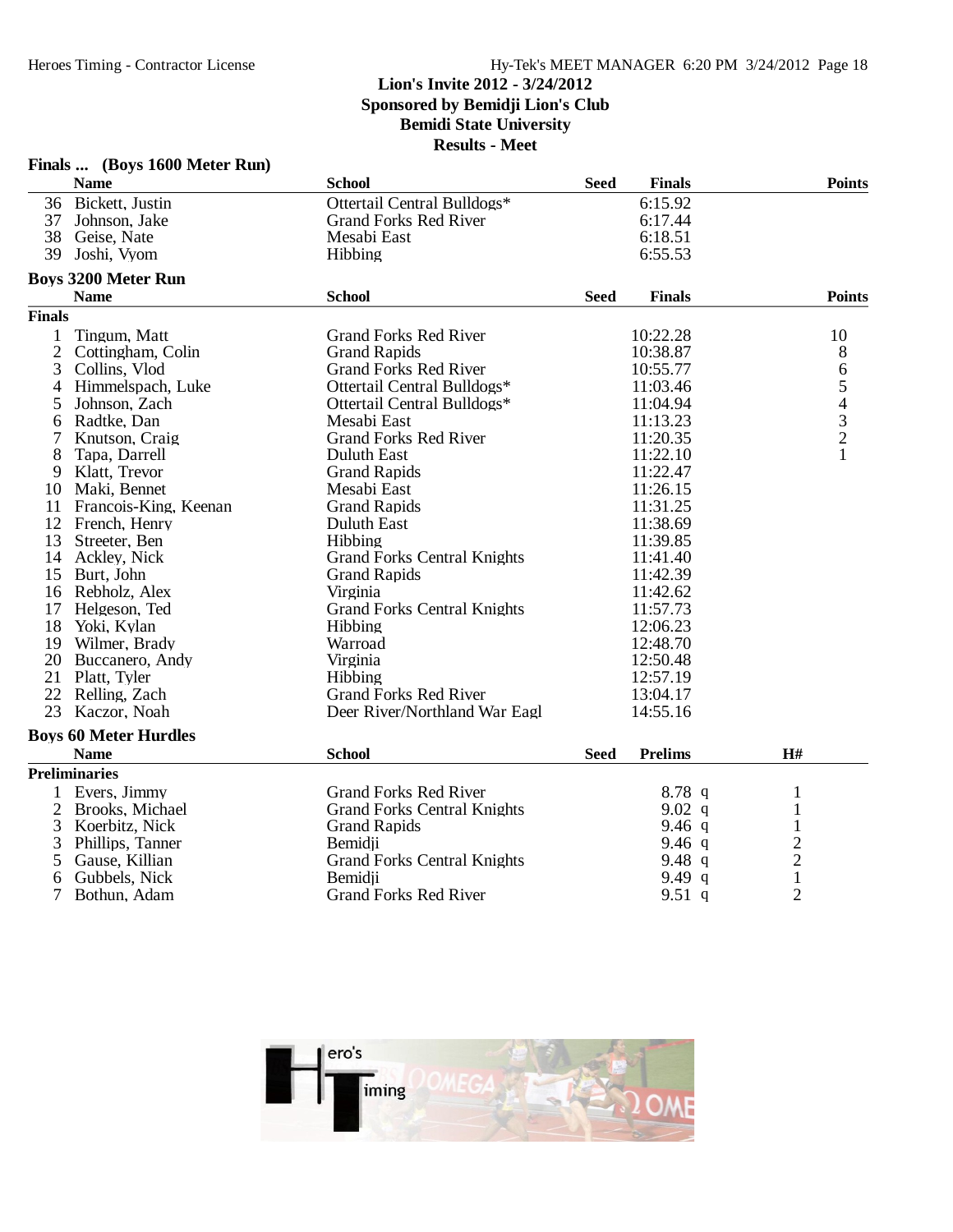#### **Lion's Invite 2012 - 3/24/2012**

**Sponsored by Bemidji Lion's Club**

### **Bemidi State University**

|                | Finals  (Boys 1600 Meter Run) |                                    |             |                |                |  |
|----------------|-------------------------------|------------------------------------|-------------|----------------|----------------|--|
|                | <b>Name</b>                   | <b>School</b>                      | <b>Seed</b> | <b>Finals</b>  | <b>Points</b>  |  |
|                | 36 Bickett, Justin            | Ottertail Central Bulldogs*        |             | 6:15.92        |                |  |
| 37             | Johnson, Jake                 | <b>Grand Forks Red River</b>       |             | 6:17.44        |                |  |
|                | 38 Geise, Nate                | Mesabi East                        |             | 6:18.51        |                |  |
| 39             | Joshi, Vyom                   | Hibbing                            |             | 6:55.53        |                |  |
|                | <b>Boys 3200 Meter Run</b>    |                                    |             |                |                |  |
|                | <b>Name</b>                   | <b>School</b>                      | <b>Seed</b> | <b>Finals</b>  | <b>Points</b>  |  |
| <b>Finals</b>  |                               |                                    |             |                |                |  |
| 1              | Tingum, Matt                  | <b>Grand Forks Red River</b>       |             | 10:22.28       | 10             |  |
| $\overline{2}$ | Cottingham, Colin             | <b>Grand Rapids</b>                |             | 10:38.87       | 8              |  |
| 3              | Collins, Vlod                 | <b>Grand Forks Red River</b>       |             | 10:55.77       |                |  |
| $\overline{4}$ | Himmelspach, Luke             | Ottertail Central Bulldogs*        |             | 11:03.46       |                |  |
| 5              | Johnson, Zach                 | Ottertail Central Bulldogs*        |             | 11:04.94       | 65432          |  |
| 6              | Radtke, Dan                   | Mesabi East                        |             | 11:13.23       |                |  |
| 7              | Knutson, Craig                | <b>Grand Forks Red River</b>       |             | 11:20.35       |                |  |
| 8              | Tapa, Darrell                 | Duluth East                        |             | 11:22.10       | $\mathbf{1}$   |  |
|                | 9 Klatt, Trevor               | <b>Grand Rapids</b>                |             | 11:22.47       |                |  |
|                | 10 Maki, Bennet               | Mesabi East                        |             | 11:26.15       |                |  |
|                | 11 Francois-King, Keenan      | <b>Grand Rapids</b>                |             | 11:31.25       |                |  |
|                | 12 French, Henry              | Duluth East                        |             | 11:38.69       |                |  |
| 13             | Streeter, Ben                 | Hibbing                            |             | 11:39.85       |                |  |
|                | 14 Ackley, Nick               | <b>Grand Forks Central Knights</b> |             | 11:41.40       |                |  |
|                | 15 Burt, John                 | <b>Grand Rapids</b>                |             | 11:42.39       |                |  |
|                | 16 Rebholz, Alex              | Virginia                           |             | 11:42.62       |                |  |
|                | 17 Helgeson, Ted              | <b>Grand Forks Central Knights</b> |             | 11:57.73       |                |  |
|                | 18 Yoki, Kylan                | Hibbing                            |             | 12:06.23       |                |  |
|                | 19 Wilmer, Brady              | Warroad                            |             | 12:48.70       |                |  |
|                | 20 Buccanero, Andy            | Virginia                           |             | 12:50.48       |                |  |
|                | 21 Platt, Tyler               | Hibbing                            |             | 12:57.19       |                |  |
|                | 22 Relling, Zach              | <b>Grand Forks Red River</b>       |             | 13:04.17       |                |  |
| 23             | Kaczor, Noah                  | Deer River/Northland War Eagl      |             | 14:55.16       |                |  |
|                | <b>Boys 60 Meter Hurdles</b>  |                                    |             |                |                |  |
|                | <b>Name</b>                   | <b>School</b>                      | <b>Seed</b> | <b>Prelims</b> | $\mathbf{H}$ # |  |
|                | <b>Preliminaries</b>          |                                    |             |                |                |  |
|                | 1 Evers, Jimmy                | <b>Grand Forks Red River</b>       |             | $8.78$ q       | $\mathbf{1}$   |  |
| $\overline{2}$ | Brooks, Michael               | <b>Grand Forks Central Knights</b> |             | 9.02 $q$       | $\mathbf{1}$   |  |
| 3              | Koerbitz, Nick                | <b>Grand Rapids</b>                |             | 9.46 $q$       | $\,1\,$        |  |
| 3              | Phillips, Tanner              | Bemidii                            |             | 9.46 $q$       |                |  |
| 5              | Gause, Killian                | <b>Grand Forks Central Knights</b> |             | 9.48q          | $\frac{2}{2}$  |  |
| 6              | Gubbels, Nick                 | Bemidji                            |             | 9.49 q         | $\mathbf{1}$   |  |
| 7              | Bothun, Adam                  | <b>Grand Forks Red River</b>       |             | 9.51 $q$       | $\overline{2}$ |  |

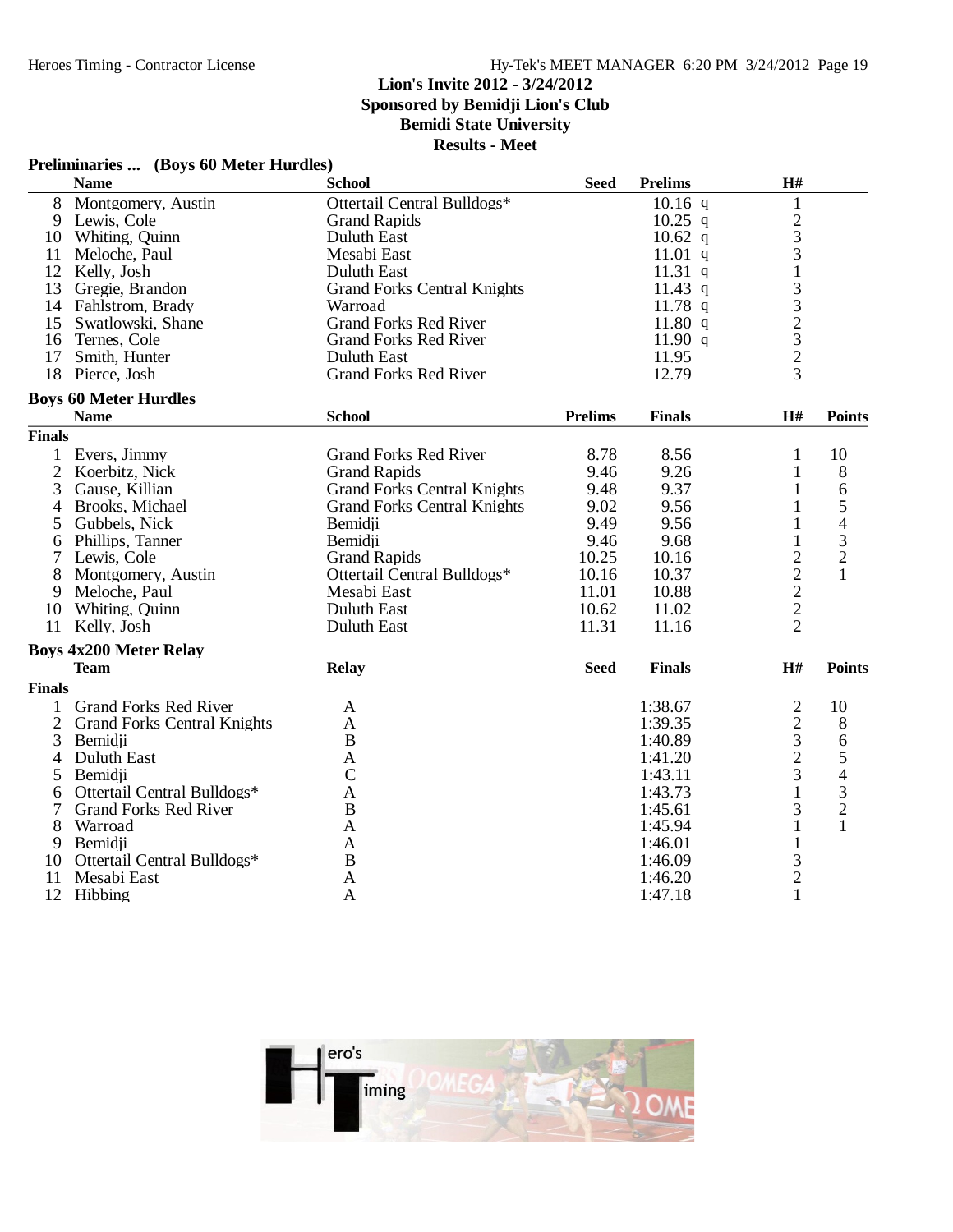### **Lion's Invite 2012 - 3/24/2012**

**Sponsored by Bemidji Lion's Club**

**Bemidi State University**

|  | Preliminaries  (Boys 60 Meter Hurdles) |
|--|----------------------------------------|
|--|----------------------------------------|

|                | <b>Name</b>                        | <b>School</b>                      | <b>Seed</b>    | <b>Prelims</b> | H#                                                      |                          |
|----------------|------------------------------------|------------------------------------|----------------|----------------|---------------------------------------------------------|--------------------------|
| 8              | Montgomery, Austin                 | Ottertail Central Bulldogs*        |                | $10.16$ q      | $\mathbf 1$                                             |                          |
|                | 9 Lewis, Cole                      | <b>Grand Rapids</b>                |                | $10.25$ q      |                                                         |                          |
| 10             | Whiting, Quinn                     | Duluth East                        |                | $10.62$ q      | $\frac{2}{3}$                                           |                          |
| 11             | Meloche, Paul                      | Mesabi East                        |                | $11.01$ q      |                                                         |                          |
|                | 12 Kelly, Josh                     | Duluth East                        |                | 11.31 $q$      |                                                         |                          |
|                | 13 Gregie, Brandon                 | <b>Grand Forks Central Knights</b> |                | $11.43$ q      | $\frac{1}{3}$ $\frac{3}{2}$ $\frac{2}{3}$ $\frac{3}{2}$ |                          |
|                | 14 Fahlstrom, Brady                | Warroad                            |                | 11.78 $q$      |                                                         |                          |
| 15             | Swatlowski, Shane                  | <b>Grand Forks Red River</b>       |                | 11.80 $q$      |                                                         |                          |
|                | 16 Ternes, Cole                    | <b>Grand Forks Red River</b>       |                | 11.90 $q$      |                                                         |                          |
| 17             | Smith, Hunter                      | Duluth East                        |                | 11.95          |                                                         |                          |
|                | 18 Pierce, Josh                    | <b>Grand Forks Red River</b>       |                | 12.79          | 3                                                       |                          |
|                | <b>Boys 60 Meter Hurdles</b>       |                                    |                |                |                                                         |                          |
|                | <b>Name</b>                        | <b>School</b>                      | <b>Prelims</b> | <b>Finals</b>  | H#                                                      | <b>Points</b>            |
| <b>Finals</b>  |                                    |                                    |                |                |                                                         |                          |
| 1              | Evers, Jimmy                       | <b>Grand Forks Red River</b>       | 8.78           | 8.56           | 1                                                       | 10                       |
| $\overline{2}$ | Koerbitz, Nick                     | <b>Grand Rapids</b>                | 9.46           | 9.26           | 1                                                       | 8                        |
| 3              | Gause, Killian                     | <b>Grand Forks Central Knights</b> | 9.48           | 9.37           | $\mathbf{1}$                                            | 6                        |
| 4              | Brooks, Michael                    | <b>Grand Forks Central Knights</b> | 9.02           | 9.56           | $\mathbf{1}$                                            | 5                        |
| 5              | Gubbels, Nick                      | Bemidii                            | 9.49           | 9.56           | 1                                                       | $\overline{\mathcal{A}}$ |
| 6              | Phillips, Tanner                   | Bemidji                            | 9.46           | 9.68           | 1                                                       | 3                        |
| 7              | Lewis, Cole                        | <b>Grand Rapids</b>                | 10.25          | 10.16          | $\overline{c}$                                          | $\overline{2}$           |
| 8              | Montgomery, Austin                 | Ottertail Central Bulldogs*        | 10.16          | 10.37          |                                                         | $\mathbf{1}$             |
| 9              | Meloche, Paul                      | Mesabi East                        | 11.01          | 10.88          |                                                         |                          |
| 10             | Whiting, Quinn                     | Duluth East                        | 10.62          | 11.02          | $\frac{2}{2}$                                           |                          |
| 11             | Kelly, Josh                        | <b>Duluth East</b>                 | 11.31          | 11.16          | $\overline{2}$                                          |                          |
|                | <b>Boys 4x200 Meter Relay</b>      |                                    |                |                |                                                         |                          |
|                | <b>Team</b>                        | Relay                              | <b>Seed</b>    | <b>Finals</b>  | H#                                                      | <b>Points</b>            |
| <b>Finals</b>  |                                    |                                    |                |                |                                                         |                          |
| 1              | <b>Grand Forks Red River</b>       | A                                  |                | 1:38.67        | $\overline{c}$                                          | 10                       |
| $\overline{2}$ | <b>Grand Forks Central Knights</b> | A                                  |                | 1:39.35        |                                                         | 8                        |
| 3              | Bemidji                            | B                                  |                | 1:40.89        | $rac{2}{3}$                                             | 6                        |
| 4              | Duluth East                        | A                                  |                | 1:41.20        | $\overline{2}$                                          | 5                        |
| 5              | Bemidji                            | $\mathcal{C}$                      |                | 1:43.11        | 3                                                       | 4                        |
|                | Ottertail Central Bulldogs*        |                                    |                | 1:43.73        | 1                                                       | 3                        |
| 6<br>7         | <b>Grand Forks Red River</b>       | A<br>B                             |                | 1:45.61        | 3                                                       | $\overline{c}$           |
|                |                                    |                                    |                | 1:45.94        |                                                         | $\mathbf{1}$             |
| 8              | Warroad                            | A                                  |                |                | 1                                                       |                          |
| 9              | Bemidji                            | A                                  |                | 1:46.01        | $\mathbf{1}$                                            |                          |
| 10             | Ottertail Central Bulldogs*        | B                                  |                | 1:46.09        | $\frac{3}{2}$                                           |                          |
| 11             | Mesabi East                        | A                                  |                | 1:46.20        |                                                         |                          |
|                | 12 Hibbing                         | A                                  |                | 1:47.18        | $\mathbf{1}$                                            |                          |

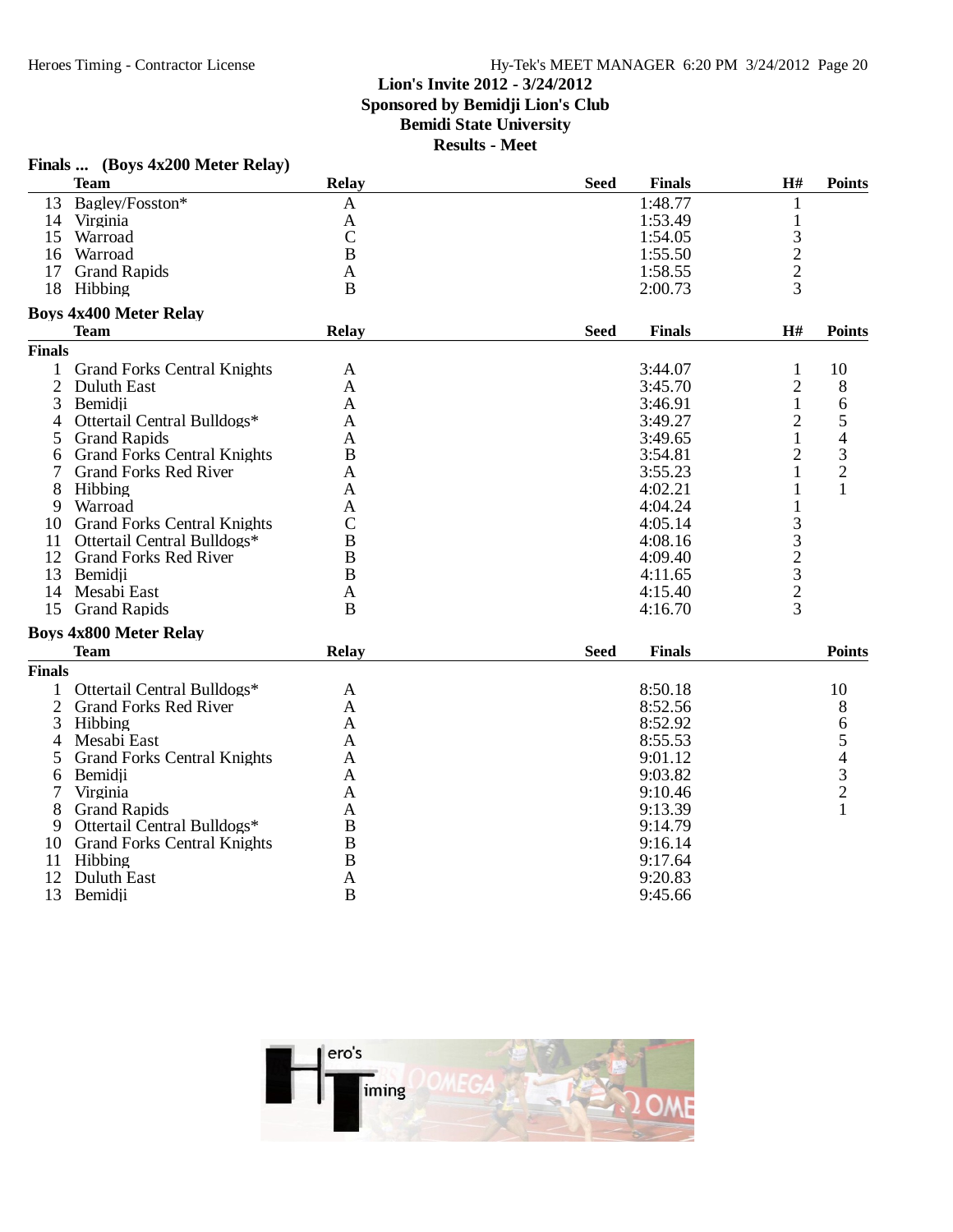### Hy-Tek's MEET MANAGER 6:20 PM 3/24/2012 Page 20

# **Lion's Invite 2012 - 3/24/2012**

**Sponsored by Bemidji Lion's Club**

**Bemidi State University**

|                | Finals  (Boys 4x200 Meter Relay)   |                  |             |               |                                                 |               |
|----------------|------------------------------------|------------------|-------------|---------------|-------------------------------------------------|---------------|
|                | <b>Team</b>                        | <b>Relay</b>     | <b>Seed</b> | <b>Finals</b> | H#                                              | <b>Points</b> |
|                | 13 Bagley/Fosston*                 | A                |             | 1:48.77       | 1                                               |               |
|                | 14 Virginia                        | A                |             | 1:53.49       | $\mathbf{1}$                                    |               |
|                | 15 Warroad                         | $\mathcal{C}$    |             | 1:54.05       | $\frac{3}{2}$                                   |               |
|                | 16 Warroad                         | B                |             | 1:55.50       |                                                 |               |
|                | 17 Grand Rapids                    | A                |             | 1:58.55       | $\overline{2}$                                  |               |
|                | 18 Hibbing                         | B                |             | 2:00.73       | 3                                               |               |
|                | <b>Boys 4x400 Meter Relay</b>      |                  |             |               |                                                 |               |
|                | <b>Team</b>                        | <b>Relay</b>     | <b>Seed</b> | <b>Finals</b> | H#                                              | <b>Points</b> |
| <b>Finals</b>  |                                    |                  |             |               |                                                 |               |
| 1              | <b>Grand Forks Central Knights</b> | A                |             | 3:44.07       | 1                                               | 10            |
| $\overline{2}$ | Duluth East                        | A                |             | 3:45.70       | $\overline{2}$                                  | 8             |
| 3              | Bemidji                            | A                |             | 3:46.91       | $\mathbf{1}$                                    | $\sqrt{6}$    |
| 4              | Ottertail Central Bulldogs*        | A                |             | 3:49.27       | $\overline{2}$                                  | $\frac{5}{4}$ |
| 5              | <b>Grand Rapids</b>                | A                |             | 3:49.65       | $\mathbf{1}$                                    |               |
| 6              | <b>Grand Forks Central Knights</b> | $\bf{B}$         |             | 3:54.81       | $\overline{2}$                                  | $\frac{3}{2}$ |
| 7              | <b>Grand Forks Red River</b>       | A                |             | 3:55.23       | 1                                               |               |
| 8              | Hibbing                            | Α                |             | 4:02.21       | 1                                               | $\mathbf{1}$  |
| 9              | Warroad                            | A                |             | 4:04.24       | $\mathbf{1}$                                    |               |
|                | 10 Grand Forks Central Knights     | $\mathsf C$      |             | 4:05.14       |                                                 |               |
|                | 11 Ottertail Central Bulldogs*     | $\boldsymbol{B}$ |             | 4:08.16       | $\begin{array}{c} 3 \\ 3 \\ 2 \\ 3 \end{array}$ |               |
|                | 12 Grand Forks Red River           | B                |             | 4:09.40       |                                                 |               |
|                | 13 Bemidji                         | B                |             | 4:11.65       |                                                 |               |
| 14             | Mesabi East                        | A                |             | 4:15.40       | $\overline{c}$                                  |               |
| 15             | <b>Grand Rapids</b>                | $\mathbf B$      |             | 4:16.70       | $\overline{3}$                                  |               |
|                | <b>Boys 4x800 Meter Relay</b>      |                  |             |               |                                                 |               |
|                | <b>Team</b>                        | <b>Relay</b>     | <b>Seed</b> | <b>Finals</b> |                                                 | <b>Points</b> |
| <b>Finals</b>  |                                    |                  |             |               |                                                 |               |
| $\mathbf{1}$   | Ottertail Central Bulldogs*        | A                |             | 8:50.18       |                                                 | 10            |
| 2              | <b>Grand Forks Red River</b>       | A                |             | 8:52.56       |                                                 | 8             |
| 3              | Hibbing                            | A                |             | 8:52.92       |                                                 |               |
| 4              | Mesabi East                        | A                |             | 8:55.53       |                                                 | 65432         |
| 5              | <b>Grand Forks Central Knights</b> | A                |             | 9:01.12       |                                                 |               |
| 6              | Bemidji                            | A                |             | 9:03.82       |                                                 |               |
| $\tau$         | Virginia                           | A                |             | 9:10.46       |                                                 |               |
| 8              | <b>Grand Rapids</b>                | Α                |             | 9:13.39       |                                                 | $\mathbf{1}$  |
| 9              | Ottertail Central Bulldogs*        | B                |             | 9:14.79       |                                                 |               |
|                | 10 Grand Forks Central Knights     | B                |             | 9:16.14       |                                                 |               |
|                | 11 Hibbing                         | B                |             | 9:17.64       |                                                 |               |
| 12             | Duluth East                        | A                |             | 9:20.83       |                                                 |               |
| 13             | Bemidji                            | B                |             | 9:45.66       |                                                 |               |

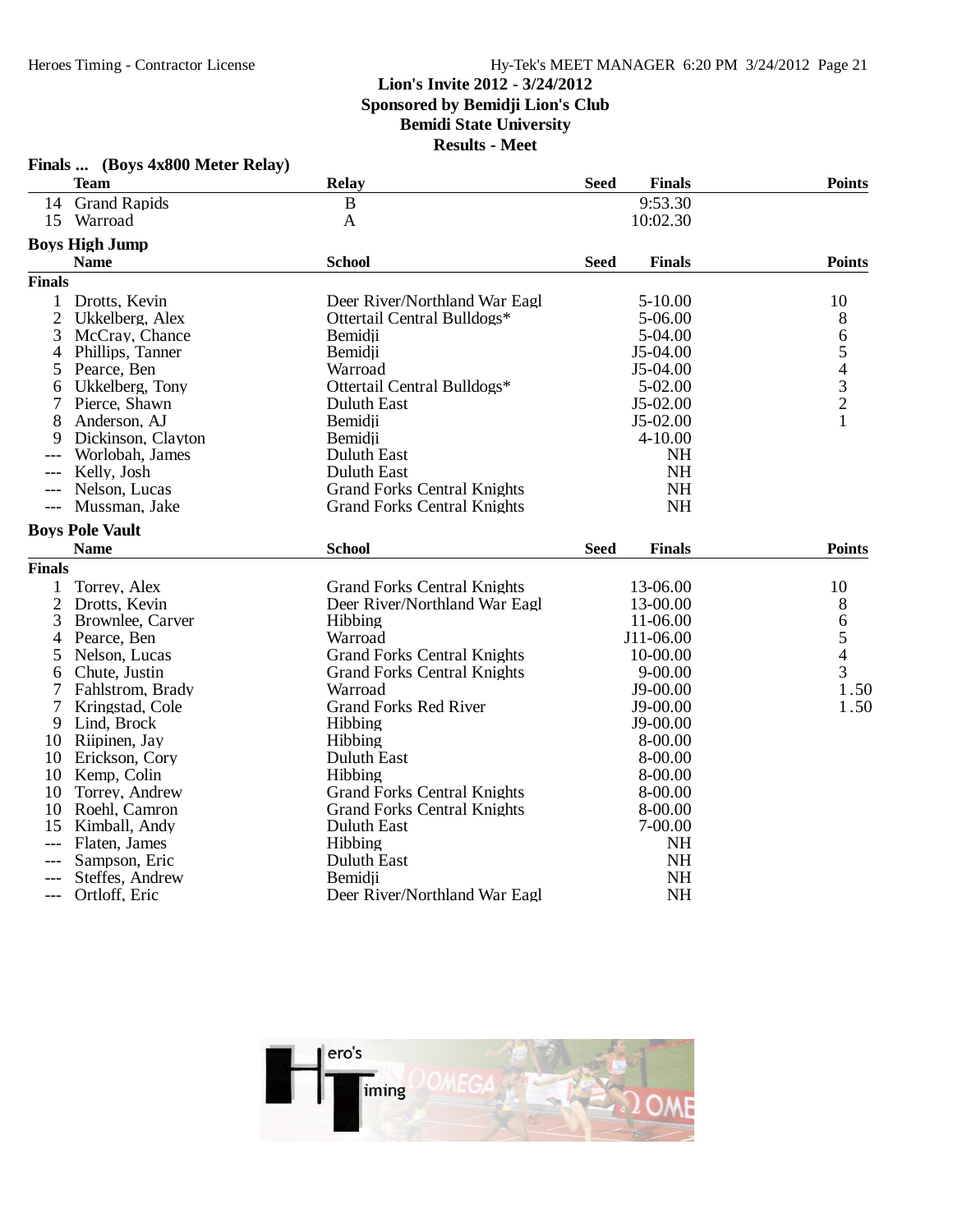### **Lion's Invite 2012 - 3/24/2012 Sponsored by Bemidji Lion's Club Bemidi State University Results - Meet**

|                | Finals  (Boys 4x800 Meter Relay) |                                    |             |               |                                                 |
|----------------|----------------------------------|------------------------------------|-------------|---------------|-------------------------------------------------|
|                | Team                             | Relay                              | <b>Seed</b> | <b>Finals</b> | <b>Points</b>                                   |
|                | 14 Grand Rapids                  | $\bf{B}$                           |             | 9:53.30       |                                                 |
|                | 15 Warroad                       | $\mathbf{A}$                       |             | 10:02.30      |                                                 |
|                | <b>Boys High Jump</b>            |                                    |             |               |                                                 |
|                | <b>Name</b>                      | <b>School</b>                      | Seed        | <b>Finals</b> | <b>Points</b>                                   |
| <b>Finals</b>  |                                  |                                    |             |               |                                                 |
| 1              | Drotts, Kevin                    | Deer River/Northland War Eagl      |             | 5-10.00       | 10                                              |
| $\overline{2}$ | Ukkelberg, Alex                  | Ottertail Central Bulldogs*        |             | 5-06.00       | 8                                               |
| 3              | McCray, Chance                   | Bemidji                            |             | 5-04.00       | 6                                               |
| 4              | Phillips, Tanner                 | Bemidji                            |             | J5-04.00      |                                                 |
| 5              | Pearce, Ben                      | Warroad                            |             | J5-04.00      | $\begin{array}{c} 5 \\ 4 \\ 3 \\ 2 \end{array}$ |
| 6              | Ukkelberg, Tony                  | Ottertail Central Bulldogs*        |             | 5-02.00       |                                                 |
| 7              | Pierce, Shawn                    | <b>Duluth East</b>                 |             | $J5-02.00$    |                                                 |
| 8              | Anderson, AJ                     | Bemidji                            |             | $J5-02.00$    | 1                                               |
| 9              | Dickinson, Clayton               | Bemidji                            |             | 4-10.00       |                                                 |
|                | Worlobah, James                  | <b>Duluth East</b>                 |             | <b>NH</b>     |                                                 |
| $---$          | Kelly, Josh                      | <b>Duluth East</b>                 |             | <b>NH</b>     |                                                 |
| ---            | Nelson, Lucas                    | <b>Grand Forks Central Knights</b> |             | <b>NH</b>     |                                                 |
| $---$          | Mussman, Jake                    | <b>Grand Forks Central Knights</b> |             | <b>NH</b>     |                                                 |
|                | <b>Boys Pole Vault</b>           |                                    |             |               |                                                 |
|                | <b>Name</b>                      | <b>School</b>                      | <b>Seed</b> | <b>Finals</b> | <b>Points</b>                                   |
| <b>Finals</b>  |                                  |                                    |             |               |                                                 |
| 1              | Torrey, Alex                     | <b>Grand Forks Central Knights</b> |             | 13-06.00      | 10                                              |
| 2              | Drotts, Kevin                    | Deer River/Northland War Eagl      |             | 13-00.00      | 8                                               |
| 3              | Brownlee, Carver                 | Hibbing                            |             | 11-06.00      |                                                 |
| 4              | Pearce, Ben                      | Warroad                            |             | J11-06.00     | 6<br>5<br>4                                     |
| 5              | Nelson, Lucas                    | <b>Grand Forks Central Knights</b> |             | 10-00.00      |                                                 |
| 6              | Chute, Justin                    | <b>Grand Forks Central Knights</b> |             | $9 - 00.00$   | $\overline{3}$                                  |
| 7              | Fahlstrom, Brady                 | Warroad                            |             | J9-00.00      | 1.50                                            |
| 7              | Kringstad, Cole                  | <b>Grand Forks Red River</b>       |             | J9-00.00      | 1.50                                            |
| 9              | Lind, Brock                      | Hibbing                            |             | J9-00.00      |                                                 |
|                | 10 Riipinen, Jay                 | Hibbing                            |             | 8-00.00       |                                                 |
|                | 10 Erickson, Cory                | <b>Duluth East</b>                 |             | 8-00.00       |                                                 |
| 10             | Kemp, Colin                      | Hibbing                            |             | 8-00.00       |                                                 |
| 10             | Torrey, Andrew                   | <b>Grand Forks Central Knights</b> |             | 8-00.00       |                                                 |
| 10             | Roehl, Camron                    | <b>Grand Forks Central Knights</b> |             | 8-00.00       |                                                 |
| 15             | Kimball, Andy                    | Duluth East                        |             | 7-00.00       |                                                 |
|                | Flaten, James                    | Hibbing                            |             | <b>NH</b>     |                                                 |
|                | Sampson, Eric                    | <b>Duluth East</b>                 |             | <b>NH</b>     |                                                 |
|                | Steffes, Andrew                  | Bemidji                            |             | <b>NH</b>     |                                                 |
| $---$          | Ortloff, Eric                    | Deer River/Northland War Eagl      |             | <b>NH</b>     |                                                 |

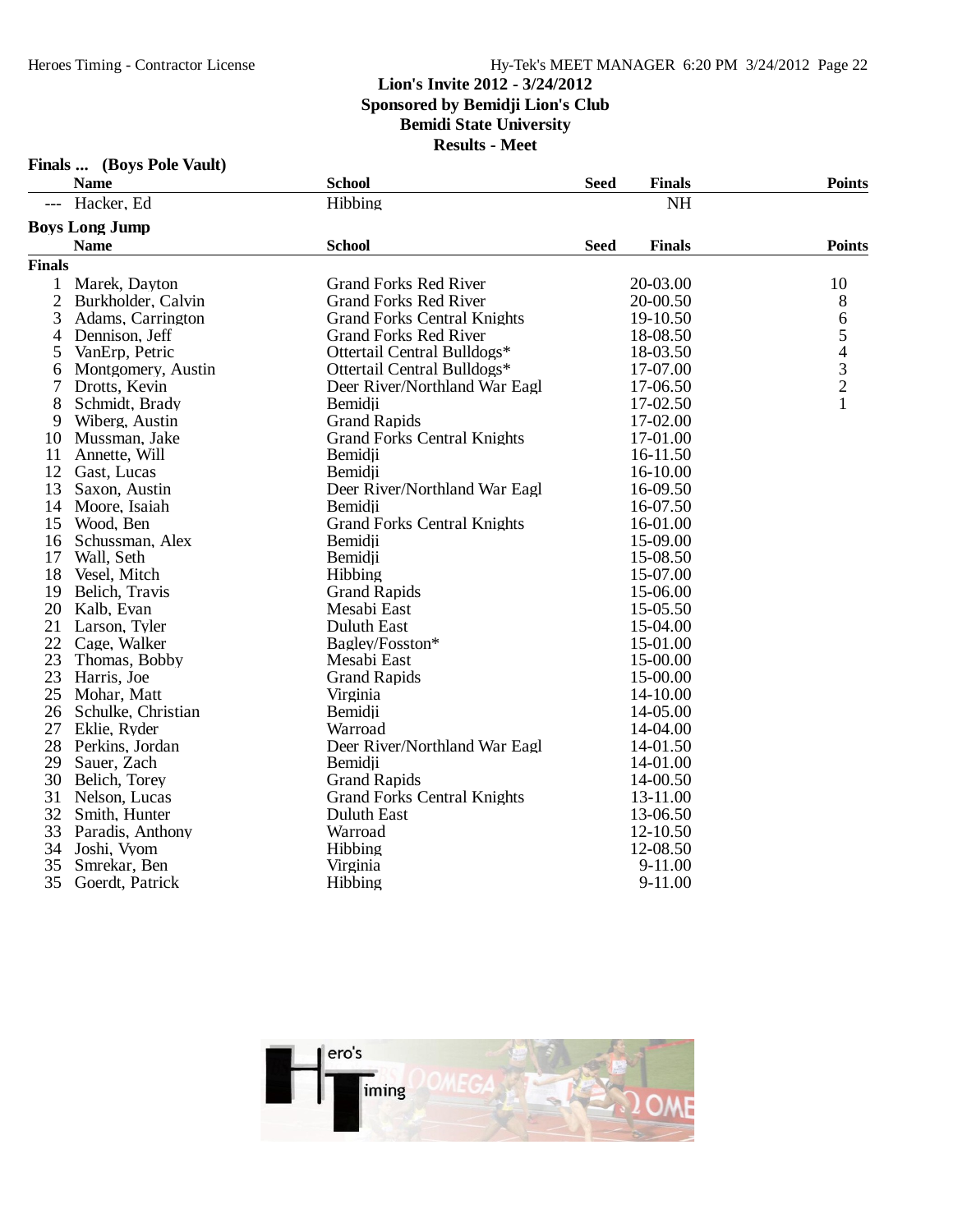**Finals ... (Boys Pole Vault)**

### Heroes Timing - Contractor License Hy-Tek's MEET MANAGER 6:20 PM 3/24/2012 Page 22

### **Lion's Invite 2012 - 3/24/2012**

**Sponsored by Bemidji Lion's Club**

**Bemidi State University**

|               | <b>Name</b>           | <b>School</b>                      | <b>Seed</b> | <b>Finals</b> | <b>Points</b>                              |
|---------------|-----------------------|------------------------------------|-------------|---------------|--------------------------------------------|
| ---           | Hacker, Ed            | Hibbing                            |             | <b>NH</b>     |                                            |
|               | <b>Boys Long Jump</b> |                                    |             |               |                                            |
|               | <b>Name</b>           | <b>School</b>                      | <b>Seed</b> | <b>Finals</b> | <b>Points</b>                              |
| <b>Finals</b> |                       |                                    |             |               |                                            |
| 1             | Marek, Dayton         | <b>Grand Forks Red River</b>       |             | 20-03.00      | 10                                         |
| 2             | Burkholder, Calvin    | <b>Grand Forks Red River</b>       |             | 20-00.50      | 8                                          |
| 3             | Adams, Carrington     | <b>Grand Forks Central Knights</b> |             | 19-10.50      | 6                                          |
| 4             | Dennison, Jeff        | <b>Grand Forks Red River</b>       |             | 18-08.50      | 5                                          |
| 5             | VanErp, Petric        | Ottertail Central Bulldogs*        |             | 18-03.50      |                                            |
| 6             | Montgomery, Austin    | Ottertail Central Bulldogs*        |             | 17-07.00      | $\begin{array}{c} 4 \\ 3 \\ 2 \end{array}$ |
| 7             | Drotts, Kevin         | Deer River/Northland War Eagl      |             | 17-06.50      |                                            |
| 8             | Schmidt, Brady        | Bemidji                            |             | 17-02.50      | $\mathbf{1}$                               |
| 9             | Wiberg, Austin        | <b>Grand Rapids</b>                |             | 17-02.00      |                                            |
| 10            | Mussman, Jake         | <b>Grand Forks Central Knights</b> |             | 17-01.00      |                                            |
| 11            | Annette, Will         | Bemidji                            |             | 16-11.50      |                                            |
| 12            | Gast, Lucas           | Bemidji                            |             | 16-10.00      |                                            |
| 13            | Saxon, Austin         | Deer River/Northland War Eagl      |             | 16-09.50      |                                            |
| 14            | Moore, Isaiah         | Bemidji                            |             | 16-07.50      |                                            |
| 15            | Wood, Ben             | <b>Grand Forks Central Knights</b> |             | 16-01.00      |                                            |
| 16            | Schussman, Alex       | Bemidji                            |             | 15-09.00      |                                            |
| 17            | Wall, Seth            | Bemidji                            |             | 15-08.50      |                                            |
| 18            | Vesel, Mitch          | Hibbing                            |             | 15-07.00      |                                            |
| 19            | Belich, Travis        | <b>Grand Rapids</b>                |             | 15-06.00      |                                            |
| 20            | Kalb, Evan            | Mesabi East                        |             | 15-05.50      |                                            |
| 21            | Larson, Tyler         | <b>Duluth East</b>                 |             | 15-04.00      |                                            |
| 22            | Cage, Walker          | Bagley/Fosston*                    |             | 15-01.00      |                                            |
| 23            | Thomas, Bobby         | Mesabi East                        |             | 15-00.00      |                                            |
| 23            | Harris, Joe           | <b>Grand Rapids</b>                |             | 15-00.00      |                                            |
| 25            | Mohar, Matt           | Virginia                           |             | 14-10.00      |                                            |
| 26            | Schulke, Christian    | Bemidji                            |             | 14-05.00      |                                            |
| 27            | Eklie, Ryder          | Warroad                            |             | 14-04.00      |                                            |
| 28            | Perkins, Jordan       | Deer River/Northland War Eagl      |             | 14-01.50      |                                            |
| 29            | Sauer, Zach           | Bemidii                            |             | 14-01.00      |                                            |
| 30            | Belich, Torey         | <b>Grand Rapids</b>                |             | 14-00.50      |                                            |
| 31            | Nelson, Lucas         | <b>Grand Forks Central Knights</b> |             | 13-11.00      |                                            |
| 32            | Smith, Hunter         | <b>Duluth East</b>                 |             | 13-06.50      |                                            |
| 33            | Paradis, Anthony      | Warroad                            |             | 12-10.50      |                                            |
| 34            | Joshi, Vyom           | Hibbing                            |             | 12-08.50      |                                            |
| 35            | Smrekar, Ben          | Virginia                           |             | 9-11.00       |                                            |
| 35            | Goerdt, Patrick       | Hibbing                            |             | 9-11.00       |                                            |

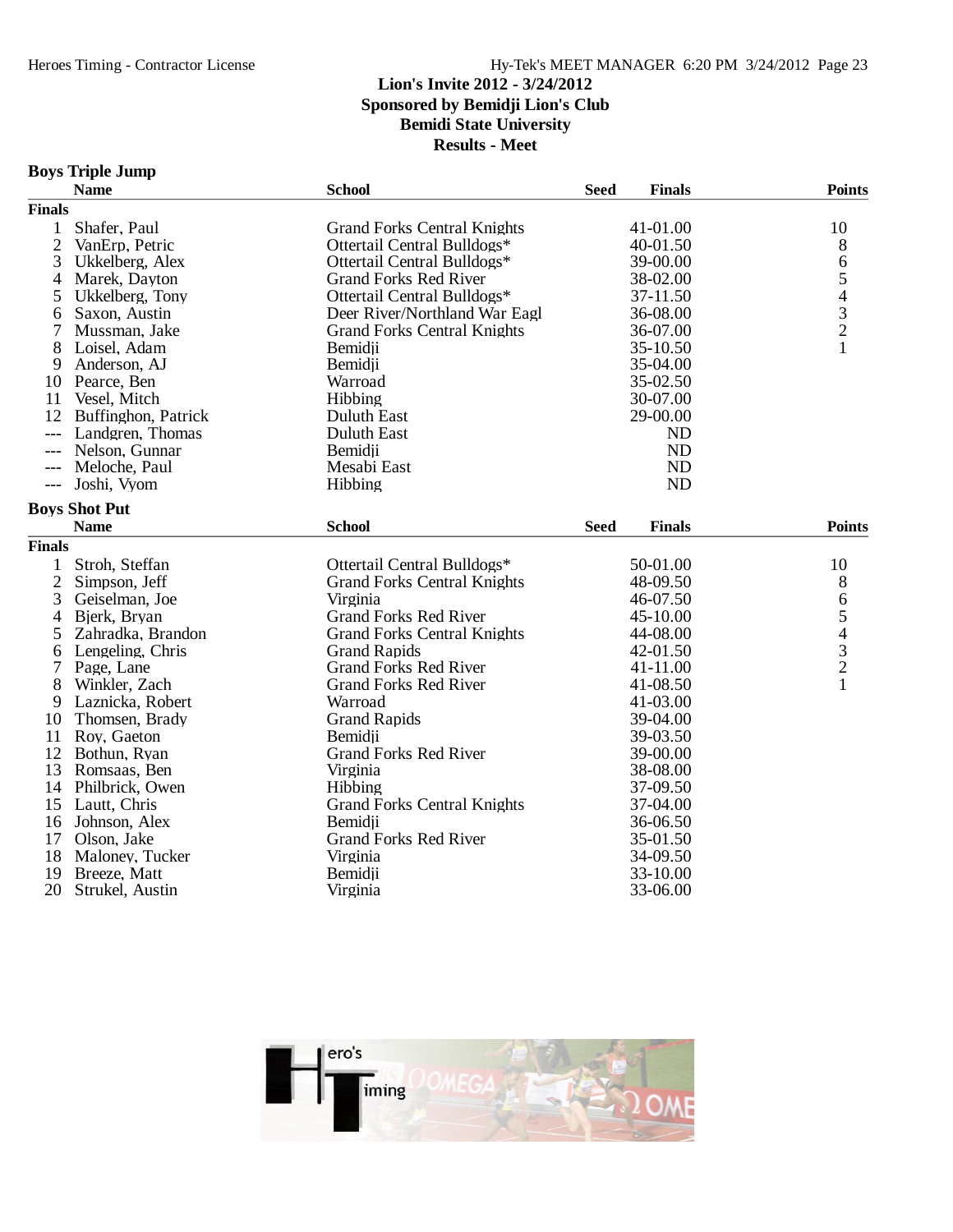### **Lion's Invite 2012 - 3/24/2012 Sponsored by Bemidji Lion's Club Bemidi State University Results - Meet**

### **Boys Triple Jump**

|                | <b>Name</b>          | <b>School</b>                      | <b>Seed</b> | <b>Finals</b> | <b>Points</b>                                   |
|----------------|----------------------|------------------------------------|-------------|---------------|-------------------------------------------------|
| <b>Finals</b>  |                      |                                    |             |               |                                                 |
| $\mathbf{1}$   | Shafer, Paul         | <b>Grand Forks Central Knights</b> | 41-01.00    | 10            |                                                 |
| $\overline{2}$ | VanErp, Petric       | Ottertail Central Bulldogs*        | 40-01.50    |               | 8                                               |
| 3              | Ukkelberg, Alex      | Ottertail Central Bulldogs*        | 39-00.00    |               | 6                                               |
| 4              | Marek, Dayton        | <b>Grand Forks Red River</b>       |             | 38-02.00      | 5                                               |
| 5              | Ukkelberg, Tony      | Ottertail Central Bulldogs*        |             | 37-11.50      |                                                 |
| 6              | Saxon, Austin        | Deer River/Northland War Eagl      |             | 36-08.00      |                                                 |
| 7              | Mussman, Jake        | <b>Grand Forks Central Knights</b> |             | 36-07.00      | $\begin{array}{c} 4 \\ 3 \\ 2 \\ 1 \end{array}$ |
| 8              | Loisel, Adam         | Bemidji                            |             | 35-10.50      |                                                 |
| 9              | Anderson, AJ         | Bemidji                            |             | 35-04.00      |                                                 |
| 10             | Pearce, Ben          | Warroad                            |             | 35-02.50      |                                                 |
| 11             | Vesel, Mitch         | Hibbing                            |             | 30-07.00      |                                                 |
| 12             | Buffinghon, Patrick  | Duluth East                        |             | 29-00.00      |                                                 |
| $---$          | Landgren, Thomas     | Duluth East                        |             | <b>ND</b>     |                                                 |
| $---$          | Nelson, Gunnar       | Bemidji                            |             | <b>ND</b>     |                                                 |
| $---$          | Meloche, Paul        | Mesabi East                        |             | <b>ND</b>     |                                                 |
| $---$          | Joshi, Vyom          | Hibbing                            |             | <b>ND</b>     |                                                 |
|                | <b>Boys Shot Put</b> |                                    |             |               |                                                 |
|                | <b>Name</b>          | <b>School</b>                      | <b>Seed</b> | <b>Finals</b> | <b>Points</b>                                   |
| <b>Finals</b>  |                      |                                    |             |               |                                                 |
| 1              | Stroh, Steffan       | Ottertail Central Bulldogs*        |             | 50-01.00      | 10                                              |
| $\overline{2}$ | Simpson, Jeff        | <b>Grand Forks Central Knights</b> |             | 48-09.50      | 8                                               |
| 3              | Geiselman, Joe       | Virginia                           |             | 46-07.50      | 6                                               |
| 4              | Bjerk, Bryan         | <b>Grand Forks Red River</b>       |             | 45-10.00      | 5                                               |
| 5              | Zahradka, Brandon    | <b>Grand Forks Central Knights</b> |             | 44-08.00      |                                                 |
| 6              | Lengeling, Chris     | <b>Grand Rapids</b>                |             | 42-01.50      | $\begin{array}{c} 4 \\ 3 \\ 2 \\ 1 \end{array}$ |
| 7              | Page, Lane           | <b>Grand Forks Red River</b>       |             | 41-11.00      |                                                 |
| 8              | Winkler, Zach        | <b>Grand Forks Red River</b>       |             | 41-08.50      |                                                 |
| 9              | Laznicka, Robert     | Warroad                            |             | 41-03.00      |                                                 |
| 10             | Thomsen, Brady       | <b>Grand Rapids</b>                |             | 39-04.00      |                                                 |
| 11             | Roy, Gaeton          | Bemidji                            |             | 39-03.50      |                                                 |
| 12             | Bothun, Ryan         | <b>Grand Forks Red River</b>       |             | 39-00.00      |                                                 |
| 13             | Romsaas, Ben         | Virginia                           |             | 38-08.00      |                                                 |
| 14             | Philbrick, Owen      | Hibbing                            |             | 37-09.50      |                                                 |
| 15             | Lautt, Chris         | <b>Grand Forks Central Knights</b> |             | 37-04.00      |                                                 |
| 16             | Johnson, Alex        | Bemidii                            |             | 36-06.50      |                                                 |
| 17             | Olson, Jake          | <b>Grand Forks Red River</b>       |             | 35-01.50      |                                                 |
| 18             | Maloney, Tucker      | Virginia                           |             | 34-09.50      |                                                 |
| 19             | Breeze, Matt         | Bemidji                            |             | 33-10.00      |                                                 |
| 20             | Strukel, Austin      | Virginia                           |             | 33-06.00      |                                                 |
|                |                      |                                    |             |               |                                                 |

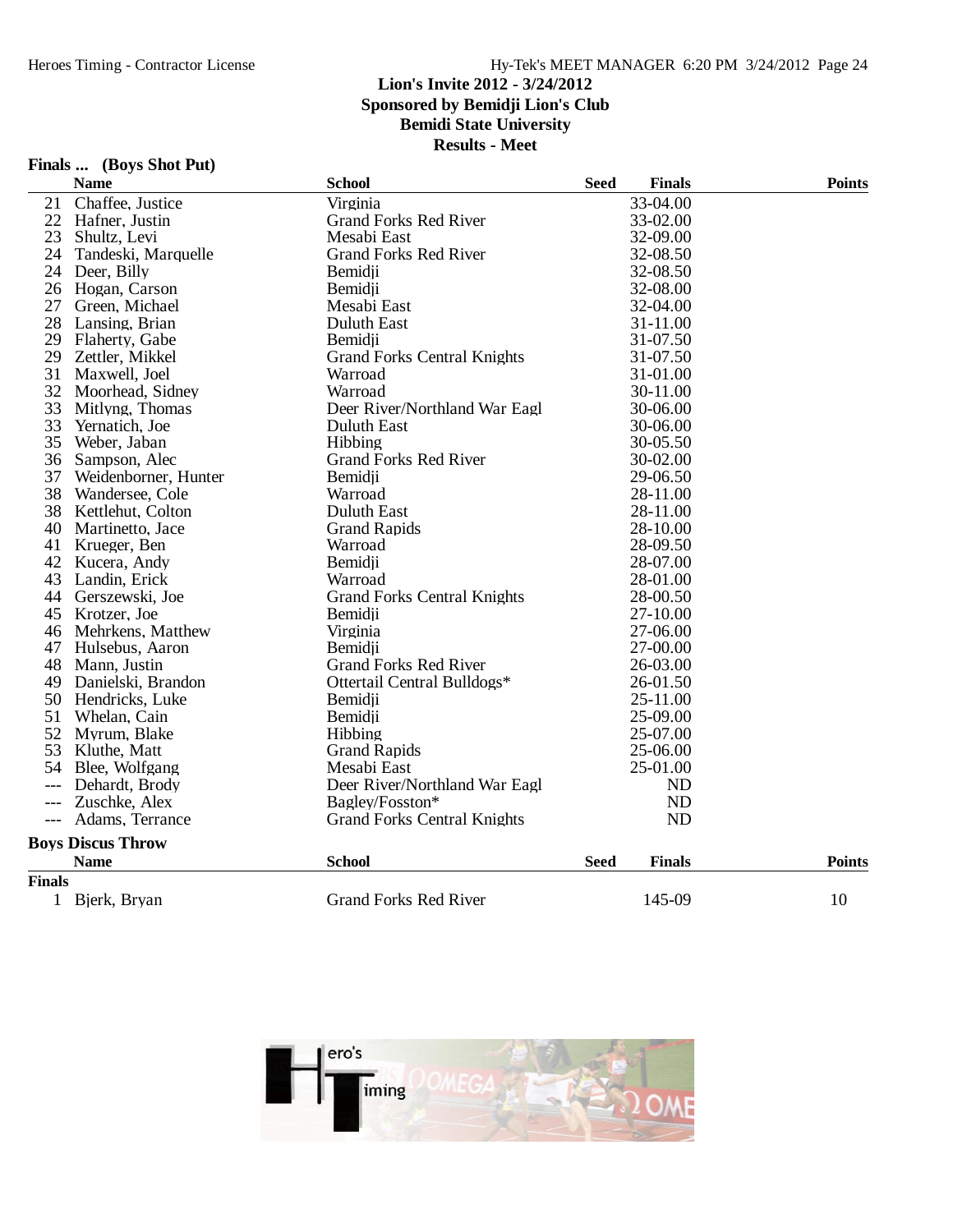#### **Lion's Invite 2012 - 3/24/2012 Sponsored by Bemidji Lion's Club Bemidi State University Results - Meet**

**Finals ... (Boys Shot Put)**

|                     | <b>Name</b>              | <b>School</b>                      | <b>Seed</b> | <b>Finals</b> | <b>Points</b> |  |
|---------------------|--------------------------|------------------------------------|-------------|---------------|---------------|--|
| 21                  | Chaffee, Justice         | Virginia                           |             | 33-04.00      |               |  |
| 22                  | Hafner, Justin           | <b>Grand Forks Red River</b>       | 33-02.00    |               |               |  |
| 23                  | Shultz, Levi             | Mesabi East<br>32-09.00            |             |               |               |  |
| 24                  | Tandeski, Marquelle      | <b>Grand Forks Red River</b>       |             | 32-08.50      |               |  |
| 24                  | Deer, Billy              | Bemidii                            |             | 32-08.50      |               |  |
| 26                  | Hogan, Carson            | Bemidji                            |             | 32-08.00      |               |  |
| 27                  | Green, Michael           | Mesabi East                        |             | 32-04.00      |               |  |
| 28                  | Lansing, Brian           | <b>Duluth East</b>                 |             | 31-11.00      |               |  |
| 29                  | Flaherty, Gabe           | Bemidji                            |             | 31-07.50      |               |  |
| 29                  | Zettler, Mikkel          | <b>Grand Forks Central Knights</b> |             | 31-07.50      |               |  |
| 31                  | Maxwell, Joel            | Warroad                            |             | 31-01.00      |               |  |
| 32                  | Moorhead, Sidney         | Warroad                            |             | 30-11.00      |               |  |
| 33                  | Mitlyng, Thomas          | Deer River/Northland War Eagl      |             | 30-06.00      |               |  |
| 33                  | Yernatich, Joe           | Duluth East                        |             | 30-06.00      |               |  |
| 35                  | Weber, Jaban             | <b>Hibbing</b>                     |             | 30-05.50      |               |  |
| 36                  | Sampson, Alec            | <b>Grand Forks Red River</b>       |             | 30-02.00      |               |  |
| 37                  | Weidenborner, Hunter     | Bemidii                            |             | 29-06.50      |               |  |
| 38                  | Wandersee, Cole          | Warroad                            |             | 28-11.00      |               |  |
| 38                  | Kettlehut, Colton        | <b>Duluth East</b>                 |             | 28-11.00      |               |  |
| 40                  | Martinetto, Jace         | <b>Grand Rapids</b>                |             | 28-10.00      |               |  |
|                     | 41 Krueger, Ben          | Warroad                            |             | 28-09.50      |               |  |
|                     | 42 Kucera, Andy          | Bemidji                            |             | 28-07.00      |               |  |
| 43                  | Landin, Erick            | Warroad                            |             | 28-01.00      |               |  |
| 44                  | Gerszewski, Joe          | <b>Grand Forks Central Knights</b> |             | 28-00.50      |               |  |
|                     | 45 Krotzer, Joe          | Bemidji                            |             | 27-10.00      |               |  |
| 46                  | Mehrkens, Matthew        | Virginia                           |             | 27-06.00      |               |  |
| 47                  | Hulsebus, Aaron          | Bemidji                            |             | 27-00.00      |               |  |
| 48                  | Mann, Justin             | <b>Grand Forks Red River</b>       |             | 26-03.00      |               |  |
| 49                  | Danielski, Brandon       | Ottertail Central Bulldogs*        |             | 26-01.50      |               |  |
|                     | 50 Hendricks, Luke       | Bemidji                            |             | 25-11.00      |               |  |
| 51                  | Whelan, Cain             | Bemidji                            |             | 25-09.00      |               |  |
| 52                  | Myrum, Blake             | Hibbing                            |             | 25-07.00      |               |  |
|                     | 53 Kluthe, Matt          | <b>Grand Rapids</b>                |             | 25-06.00      |               |  |
| 54                  | Blee, Wolfgang           | Mesabi East                        |             | 25-01.00      |               |  |
| $---$               | Dehardt, Brody           | Deer River/Northland War Eagl      |             | ND            |               |  |
| $---$               | Zuschke, Alex            | Bagley/Fosston*                    |             | ND            |               |  |
| $\qquad \qquad - -$ | Adams, Terrance          | <b>Grand Forks Central Knights</b> |             | ND            |               |  |
|                     | <b>Boys Discus Throw</b> |                                    |             |               |               |  |
|                     | <b>Name</b>              | <b>School</b>                      | <b>Seed</b> | <b>Finals</b> | <b>Points</b> |  |
| <b>Finals</b>       |                          |                                    |             |               |               |  |
| 1                   | Bjerk, Bryan             | <b>Grand Forks Red River</b>       |             | 145-09        | 10            |  |

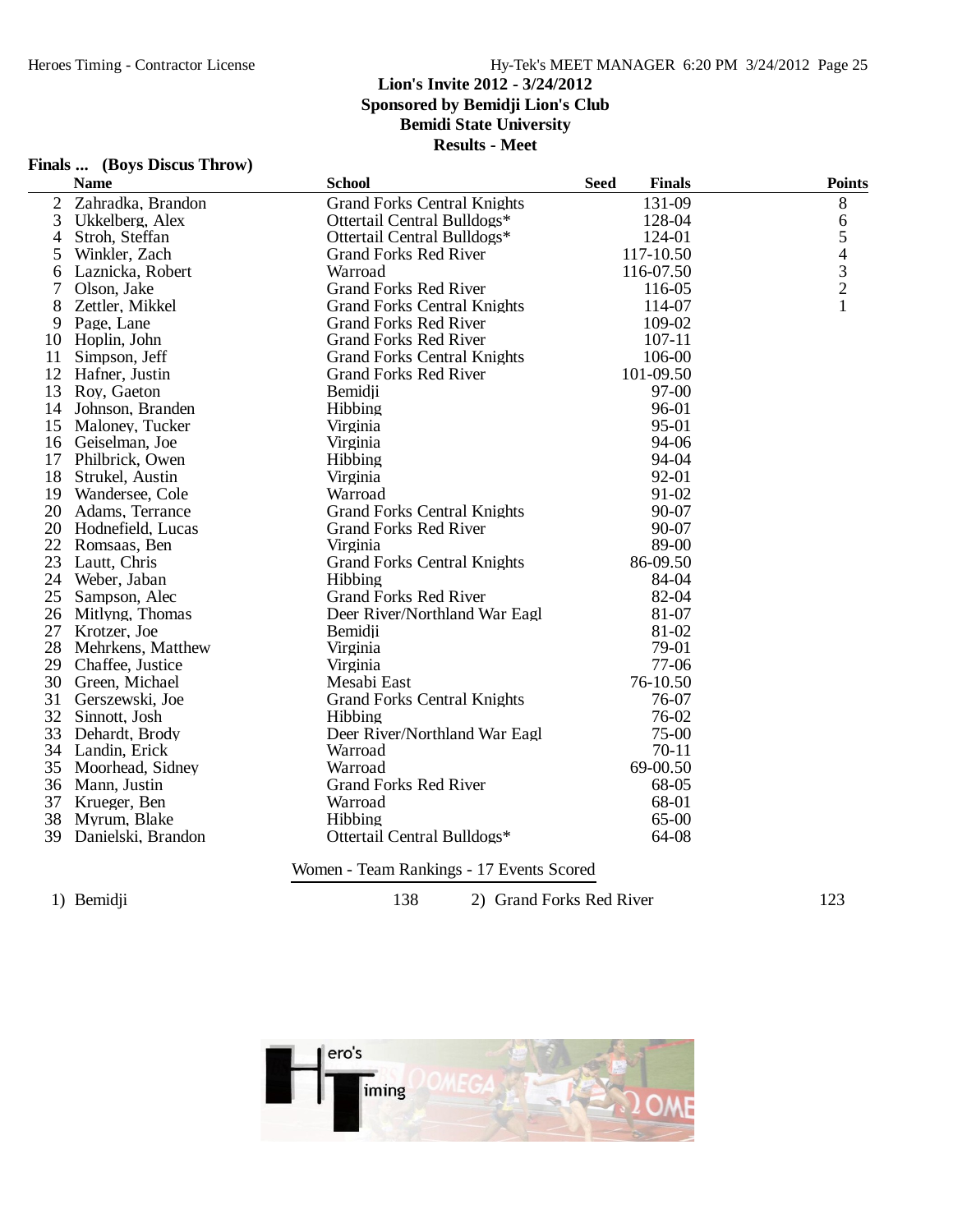|                | Finals  (Boys Discus Throw) |                                    |                              |               |
|----------------|-----------------------------|------------------------------------|------------------------------|---------------|
|                | <b>Name</b>                 | <b>School</b>                      | <b>Seed</b><br><b>Finals</b> | <b>Points</b> |
| $\overline{c}$ | Zahradka, Brandon           | <b>Grand Forks Central Knights</b> | 131-09                       | $\, 8$        |
| 3              | Ukkelberg, Alex             | Ottertail Central Bulldogs*        | 128-04                       | $\sqrt{6}$    |
| 4              | Stroh, Steffan              | Ottertail Central Bulldogs*        | 124-01                       | $\sqrt{5}$    |
| 5              | Winkler, Zach               | <b>Grand Forks Red River</b>       | 117-10.50                    | 4             |
| 6              | Laznicka, Robert            | Warroad                            | 116-07.50                    | $\frac{3}{2}$ |
| 7              | Olson, Jake                 | <b>Grand Forks Red River</b>       | 116-05                       |               |
| 8              | Zettler, Mikkel             | <b>Grand Forks Central Knights</b> | 114-07                       | 1             |
| 9              | Page, Lane                  | <b>Grand Forks Red River</b>       | 109-02                       |               |
|                | 10 Hoplin, John             | <b>Grand Forks Red River</b>       | $107 - 11$                   |               |
| 11             | Simpson, Jeff               | <b>Grand Forks Central Knights</b> | 106-00                       |               |
|                | 12 Hafner, Justin           | <b>Grand Forks Red River</b>       | 101-09.50                    |               |
|                | 13 Roy, Gaeton              | Bemidji                            | 97-00                        |               |
|                | 14 Johnson, Branden         | Hibbing                            | 96-01                        |               |
|                | 15 Maloney, Tucker          | Virginia                           | 95-01                        |               |
|                | 16 Geiselman, Joe           | Virginia                           | 94-06                        |               |
|                | 17 Philbrick, Owen          | Hibbing                            | 94-04                        |               |
| 18             | Strukel, Austin             | Virginia                           | 92-01                        |               |
|                | 19 Wandersee, Cole          | Warroad                            | 91-02                        |               |
|                | 20 Adams, Terrance          | <b>Grand Forks Central Knights</b> | 90-07                        |               |
|                | 20 Hodnefield, Lucas        | <b>Grand Forks Red River</b>       | 90-07                        |               |
|                | 22 Romsaas, Ben             | Virginia                           | 89-00                        |               |
| 23             | Lautt, Chris                | <b>Grand Forks Central Knights</b> | 86-09.50                     |               |
|                | 24 Weber, Jaban             | Hibbing                            | 84-04                        |               |
| 25             | Sampson, Alec               | <b>Grand Forks Red River</b>       | 82-04                        |               |
|                | 26 Mitlyng, Thomas          | Deer River/Northland War Eagl      | 81-07                        |               |
|                | 27 Krotzer, Joe             | Bemidji                            | 81-02                        |               |
|                | 28 Mehrkens, Matthew        | Virginia                           | 79-01                        |               |
| 29             | Chaffee, Justice            | Virginia                           | $77-06$                      |               |
| 30             | Green, Michael              | Mesabi East                        | 76-10.50                     |               |
|                | 31 Gerszewski, Joe          | <b>Grand Forks Central Knights</b> | 76-07                        |               |
|                | 32 Sinnott, Josh            | Hibbing                            | 76-02                        |               |
| 33             | Dehardt, Brody              | Deer River/Northland War Eagl      | $75-00$                      |               |
|                | 34 Landin, Erick            | Warroad                            | $70-11$                      |               |
| 35             | Moorhead, Sidney            | Warroad                            | 69-00.50                     |               |
|                | 36 Mann, Justin             | <b>Grand Forks Red River</b>       | 68-05                        |               |
| 37             | Krueger, Ben                | Warroad                            | 68-01                        |               |
| 38             | Myrum, Blake                | Hibbing                            | 65-00                        |               |
| 39             | Danielski, Brandon          | Ottertail Central Bulldogs*        | 64-08                        |               |
|                |                             |                                    |                              |               |

Women - Team Rankings - 17 Events Scored

1) Bemidji 138 138 2) Grand Forks Red River 123